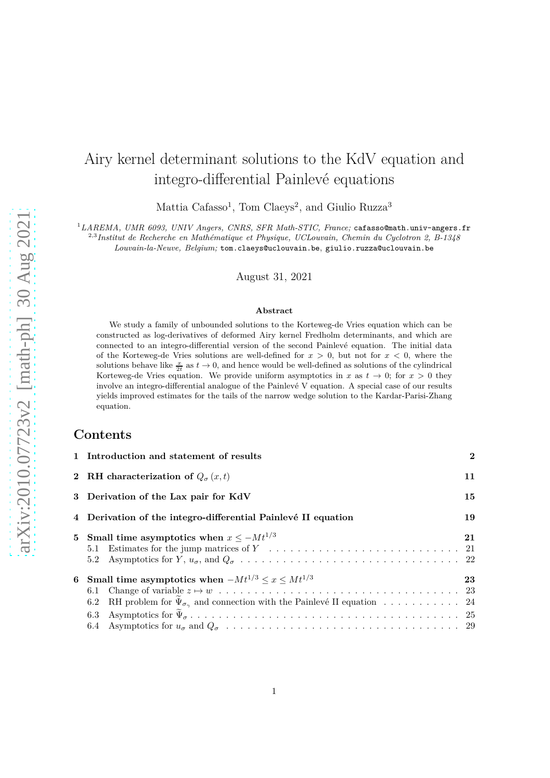# Airy kernel determinant solutions to the KdV equation and integro-differential Painlevé equations

Mattia Cafasso<sup>1</sup>, Tom Claeys<sup>2</sup>, and Giulio Ruzza<sup>3</sup>

<sup>1</sup>*LAREMA, UMR 6093, UNIV Angers, CNRS, SFR Math-STIC, France;* cafasso@math.univ-angers.fr <sup>2,3</sup>Institut de Recherche en Mathématique et Physique, UCLouvain, Chemin du Cyclotron 2, B-1348

*Louvain-la-Neuve, Belgium;* tom.claeys@uclouvain.be, giulio.ruzza@uclouvain.be

August 31, 2021

#### **Abstract**

We study a family of unbounded solutions to the Korteweg-de Vries equation which can be constructed as log-derivatives of deformed Airy kernel Fredholm determinants, and which are connected to an integro-differential version of the second Painlev´e equation. The initial data of the Korteweg-de Vries solutions are well-defined for *x >* 0, but not for *x <* 0, where the solutions behave like  $\frac{x}{2t}$  as  $t \to 0$ , and hence would be well-defined as solutions of the cylindrical Korteweg-de Vries equation. We provide uniform asymptotics in *x* as  $t \to 0$ ; for  $x > 0$  they involve an integro-differential analogue of the Painlevé V equation. A special case of our results yields improved estimates for the tails of the narrow wedge solution to the Kardar-Parisi-Zhang equation.

## **Contents**

| 1 Introduction and statement of results                                                                                                                              | $\mathbf{2}$ |  |  |
|----------------------------------------------------------------------------------------------------------------------------------------------------------------------|--------------|--|--|
| 2 RH characterization of $Q_{\sigma}(x,t)$                                                                                                                           |              |  |  |
| 15<br>3 Derivation of the Lax pair for KdV                                                                                                                           |              |  |  |
| 4 Derivation of the integro-differential Painlevé II equation                                                                                                        |              |  |  |
| 5 Small time asymptotics when $x \leq -Mt^{1/3}$<br>5.2                                                                                                              | 21           |  |  |
| 6 Small time asymptotics when $-Mt^{1/3} \leq x \leq Mt^{1/3}$<br>6.2 RH problem for $\Psi_{\sigma_{\gamma}}$ and connection with the Painlevé II equation 24<br>6.3 | 23           |  |  |
|                                                                                                                                                                      |              |  |  |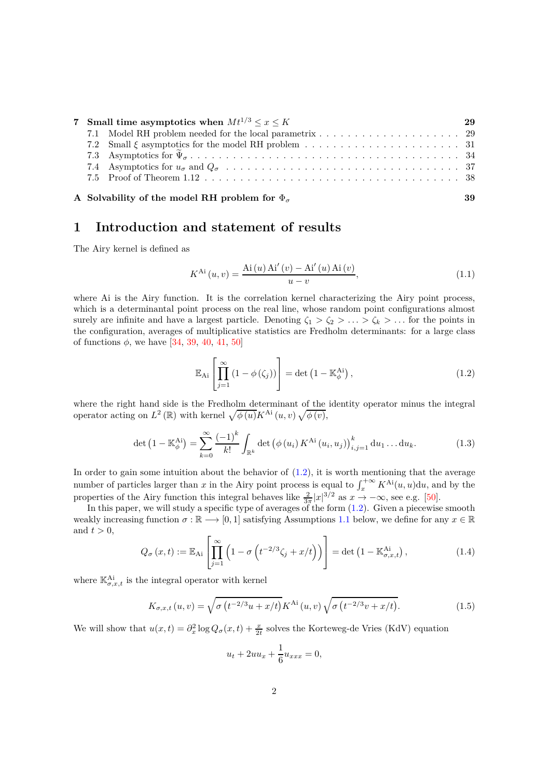| 7 Small time asymptotics when $Mt^{1/3} < x < K$ |  |                                                           |    |
|--------------------------------------------------|--|-----------------------------------------------------------|----|
|                                                  |  |                                                           |    |
|                                                  |  |                                                           |    |
|                                                  |  |                                                           |    |
|                                                  |  |                                                           |    |
|                                                  |  |                                                           |    |
|                                                  |  |                                                           |    |
|                                                  |  | A Solvability of the model RH problem for $\Phi_{\sigma}$ | 39 |

# <span id="page-1-0"></span>**1 Introduction and statement of results**

The Airy kernel is defined as

$$
K^{Ai}(u, v) = \frac{Ai(u)Ai'(v) - Ai'(u)Ai(v)}{u - v},
$$
\n(1.1)

where Ai is the Airy function. It is the correlation kernel characterizing the Airy point process, which is a determinantal point process on the real line, whose random point configurations almost surely are infinite and have a largest particle. Denoting  $\zeta_1 > \zeta_2 > \ldots > \zeta_k > \ldots$  for the points in the configuration, averages of multiplicative statistics are Fredholm determinants: for a large class of functions *φ*, we have [\[34,](#page-42-0) [39,](#page-42-1) [40,](#page-42-2) [41,](#page-42-3) [50\]](#page-42-4)

<span id="page-1-1"></span>
$$
\mathbb{E}_{\mathrm{Ai}}\left[\prod_{j=1}^{\infty} \left(1 - \phi\left(\zeta_{j}\right)\right)\right] = \det\left(1 - \mathbb{K}_{\phi}^{\mathrm{Ai}}\right),\tag{1.2}
$$

where the right hand side is the Fredholm determinant of the identity operator minus the integral operator acting on  $L^2(\mathbb{R})$  with kernel  $\sqrt{\phi(u)}K^{\mathop{\rm Ai}}(u, v)\sqrt{\phi(v)}$ ,

$$
\det (1 - \mathbb{K}_{\phi}^{\mathcal{A}i}) = \sum_{k=0}^{\infty} \frac{(-1)^k}{k!} \int_{\mathbb{R}^k} \det (\phi(u_i) K^{\mathcal{A}i}(u_i, u_j))_{i,j=1}^k du_1 \dots du_k.
$$
 (1.3)

In order to gain some intuition about the behavior of  $(1.2)$ , it is worth mentioning that the average number of particles larger than *x* in the Airy point process is equal to  $\int_x^{+\infty} K^{Ai}(u, u) du$ , and by the properties of the Airy function this integral behaves like  $\frac{2}{3\pi}|x|^{3/2}$  as  $x \to -\infty$ , see e.g. [\[50\]](#page-42-4).

In this paper, we will study a specific type of averages of the form  $(1.2)$ . Given a piecewise smooth weakly increasing function  $\sigma : \mathbb{R} \longrightarrow [0,1]$  satisfying Assumptions [1.1](#page-2-0) below, we define for any  $x \in \mathbb{R}$ and  $t > 0$ ,  $\overline{a}$ 

<span id="page-1-2"></span>
$$
Q_{\sigma}\left(x,t\right) := \mathbb{E}_{\mathrm{Ai}}\left[\prod_{j=1}^{\infty} \left(1 - \sigma\left(t^{-2/3}\zeta_j + x/t\right)\right)\right] = \det\left(1 - \mathbb{K}^{\mathrm{Ai}}_{\sigma,x,t}\right),\tag{1.4}
$$

where  $\mathbb{K}_{\sigma,x,t}^{\mathbf{Ai}}$  is the integral operator with kernel

<span id="page-1-3"></span>
$$
K_{\sigma,x,t}(u,v) = \sqrt{\sigma \left( t^{-2/3}u + x/t \right)} K^{\text{Ai}}(u,v) \sqrt{\sigma \left( t^{-2/3}v + x/t \right)}. \tag{1.5}
$$

We will show that  $u(x,t) = \partial_x^2 \log Q_\sigma(x,t) + \frac{x}{2t}$  solves the Korteweg-de Vries (KdV) equation

$$
u_t + 2uu_x + \frac{1}{6}u_{xxx} = 0,
$$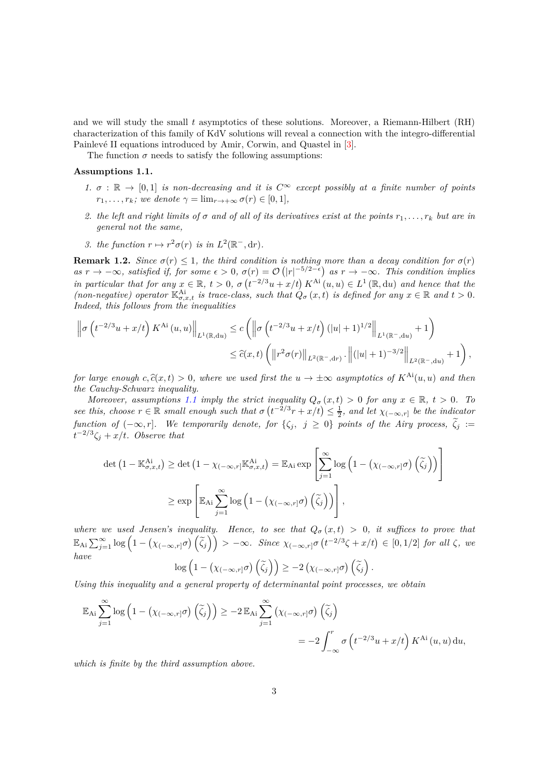and we will study the small *t* asymptotics of these solutions. Moreover, a Riemann-Hilbert (RH) characterization of this family of KdV solutions will reveal a connection with the integro-differential Painlevé II equations introduced by Amir, Corwin, and Quastel in [\[3\]](#page-40-0).

The function  $\sigma$  needs to satisfy the following assumptions:

#### <span id="page-2-0"></span>**Assumptions 1.1.**

- *1.*  $\sigma : \mathbb{R} \to [0,1]$  *is non-decreasing and it is*  $C^{\infty}$  *except possibly at a finite number of points*  $r_1, \ldots, r_k$ *; we denote*  $\gamma = \lim_{r \to +\infty} \sigma(r) \in [0, 1]$ *,*
- 2. the left and right limits of  $\sigma$  and of all of its derivatives exist at the points  $r_1, \ldots, r_k$  but are in *general not the same,*
- 3. the function  $r \mapsto r^2 \sigma(r)$  is in  $L^2(\mathbb{R}^-, dr)$ .

<span id="page-2-1"></span>**Remark 1.2.** *Since*  $\sigma(r) \leq 1$ *, the third condition is nothing more than a decay condition for*  $\sigma(r)$  $as\ r \to -\infty$ , satisfied if, for some  $\epsilon > 0$ ,  $\sigma(r) = \mathcal{O}\left(|r|^{-5/2-\epsilon}\right)$  as  $r \to -\infty$ . This condition implies *in particular that for any*  $x \in \mathbb{R}$ ,  $t > 0$ ,  $\sigma(t^{-2/3}u + x/t) K^{Ai}(u, u) \in L^1(\mathbb{R}, du)$  and hence that the *(non-negative) operator*  $\mathbb{K}_{\sigma,x,t}^{\mathcal{A}i}$  *is trace-class, such that*  $\hat{Q}_{\sigma}(x,t)$  *is defined for any*  $x \in \mathbb{R}$  *and*  $t > 0$ *. Indeed, this follows from the inequalities*

$$
\begin{split} \left\| \sigma \left( t^{-2/3} u+x/t \right) K^{\mathrm{Ai}}\left( u,u \right) \right\|_{L^{1}(\mathbb{R},\mathrm{d}u)} &\leq c \left( \left\| \sigma \left( t^{-2/3} u+x/t \right) (|u|+1)^{1/2} \right\|_{L^{1}(\mathbb{R}^{-},\mathrm{d}u)} +1 \right) \\ &\leq \widehat{c}(x,t) \left( \left\| r^{2} \sigma(r) \right\|_{L^{2}(\mathbb{R}^{-},\mathrm{d}r)} \cdot \left\| (|u|+1)^{-3/2} \right\|_{L^{2}(\mathbb{R}^{-},\mathrm{d}u)} +1 \right), \end{split}
$$

*for large enough*  $c, \hat{c}(x, t) > 0$ , where we used first the  $u \to \pm \infty$  asymptotics of  $K^{Ai}(u, u)$  and then *the Cauchy-Schwarz inequality.*

*Moreover, assumptions* [1.1](#page-2-0) *imply the strict inequality*  $Q_{\sigma}(x,t) > 0$  *for any*  $x \in \mathbb{R}$ ,  $t > 0$ *. To see this, choose*  $r \in \mathbb{R}$  *small enough such that*  $\sigma(t^{-2/3}r + x/t) \leq \frac{1}{2}$ *, and let*  $\chi_{(-\infty,r]}$  *be the indicator function of*  $(-\infty, r]$ *. We temporarily denote, for*  $\{\zeta_j, j \ge 0\}$  *points of the Airy process,*  $\tilde{\zeta}_j :=$  $t^{-2/3}\zeta_j + x/t$ *. Observe that* 

$$
\det (1 - \mathbb{K}^{Ai}_{\sigma,x,t}) \ge \det (1 - \chi_{(-\infty,r]} \mathbb{K}^{Ai}_{\sigma,x,t}) = \mathbb{E}_{Ai} \exp \left[ \sum_{j=1}^{\infty} \log \left( 1 - \left( \chi_{(-\infty,r]} \sigma \right) \left( \tilde{\zeta}_j \right) \right) \right]
$$
  

$$
\ge \exp \left[ \mathbb{E}_{Ai} \sum_{j=1}^{\infty} \log \left( 1 - \left( \chi_{(-\infty,r]} \sigma \right) \left( \tilde{\zeta}_j \right) \right) \right],
$$

*where we used Jensen's inequality. Hence, to see that*  $Q_{\sigma}(x,t) > 0$ , *it suffices to prove that*  $\mathbb{E}_{\mathrm{Ai}}\sum_{j=1}^{\infty}\log\left(1-\left(\chi_{(-\infty,r]}\sigma\right)\left(\widetilde{\zeta}_j\right)\right) > -\infty$ . Since  $\chi_{(-\infty,r]}\sigma\left(t^{-2/3}\zeta+x/t\right) \in [0,1/2]$  for all  $\zeta$ , we *have*

$$
\log\left(1 - \left(\chi_{(-\infty,r]}\sigma\right)\left(\widetilde{\zeta}_j\right)\right) \geq -2\left(\chi_{(-\infty,r]}\sigma\right)\left(\widetilde{\zeta}_j\right).
$$

*Using this inequality and a general property of determinantal point processes, we obtain*

$$
\mathbb{E}_{\mathrm{Ai}} \sum_{j=1}^{\infty} \log \left( 1 - \left( \chi_{(-\infty,r]} \sigma \right) \left( \widetilde{\zeta}_j \right) \right) \ge -2 \mathbb{E}_{\mathrm{Ai}} \sum_{j=1}^{\infty} \left( \chi_{(-\infty,r]} \sigma \right) \left( \widetilde{\zeta}_j \right)
$$
  
= 
$$
-2 \int_{-\infty}^{r} \sigma \left( t^{-2/3} u + x/t \right) K^{\mathrm{Ai}} \left( u, u \right) \mathrm{d}u,
$$

*which is finite by the third assumption above.*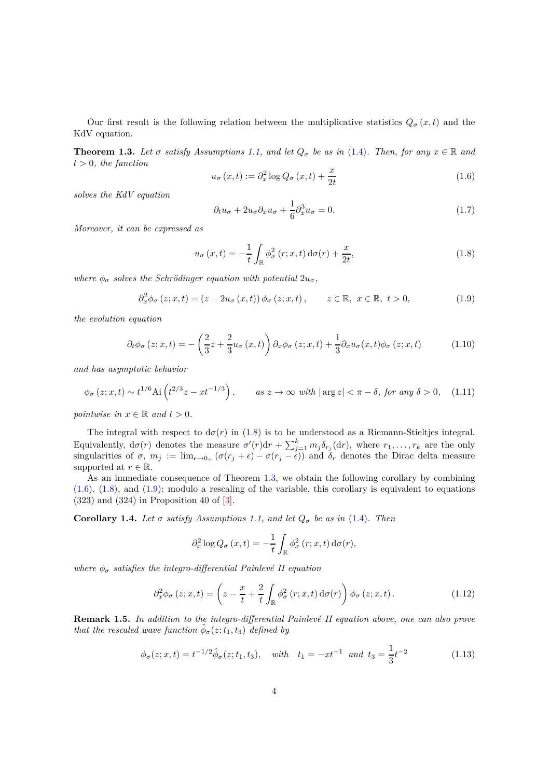Our first result is the following relation between the multiplicative statistics  $Q_{\sigma}(x,t)$  and the KdV equation.

<span id="page-3-1"></span>**Theorem 1.3.** *Let*  $\sigma$  *satisfy Assumptions* [1.1,](#page-2-0) and let  $Q_{\sigma}$  be as in [\(1.4\)](#page-1-2). Then, for any  $x \in \mathbb{R}$  and  $t > 0$ *, the function* 

<span id="page-3-2"></span>
$$
u_{\sigma}(x,t) := \partial_x^2 \log Q_{\sigma}(x,t) + \frac{x}{2t}
$$
\n(1.6)

*solves the KdV equation*

<span id="page-3-6"></span>
$$
\partial_t u_\sigma + 2u_\sigma \partial_x u_\sigma + \frac{1}{6} \partial_x^3 u_\sigma = 0. \tag{1.7}
$$

*Moreover, it can be expressed as*

<span id="page-3-0"></span>
$$
u_{\sigma}(x,t) = -\frac{1}{t} \int_{\mathbb{R}} \phi_{\sigma}^{2}(r;x,t) d\sigma(r) + \frac{x}{2t},
$$
\n(1.8)

*where*  $\phi_{\sigma}$  *solves the Schrödinger equation with potential*  $2u_{\sigma}$ *,* 

<span id="page-3-3"></span>
$$
\partial_x^2 \phi_\sigma(z; x, t) = (z - 2u_\sigma(x, t)) \phi_\sigma(z; x, t), \qquad z \in \mathbb{R}, \ x \in \mathbb{R}, \ t > 0,
$$
\n(1.9)

*the evolution equation*

<span id="page-3-4"></span>
$$
\partial_t \phi_\sigma(z; x, t) = -\left(\frac{2}{3}z + \frac{2}{3}u_\sigma(x, t)\right) \partial_x \phi_\sigma(z; x, t) + \frac{1}{3} \partial_x u_\sigma(x, t) \phi_\sigma(z; x, t) \tag{1.10}
$$

*and has asymptotic behavior*

<span id="page-3-8"></span>
$$
\phi_{\sigma}(z;x,t) \sim t^{1/6} \text{Ai}\left(t^{2/3}z - xt^{-1/3}\right), \qquad \text{as } z \to \infty \text{ with } |\arg z| < \pi - \delta \text{, for any } \delta > 0,\tag{1.11}
$$

*pointwise* in  $x \in \mathbb{R}$  and  $t > 0$ .

The integral with respect to  $d\sigma(r)$  in [\(1.8\)](#page-3-0) is to be understood as a Riemann-Stieltjes integral. Equivalently,  $d\sigma(r)$  denotes the measure  $\sigma'(r)dr + \sum_{j=1}^{k} m_j \delta_{r_j}(dr)$ , where  $r_1, \ldots, r_k$  are the only singularities of  $\sigma$ ,  $m_j := \lim_{\epsilon \to 0+} (\sigma(r_j + \epsilon) - \sigma(r_j - \epsilon))$  and  $\delta_r$  denotes the Dirac delta measure supported at  $r \in \mathbb{R}$ .

As an immediate consequence of Theorem [1.3,](#page-3-1) we obtain the following corollary by combining [\(1.6\)](#page-3-2), [\(1.8\)](#page-3-0), and [\(1.9\)](#page-3-3); modulo a rescaling of the variable, this corollary is equivalent to equations (323) and (324) in Proposition 40 of [\[3\]](#page-40-0).

**Corollary 1.4.** *Let*  $\sigma$  *satisfy Assumptions* [1.1,](#page-2-0) and let  $Q_{\sigma}$  be as in [\(1.4\)](#page-1-2). Then

$$
\partial_x^2 \log Q_{\sigma}(x,t) = -\frac{1}{t} \int_{\mathbb{R}} \phi_{\sigma}^2(r;x,t) d\sigma(r),
$$

*where*  $\phi_{\sigma}$  *satisfies the integro-differential Painlevé II equation* 

<span id="page-3-7"></span>
$$
\partial_x^2 \phi_\sigma(z; x, t) = \left(z - \frac{x}{t} + \frac{2}{t} \int_{\mathbb{R}} \phi_\sigma^2(r; x, t) d\sigma(r)\right) \phi_\sigma(z; x, t).
$$
 (1.12)

**Remark 1.5.** In addition to the integro-differential Painlevé II equation above, one can also prove *that the rescaled wave function*  $\hat{\phi}_{\sigma}(z; t_1, t_3)$  *defined by* 

<span id="page-3-5"></span>
$$
\phi_{\sigma}(z;x,t) = t^{-1/2} \hat{\phi}_{\sigma}(z;t_1,t_3), \quad with \quad t_1 = -xt^{-1} \quad and \quad t_3 = \frac{1}{3}t^{-2}
$$
\n(1.13)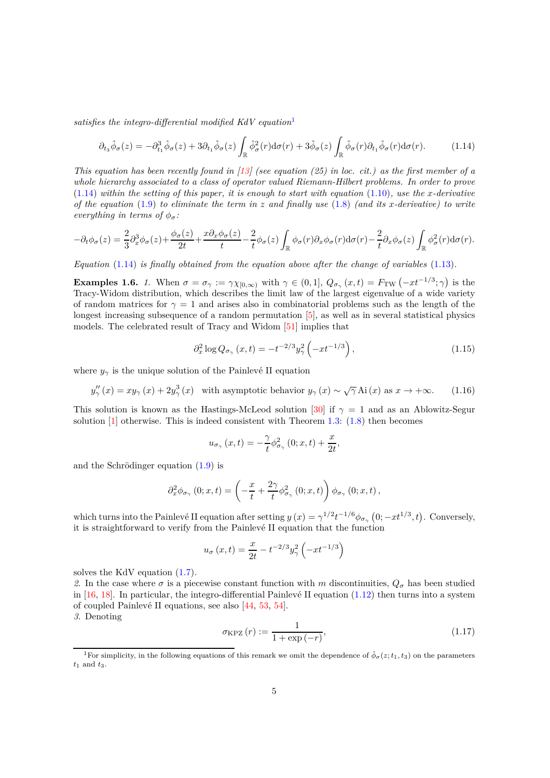*satisfies the integro-differential modified KdV equation*[1](#page-4-0)

<span id="page-4-1"></span>
$$
\partial_{t_3} \hat{\phi}_{\sigma}(z) = -\partial_{t_1}^3 \hat{\phi}_{\sigma}(z) + 3\partial_{t_1} \hat{\phi}_{\sigma}(z) \int_{\mathbb{R}} \hat{\phi}_{\sigma}^2(r) d\sigma(r) + 3\hat{\phi}_{\sigma}(z) \int_{\mathbb{R}} \hat{\phi}_{\sigma}(r) \partial_{t_1} \hat{\phi}_{\sigma}(r) d\sigma(r). \tag{1.14}
$$

*This equation has been recently found in [\[13\]](#page-40-1) (see equation (25) in loc. cit.) as the first member of a whole hierarchy associated to a class of operator valued Riemann-Hilbert problems. In order to prove*  $(1.14)$  *within the setting of this paper, it is enough to start with equation*  $(1.10)$ *, use the x-derivative of the equation* [\(1.9\)](#page-3-3) *to eliminate the term in z and finally use* [\(1.8\)](#page-3-0) *(and its x-derivative) to write everything in terms of*  $\phi_{\sigma}$ *:* 

$$
-\partial_t \phi_\sigma(z) = \frac{2}{3} \partial_x^3 \phi_\sigma(z) + \frac{\phi_\sigma(z)}{2t} + \frac{x \partial_x \phi_\sigma(z)}{t} - \frac{2}{t} \phi_\sigma(z) \int_{\mathbb{R}} \phi_\sigma(r) \partial_x \phi_\sigma(r) d\sigma(r) - \frac{2}{t} \partial_x \phi_\sigma(z) \int_{\mathbb{R}} \phi_\sigma^2(r) d\sigma(r).
$$

*Equation* [\(1.14\)](#page-4-1) *is finally obtained from the equation above after the change of variables* [\(1.13\)](#page-3-5)*.*

<span id="page-4-3"></span>**Examples 1.6.** *1.* When  $\sigma = \sigma_{\gamma} := \gamma \chi_{[0,\infty)}$  with  $\gamma \in (0,1], Q_{\sigma_{\gamma}}(x,t) = F_{TW}(-xt^{-1/3}; \gamma)$  is the Tracy-Widom distribution, which describes the limit law of the largest eigenvalue of a wide variety of random matrices for  $\gamma = 1$  and arises also in combinatorial problems such as the length of the longest increasing subsequence of a random permutation [\[5\]](#page-40-2), as well as in several statistical physics models. The celebrated result of Tracy and Widom [\[51\]](#page-42-5) implies that

$$
\partial_x^2 \log Q_{\sigma_\gamma}(x,t) = -t^{-2/3} y_\gamma^2 \left(-xt^{-1/3}\right),\tag{1.15}
$$

where  $y_\gamma$  is the unique solution of the Painlevé II equation

<span id="page-4-2"></span>
$$
y_{\gamma}''(x) = xy_{\gamma}(x) + 2y_{\gamma}^{3}(x) \quad \text{with asymptotic behavior } y_{\gamma}(x) \sim \sqrt{\gamma} \text{Ai}(x) \text{ as } x \to +\infty. \tag{1.16}
$$

This solution is known as the Hastings-McLeod solution [\[30\]](#page-41-0) if  $\gamma = 1$  and as an Ablowitz-Segur solution  $[1]$  otherwise. This is indeed consistent with Theorem [1.3:](#page-3-1) [\(1.8\)](#page-3-0) then becomes

$$
u_{\sigma_{\gamma}}\left(x,t\right)=-\frac{\gamma}{t}\phi_{\sigma_{\gamma}}^{2}\left(0;x,t\right)+\frac{x}{2t},
$$

and the Schrödinger equation  $(1.9)$  is

$$
\partial_x^2 \phi_{\sigma_\gamma}\left(0;x,t\right) = \left(-\frac{x}{t} + \frac{2\gamma}{t} \phi_{\sigma_\gamma}^2\left(0;x,t\right)\right) \phi_{\sigma_\gamma}\left(0;x,t\right),\,
$$

which turns into the Painlevé II equation after setting  $y(x) = \gamma^{1/2} t^{-1/6} \phi_{\sigma_\gamma}(0; -xt^{1/3}, t)$ . Conversely, it is straightforward to verify from the Painlevé II equation that the function

$$
u_{\sigma}(x,t) = \frac{x}{2t} - t^{-2/3}y_{\gamma}^{2}(-xt^{-1/3})
$$

solves the KdV equation [\(1.7\)](#page-3-6).

2. In the case where  $\sigma$  is a piecewise constant function with *m* discontinuities,  $Q_{\sigma}$  has been studied in  $[16, 18]$  $[16, 18]$ . In particular, the integro-differential Painlevé II equation  $(1.12)$  then turns into a system of coupled Painlev´e II equations, see also [\[44,](#page-42-6) [53,](#page-43-0) [54\]](#page-43-1).

*3.* Denoting

<span id="page-4-4"></span>
$$
\sigma_{\rm KPZ}(r) := \frac{1}{1 + \exp(-r)},\tag{1.17}
$$

<span id="page-4-0"></span><sup>&</sup>lt;sup>1</sup>For simplicity, in the following equations of this remark we omit the dependence of  $\phi_{\sigma}(z;t_1,t_3)$  on the parameters  $t_1$  and  $t_3$ .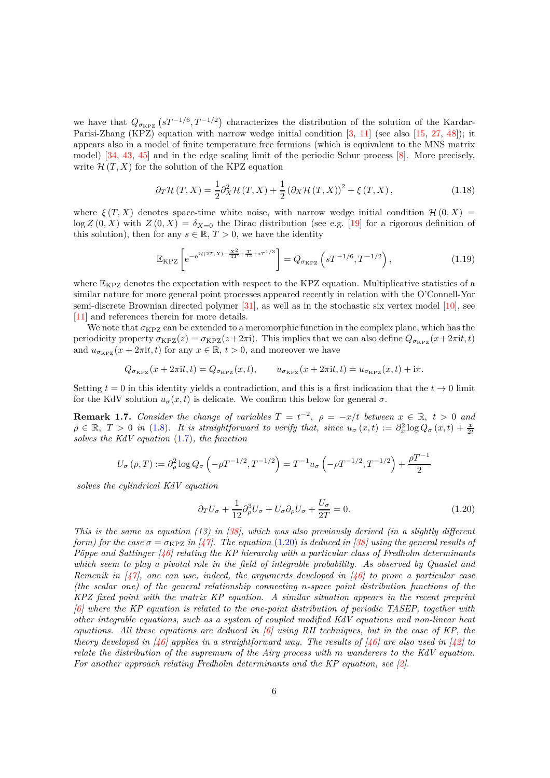we have that  $Q_{\sigma_{\text{KPZ}}}(sT^{-1/6}, T^{-1/2})$  characterizes the distribution of the solution of the Kardar-Parisi-Zhang (KPZ) equation with narrow wedge initial condition [\[3,](#page-40-0) [11\]](#page-40-5) (see also [\[15,](#page-40-6) [27,](#page-41-2) [48\]](#page-42-7)); it appears also in a model of finite temperature free fermions (which is equivalent to the MNS matrix model) [\[34,](#page-42-0) [43,](#page-42-8) [45\]](#page-42-9) and in the edge scaling limit of the periodic Schur process [\[8\]](#page-40-7). More precisely, write  $\mathcal{H}(T, X)$  for the solution of the KPZ equation

<span id="page-5-2"></span>
$$
\partial_T \mathcal{H}(T, X) = \frac{1}{2} \partial_X^2 \mathcal{H}(T, X) + \frac{1}{2} \left( \partial_X \mathcal{H}(T, X) \right)^2 + \xi(T, X), \tag{1.18}
$$

where  $\xi(T, X)$  denotes space-time white noise, with narrow wedge initial condition  $\mathcal{H}(0, X)$  =  $\log Z(0, X)$  with  $Z(0, X) = \delta_{X=0}$  the Dirac distribution (see e.g. [\[19\]](#page-41-3) for a rigorous definition of this solution), then for any  $s \in \mathbb{R}, T > 0$ , we have the identity

<span id="page-5-3"></span>
$$
\mathbb{E}_{\text{KPZ}}\left[\mathrm{e}^{-\mathrm{e}^{\mathcal{H}(2T,X)-\frac{X^2}{4T}+\frac{T}{12}+sT^{1/3}}}\right] = Q_{\sigma_{\text{KPZ}}}\left(sT^{-1/6},T^{-1/2}\right),\tag{1.19}
$$

where  $\mathbb{E}_{\text{KPZ}}$  denotes the expectation with respect to the KPZ equation. Multiplicative statistics of a similar nature for more general point processes appeared recently in relation with the O'Connell-Yor semi-discrete Brownian directed polymer [\[31\]](#page-41-4), as well as in the stochastic six vertex model [\[10\]](#page-40-8), see [\[11\]](#page-40-5) and references therein for more details.

We note that  $\sigma_{KPZ}$  can be extended to a meromorphic function in the complex plane, which has the periodicity property  $\sigma_{KPZ}(z) = \sigma_{KPZ}(z+2\pi i)$ . This implies that we can also define  $Q_{\sigma_{KPZ}}(x+2\pi i t, t)$ and  $u_{\sigma_{\text{KPZ}}}(x+2\pi i t,t)$  for any  $x \in \mathbb{R}$ ,  $t > 0$ , and moreover we have

$$
Q_{\sigma_{\rm KPZ}}(x+2\pi{\rm i}t,t)=Q_{\sigma_{\rm KPZ}}(x,t),\qquad u_{\sigma_{\rm KPZ}}(x+2\pi{\rm i}t,t)=u_{\sigma_{\rm KPZ}}(x,t)+{\rm i}\pi.
$$

Setting  $t = 0$  in this identity yields a contradiction, and this is a first indication that the  $t \to 0$  limit for the KdV solution  $u_{\sigma}(x, t)$  is delicate. We confirm this below for general  $\sigma$ .

<span id="page-5-1"></span>**Remark 1.7.** *Consider the change of variables*  $T = t^{-2}$ ,  $\rho = -x/t$  *between*  $x \in \mathbb{R}$ ,  $t > 0$  *and*  $\rho \in \mathbb{R}, T > 0$  in [\(1.8\)](#page-3-0)*.* It is straightforward to verify that, since  $u_{\sigma}(x,t) := \partial_x^2 \log Q_{\sigma}(x,t) + \frac{x}{2t}$ *solves the KdV equation* [\(1.7\)](#page-3-6)*, the function*

$$
U_{\sigma}(\rho, T) := \partial_{\rho}^{2} \log Q_{\sigma} \left( -\rho T^{-1/2}, T^{-1/2} \right) = T^{-1} u_{\sigma} \left( -\rho T^{-1/2}, T^{-1/2} \right) + \frac{\rho T^{-1}}{2}
$$

*solves the cylindrical KdV equation*

<span id="page-5-0"></span>
$$
\partial_T U_\sigma + \frac{1}{12} \partial_\rho^3 U_\sigma + U_\sigma \partial_\rho U_\sigma + \frac{U_\sigma}{2T} = 0. \tag{1.20}
$$

*This is the same as equation (13) in [\[38\]](#page-42-10), which was also previously derived (in a slightly different form)* for the case  $\sigma = \sigma_{\text{KPZ}}$  *in* [\[47\]](#page-42-11)*.* The equation [\(1.20\)](#page-5-0) *is deduced in* [\[38\]](#page-42-10) *using the general results of P*öppe and Sattinger<sup>*(46)*</sup> relating the KP hierarchy with a particular class of Fredholm determinants *which seem to play a pivotal role in the field of integrable probability. As observed by Quastel and Remenik in [\[47\]](#page-42-11), one can use, indeed, the arguments developed in [\[46\]](#page-42-12) to prove a particular case (the scalar one) of the general relationship connecting n-space point distribution functions of the KPZ fixed point with the matrix KP equation. A similar situation appears in the recent preprint [\[6\]](#page-40-9) where the KP equation is related to the one-point distribution of periodic TASEP, together with other integrable equations, such as a system of coupled modified KdV equations and non-linear heat equations. All these equations are deduced in [\[6\]](#page-40-9) using RH techniques, but in the case of KP, the theory developed in [\[46\]](#page-42-12) applies in a straightforward way. The results of [\[46\]](#page-42-12) are also used in [\[42\]](#page-42-13) to relate the distribution of the supremum of the Airy process with m wanderers to the KdV equation. For another approach relating Fredholm determinants and the KP equation, see [\[2\]](#page-40-10).*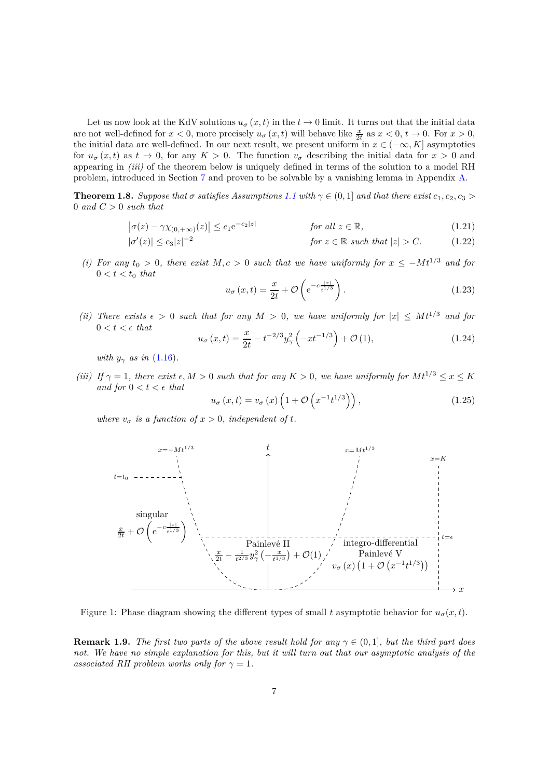Let us now look at the KdV solutions  $u_{\sigma}(x, t)$  in the  $t \to 0$  limit. It turns out that the initial data are not well-defined for  $x < 0$ , more precisely  $u_{\sigma}(x, t)$  will behave like  $\frac{x}{2t}$  as  $x < 0$ ,  $t \to 0$ . For  $x > 0$ , the initial data are well-defined. In our next result, we present uniform in  $x \in (-\infty, K]$  asymptotics for  $u_{\sigma}(x, t)$  as  $t \to 0$ , for any  $K > 0$ . The function  $v_{\sigma}$  describing the initial data for  $x > 0$  and appearing in *(iii)* of the theorem below is uniquely defined in terms of the solution to a model RH problem, introduced in Section [7](#page-28-1) and proven to be solvable by a vanishing lemma in Appendix [A.](#page-38-0)

<span id="page-6-1"></span>**Theorem 1.8.** *Suppose that*  $\sigma$  *satisfies Assumptions* [1.1](#page-2-0) with  $\gamma \in (0,1]$  *and that there exist*  $c_1, c_2, c_3 >$ 0 *and C >* 0 *such that*

$$
\left|\sigma(z) - \gamma \chi_{(0, +\infty)}(z)\right| \le c_1 e^{-c_2|z|} \qquad \text{for all } z \in \mathbb{R},\tag{1.21}
$$

$$
|\sigma'(z)| \le c_3 |z|^{-2}
$$
 for  $z \in \mathbb{R}$  such that  $|z| > C$ . (1.22)

*(i)* For any  $t_0 > 0$ , there exist  $M, c > 0$  such that we have uniformly for  $x \leq -Mt^{1/3}$  and for  $0 < t < t_0$  that

<span id="page-6-3"></span><span id="page-6-2"></span><span id="page-6-0"></span>
$$
u_{\sigma}\left(x,t\right) = \frac{x}{2t} + \mathcal{O}\left(e^{-c\frac{|x|}{t^{1/3}}}\right). \tag{1.23}
$$

*(ii)* There exists  $\epsilon > 0$  such that for any  $M > 0$ , we have uniformly for  $|x| \leq Mt^{1/3}$  and for  $0 < t < \epsilon$  *that* 

$$
u_{\sigma}(x,t) = \frac{x}{2t} - t^{-2/3}y_{\gamma}^{2} \left(-xt^{-1/3}\right) + \mathcal{O}(1), \qquad (1.24)
$$

*with*  $y_{\gamma}$  *as in* [\(1.16\)](#page-4-2)*.* 

*(iii)* If  $\gamma = 1$ , there exist  $\epsilon, M > 0$  such that for any  $K > 0$ , we have uniformly for  $Mt^{1/3} \leq x \leq K$ *and for*  $0 < t < \epsilon$  *that* 

<span id="page-6-4"></span>
$$
u_{\sigma}\left(x,t\right) = v_{\sigma}\left(x\right)\left(1 + \mathcal{O}\left(x^{-1}t^{1/3}\right)\right),\tag{1.25}
$$

*where*  $v_{\sigma}$  *is a function of*  $x > 0$ *, independent of t.* 



Figure 1: Phase diagram showing the different types of small t asymptotic behavior for  $u_{\sigma}(x, t)$ .

**Remark 1.9.** *The first two parts of the above result hold for any*  $\gamma \in (0,1]$ *, but the third part does not. We have no simple explanation for this, but it will turn out that our asymptotic analysis of the associated RH problem works only for*  $\gamma = 1$ *.*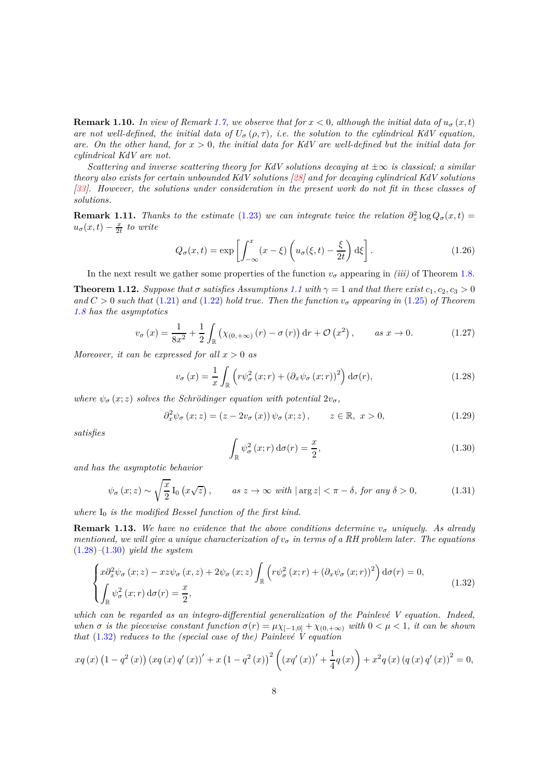**Remark 1.10.** In view of Remark [1.7,](#page-5-1) we observe that for  $x < 0$ , although the initial data of  $u_{\sigma}(x, t)$ *are not well-defined, the initial data of*  $U_{\sigma}(\rho, \tau)$ *, i.e. the solution to the cylindrical KdV equation, are. On the other hand, for x >* 0*, the initial data for KdV are well-defined but the initial data for cylindrical KdV are not.*

*Scattering and inverse scattering theory for KdV solutions decaying at*  $\pm \infty$  *is classical; a similar theory also exists for certain unbounded KdV solutions [\[28\]](#page-41-5) and for decaying cylindrical KdV solutions [\[33\]](#page-41-6). However, the solutions under consideration in the present work do not fit in these classes of solutions.*

**Remark 1.11.** *Thanks to the estimate* [\(1.23\)](#page-6-0) *we can integrate twice the relation*  $\partial_x^2 \log Q_\sigma(x,t) =$  $u_{\sigma}(x,t) - \frac{x}{2t}$  *to write* 

$$
Q_{\sigma}(x,t) = \exp\left[\int_{-\infty}^{x} (x-\xi) \left(u_{\sigma}(\xi,t) - \frac{\xi}{2t}\right) d\xi\right].
$$
 (1.26)

In the next result we gather some properties of the function  $v_{\sigma}$  appearing in *(iii)* of Theorem [1.8.](#page-6-1)

<span id="page-7-0"></span>**Theorem [1.1](#page-2-0)2.** *Suppose that*  $\sigma$  *satisfies Assumptions* 1.1 *with*  $\gamma = 1$  *and that there exist*  $c_1, c_2, c_3 > 0$  $and C > 0$  *such that* [\(1.21\)](#page-6-2) *and* [\(1.22\)](#page-6-3) *hold true. Then the function*  $v_{\sigma}$  *appearing in* [\(1.25\)](#page-6-4) *of Theorem [1.8](#page-6-1) has the asymptotics*

<span id="page-7-4"></span>
$$
v_{\sigma}\left(x\right) = \frac{1}{8x^2} + \frac{1}{2} \int_{\mathbb{R}} \left(\chi_{(0, +\infty)}\left(r\right) - \sigma\left(r\right)\right) \mathrm{d}r + \mathcal{O}\left(x^2\right), \qquad \text{as } x \to 0. \tag{1.27}
$$

*Moreover, it can be expressed for all*  $x > 0$  *as* 

<span id="page-7-1"></span>
$$
v_{\sigma}(x) = \frac{1}{x} \int_{\mathbb{R}} \left( r \psi_{\sigma}^{2}(x; r) + \left( \partial_{x} \psi_{\sigma}(x; r) \right)^{2} \right) d\sigma(r), \qquad (1.28)
$$

*where*  $\psi_{\sigma}(x; z)$  *solves the Schrödinger equation with potential*  $2v_{\sigma}$ *,* 

<span id="page-7-5"></span>
$$
\partial_x^2 \psi_{\sigma}(x; z) = (z - 2v_{\sigma}(x)) \psi_{\sigma}(x; z), \qquad z \in \mathbb{R}, \ x > 0,
$$
\n(1.29)

*satisfies*

<span id="page-7-2"></span>
$$
\int_{\mathbb{R}} \psi_{\sigma}^{2}(x;r) d\sigma(r) = \frac{x}{2},
$$
\n(1.30)

*and has the asymptotic behavior*

<span id="page-7-6"></span>
$$
\psi_{\sigma}(x;z) \sim \sqrt{\frac{x}{2}} I_0\left(x\sqrt{z}\right), \qquad as \; z \to \infty \; with \; |\arg z| < \pi - \delta, \; for \; any \; \delta > 0,\tag{1.31}
$$

where  $I_0$  *is the modified Bessel function of the first kind.* 

**Remark 1.13.** We have no evidence that the above conditions determine  $v_{\sigma}$  uniquely. As already *mentioned, we will give a unique characterization of*  $v_{\sigma}$  *in terms of a RH problem later. The equations* [\(1.28\)](#page-7-1)*–*[\(1.30\)](#page-7-2) *yield the system*

<span id="page-7-3"></span>
$$
\begin{cases} x\partial_x^2 \psi_\sigma(x;z) - xz\psi_\sigma(x,z) + 2\psi_\sigma(x;z) \int_{\mathbb{R}} \left( r\psi_\sigma^2(x;r) + \left(\partial_x \psi_\sigma(x;r)\right)^2 \right) d\sigma(r) = 0, \\ \int_{\mathbb{R}} \psi_\sigma^2(x;r) d\sigma(r) = \frac{x}{2}, \end{cases}
$$
\n(1.32)

which can be regarded as an integro-differential generalization of the Painlevé V equation. Indeed, *when*  $\sigma$  *is the piecewise constant function*  $\sigma(r) = \mu \chi_{[-1,0]} + \chi_{(0,+\infty)}$  *with*  $0 < \mu < 1$ *, it can be shown that*  $(1.32)$  *reduces to the (special case of the) Painlevé V equation* 

$$
xq(x) (1 - q2(x)) (xq(x) q'(x))' + x (1 - q2(x))2 ((xq'(x))' + \frac{1}{4}q(x)) + x2q(x) (q(x) q'(x))2 = 0,
$$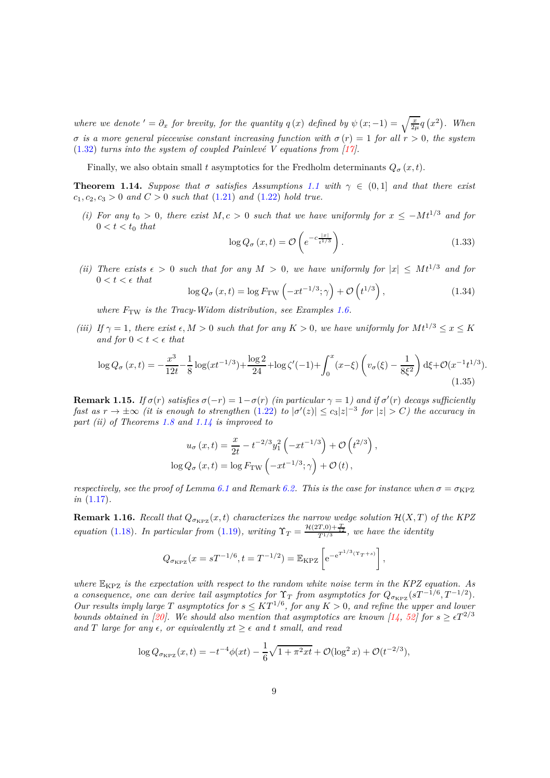*where we denote*  $' = \partial_x$  *for brevity, for the quantity*  $q(x)$  *defined by*  $\psi(x; -1) = \sqrt{\frac{x}{2\mu}}q(x^2)$ *. When σ is a more general piecewise constant increasing function with*  $\sigma(r) = 1$  *for all*  $r > 0$ *, the system*  $(1.32)$  *turns into the system of coupled Painlevé V equations from [\[17\]](#page-41-7)*.

Finally, we also obtain small *t* asymptotics for the Fredholm determinants  $Q_{\sigma}(x, t)$ .

<span id="page-8-0"></span>**Theorem [1.1](#page-2-0)4.** *Suppose that*  $\sigma$  *satisfies Assumptions* 1.1 *with*  $\gamma \in (0,1]$  *and that there exist*  $c_1, c_2, c_3 > 0$  *and*  $C > 0$  *such that* [\(1.21\)](#page-6-2) *and* [\(1.22\)](#page-6-3) *hold true.* 

*(i)* For any  $t_0 > 0$ , there exist  $M, c > 0$  such that we have uniformly for  $x \leq -Mt^{1/3}$  and for  $0 < t < t_0$  *that* 

$$
\log Q_{\sigma}\left(x,t\right) = \mathcal{O}\left(e^{-c\frac{|x|}{t^{1/3}}}\right). \tag{1.33}
$$

*(ii)* There exists  $\epsilon > 0$  such that for any  $M > 0$ , we have uniformly for  $|x| \leq Mt^{1/3}$  and for  $0 < t < \epsilon$  *that* 

$$
\log Q_{\sigma}\left(x,t\right) = \log F_{\rm TW}\left(-xt^{-1/3};\gamma\right) + \mathcal{O}\left(t^{1/3}\right),\tag{1.34}
$$

*where*  $F_{\text{TW}}$  *is the Tracy-Widom distribution, see Examples* [1.6.](#page-4-3)

*(iii)* If  $\gamma = 1$ , there exist  $\epsilon, M > 0$  such that for any  $K > 0$ , we have uniformly for  $Mt^{1/3} \leq x \leq K$ *and for*  $0 < t < \epsilon$  *that* 

$$
\log Q_{\sigma}(x,t) = -\frac{x^3}{12t} - \frac{1}{8}\log(xt^{-1/3}) + \frac{\log 2}{24} + \log\zeta'(-1) + \int_0^x (x-\xi)\left(v_{\sigma}(\xi) - \frac{1}{8\xi^2}\right) d\xi + \mathcal{O}(x^{-1}t^{1/3}).
$$
\n(1.35)

**Remark 1.15.** *If*  $\sigma(r)$  *satisfies*  $\sigma(-r) = 1 - \sigma(r)$  *(in particular*  $\gamma = 1$ *) and if*  $\sigma'(r)$  *decays sufficiently fast as*  $r \to \pm \infty$  *(it is enough to strengthen*  $(1.22)$  *to*  $|\sigma'(z)| \le c_3 |z|^{-3}$  *for*  $|z| > C$ *) the accuracy in part (ii) of Theorems [1.8](#page-6-1) and [1.14](#page-8-0) is improved to*

$$
u_{\sigma}(x,t) = \frac{x}{2t} - t^{-2/3}y_1^2\left(-xt^{-1/3}\right) + \mathcal{O}\left(t^{2/3}\right),
$$
  

$$
\log Q_{\sigma}(x,t) = \log F_{\text{TW}}\left(-xt^{-1/3};\gamma\right) + \mathcal{O}\left(t\right),
$$

*respectively, see the proof of Lemma [6.1](#page-26-0) and Remark [6.2.](#page-27-0) This is the case for instance when*  $\sigma = \sigma_{\text{KPZ}}$ *in* [\(1.17\)](#page-4-4)*.*

**Remark 1.16.** *Recall that*  $Q_{\sigma_{\text{KPZ}}}(x,t)$  *characterizes the narrow wedge solution*  $\mathcal{H}(X,T)$  *of the KPZ equation* [\(1.18\)](#page-5-2)*. In particular from* [\(1.19\)](#page-5-3)*, writing*  $\Upsilon_T = \frac{\mathcal{H}(2T,0) + \frac{T}{12}}{T^{1/3}}$ *, we have the identity* 

$$
Q_{\sigma_{\rm KPZ}}(x = sT^{-1/6}, t = T^{-1/2}) = \mathbb{E}_{\rm KPZ} \left[ e^{-e^{T^{1/3}(\Upsilon_T + s)}} \right],
$$

*where* EKPZ *is the expectation with respect to the random white noise term in the KPZ equation. As a* consequence, one can derive tail asymptotics for  $\Upsilon_T$  from asymptotics for  $Q_{\sigma_{KPZ}}(sT^{-1/6}, T^{-1/2})$ . *Our results imply large T asymptotics for*  $s \leq KT^{1/6}$ , *for any*  $K > 0$ , and refine the upper and lower *bounds obtained in* [\[20\]](#page-41-8)*.* We should also mention that asymptotics are known [\[14,](#page-40-11) [52\]](#page-43-2) for  $s \geq \epsilon T^{2/3}$ *and T large for any*  $\epsilon$ *, or equivalently*  $xt \geq \epsilon$  *and t small, and read* 

$$
\log Q_{\sigma_{\rm KPZ}}(x,t) = -t^{-4} \phi(xt) - \frac{1}{6} \sqrt{1 + \pi^2 xt} + \mathcal{O}(\log^2 x) + \mathcal{O}(t^{-2/3}),
$$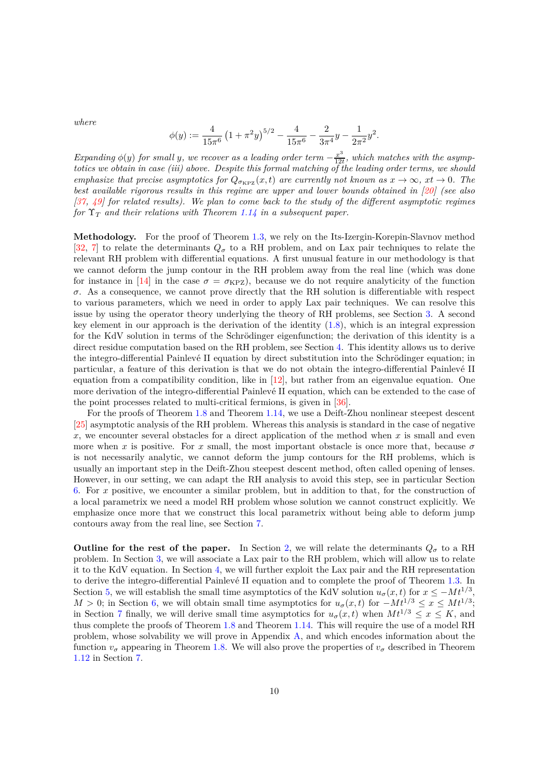*where*

$$
\phi(y) := \frac{4}{15\pi^6} \left(1 + \pi^2 y\right)^{5/2} - \frac{4}{15\pi^6} - \frac{2}{3\pi^4} y - \frac{1}{2\pi^2} y^2.
$$

*Expanding*  $\phi(y)$  *for small y, we recover as a leading order term*  $-\frac{x^3}{120}$  $\frac{x^{\infty}}{12t}$ , which matches with the asymp*totics we obtain in case (iii) above. Despite this formal matching of the leading order terms, we should emphasize that precise asymptotics for*  $Q_{\sigma_{\text{KPZ}}}(x,t)$  *are currently not known as*  $x \to \infty$ ,  $xt \to 0$ *. The best available rigorous results in this regime are upper and lower bounds obtained in [\[20\]](#page-41-8) (see also [\[37,](#page-42-14) [49\]](#page-42-15) for related results). We plan to come back to the study of the different asymptotic regimes for* Υ*<sup>T</sup> and their relations with Theorem [1.14](#page-8-0) in a subsequent paper.*

**Methodology.** For the proof of Theorem [1.3,](#page-3-1) we rely on the Its-Izergin-Korepin-Slavnov method [\[32,](#page-41-9) [7\]](#page-40-12) to relate the determinants  $Q_{\sigma}$  to a RH problem, and on Lax pair techniques to relate the relevant RH problem with differential equations. A first unusual feature in our methodology is that we cannot deform the jump contour in the RH problem away from the real line (which was done for instance in [\[14\]](#page-40-11) in the case  $\sigma = \sigma_{\text{KPZ}}$ , because we do not require analyticity of the function *σ*. As a consequence, we cannot prove directly that the RH solution is differentiable with respect to various parameters, which we need in order to apply Lax pair techniques. We can resolve this issue by using the operator theory underlying the theory of RH problems, see Section [3.](#page-14-0) A second key element in our approach is the derivation of the identity [\(1.8\)](#page-3-0), which is an integral expression for the KdV solution in terms of the Schrödinger eigenfunction; the derivation of this identity is a direct residue computation based on the RH problem, see Section [4.](#page-18-0) This identity allows us to derive the integro-differential Painlevé II equation by direct substitution into the Schrödinger equation; in particular, a feature of this derivation is that we do not obtain the integro-differential Painlevé II equation from a compatibility condition, like in  $[12]$ , but rather from an eigenvalue equation. One more derivation of the integro-differential Painlevé II equation, which can be extended to the case of the point processes related to multi-critical fermions, is given in [\[36\]](#page-42-16).

For the proofs of Theorem [1.8](#page-6-1) and Theorem [1.14,](#page-8-0) we use a Deift-Zhou nonlinear steepest descent [\[25\]](#page-41-10) asymptotic analysis of the RH problem. Whereas this analysis is standard in the case of negative *x*, we encounter several obstacles for a direct application of the method when *x* is small and even more when *x* is positive. For *x* small, the most important obstacle is once more that, because  $\sigma$ is not necessarily analytic, we cannot deform the jump contours for the RH problems, which is usually an important step in the Deift-Zhou steepest descent method, often called opening of lenses. However, in our setting, we can adapt the RH analysis to avoid this step, see in particular Section [6.](#page-22-0) For *x* positive, we encounter a similar problem, but in addition to that, for the construction of a local parametrix we need a model RH problem whose solution we cannot construct explicitly. We emphasize once more that we construct this local parametrix without being able to deform jump contours away from the real line, see Section [7.](#page-28-1)

**Outline for the rest of the paper.** In Section [2,](#page-10-0) we will relate the determinants  $Q_{\sigma}$  to a RH problem. In Section [3,](#page-14-0) we will associate a Lax pair to the RH problem, which will allow us to relate it to the KdV equation. In Section [4,](#page-18-0) we will further exploit the Lax pair and the RH representation to derive the integro-differential Painlevé II equation and to complete the proof of Theorem [1.3.](#page-3-1) In Section [5,](#page-20-0) we will establish the small time asymptotics of the KdV solution  $u_{\sigma}(x, t)$  for  $x \leq -Mt^{1/3}$ ,  $M > 0$ ; in Section [6,](#page-22-0) we will obtain small time asymptotics for  $u_{\sigma}(x, t)$  for  $-Mt^{1/3} \leq x \leq Mt^{1/3}$ ; in Section [7](#page-28-1) finally, we will derive small time asymptotics for  $u_{\sigma}(x, t)$  when  $Mt^{1/3} \leq x \leq K$ , and thus complete the proofs of Theorem [1.8](#page-6-1) and Theorem [1.14.](#page-8-0) This will require the use of a model RH problem, whose solvability we will prove in Appendix [A,](#page-38-0) and which encodes information about the function  $v_{\sigma}$  appearing in Theorem [1.8.](#page-6-1) We will also prove the properties of  $v_{\sigma}$  described in Theorem [1.12](#page-7-0) in Section [7.](#page-28-1)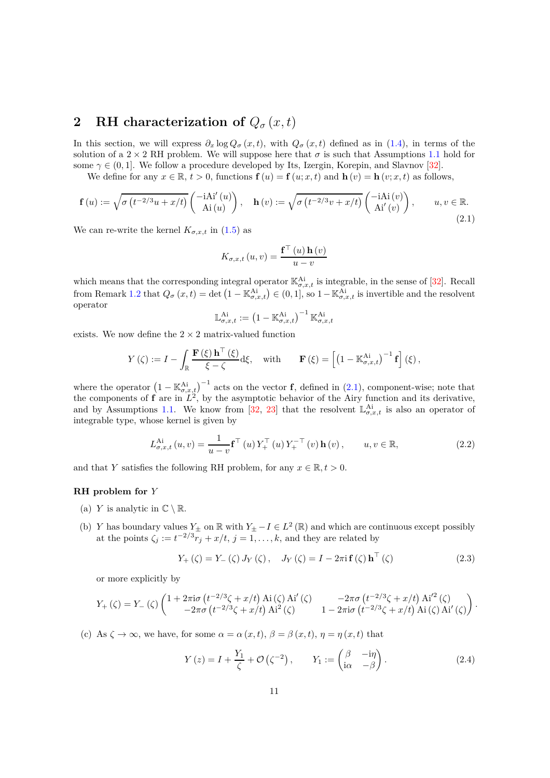# <span id="page-10-0"></span>**2** RH characterization of  $Q_{\sigma}(x,t)$

In this section, we will express  $\partial_x \log Q_\sigma(x,t)$ , with  $Q_\sigma(x,t)$  defined as in [\(1.4\)](#page-1-2), in terms of the solution of a 2  $\times$  2 RH problem. We will suppose here that  $\sigma$  is such that Assumptions [1.1](#page-2-0) hold for some  $\gamma \in (0,1]$ . We follow a procedure developed by Its, Izergin, Korepin, and Slavnov [\[32\]](#page-41-9).

We define for any  $x \in \mathbb{R}$ ,  $t > 0$ , functions  $f(u) = f(u; x, t)$  and  $h(v) = h(v; x, t)$  as follows,

<span id="page-10-1"></span>
$$
\mathbf{f}(u) := \sqrt{\sigma \left( t^{-2/3} u + x/t \right)} \begin{pmatrix} -i \mathbf{A} i'(u) \\ A i(u) \end{pmatrix}, \quad \mathbf{h}(v) := \sqrt{\sigma \left( t^{-2/3} v + x/t \right)} \begin{pmatrix} -i \mathbf{A} i(v) \\ A i'(v) \end{pmatrix}, \qquad u, v \in \mathbb{R}.
$$
\n(2.1)

We can re-write the kernel  $K_{\sigma,x,t}$  in [\(1.5\)](#page-1-3) as

$$
K_{\sigma,x,t}(u,v) = \frac{\mathbf{f}^\top(u)\mathbf{h}(v)}{u-v}
$$

which means that the corresponding integral operator  $\mathbb{K}_{\sigma,x,t}^{\text{Ai}}$  is integrable, in the sense of [\[32\]](#page-41-9). Recall from Remark [1.2](#page-2-1) that  $Q_{\sigma}(x,t) = \det (1 - \mathbb{K}_{\sigma,x,t}^{\mathcal{A}i}) \in (0,1],$  so  $1 - \mathbb{K}_{\sigma,x,t}^{\mathcal{A}i}$  is invertible and the resolvent operator

$$
\mathbb{L}_{\sigma,x,t}^{\mathrm{Ai}}:=\left(1-\mathbb{K}_{\sigma,x,t}^{\mathrm{Ai}}\right)^{-1}\mathbb{K}_{\sigma,x,t}^{\mathrm{Ai}}
$$

exists. We now define the  $2 \times 2$  matrix-valued function

$$
Y(\zeta) := I - \int_{\mathbb{R}} \frac{\mathbf{F}(\xi) \mathbf{h}^{\top}(\xi)}{\xi - \zeta} d\xi, \quad \text{with} \quad \mathbf{F}(\xi) = \left[ \left( 1 - \mathbb{K}^{\mathrm{Ai}}_{\sigma,x,t} \right)^{-1} \mathbf{f} \right] (\xi),
$$

where the operator  $(1 - \mathbb{K}_{\sigma,x,t}^{\mathcal{A}i})^{-1}$  acts on the vector **f**, defined in [\(2.1\)](#page-10-1), component-wise; note that the components of  $f$  are in  $L^2$ , by the asymptotic behavior of the Airy function and its derivative, and by Assumptions [1.1.](#page-2-0) We know from [\[32,](#page-41-9) [23\]](#page-41-11) that the resolvent  $\mathbb{L}_{\sigma,x,t}^{\mathcal{A}i}$  is also an operator of integrable type, whose kernel is given by

<span id="page-10-3"></span>
$$
L_{\sigma,x,t}^{\mathrm{Ai}}(u,v) = \frac{1}{u-v} \mathbf{f}^{\top}(u) Y_{+}^{\top}(u) Y_{+}^{-\top}(v) \mathbf{h}(v), \qquad u, v \in \mathbb{R}, \tag{2.2}
$$

and that *Y* satisfies the following RH problem, for any  $x \in \mathbb{R}, t > 0$ .

### **RH problem for** *Y*

- (a) *Y* is analytic in  $\mathbb{C} \setminus \mathbb{R}$ .
- (b) *Y* has boundary values  $Y_{\pm}$  on  $\mathbb{R}$  with  $Y_{\pm} I \in L^2(\mathbb{R})$  and which are continuous except possibly at the points  $\zeta_j := t^{-2/3} r_j + x/t, j = 1, \ldots, k$ , and they are related by

<span id="page-10-4"></span>
$$
Y_{+}(\zeta) = Y_{-}(\zeta) J_{Y}(\zeta), J_{Y}(\zeta) = I - 2\pi i \mathbf{f}(\zeta) \mathbf{h}^{T}(\zeta)
$$
 (2.3)

or more explicitly by

$$
Y_{+}(\zeta) = Y_{-}(\zeta) \begin{pmatrix} 1 + 2\pi i\sigma \left(t^{-2/3}\zeta + x/t\right) Ai(\zeta) Ai'(\zeta) & -2\pi\sigma \left(t^{-2/3}\zeta + x/t\right) Ai'^2(\zeta) \\ -2\pi\sigma \left(t^{-2/3}\zeta + x/t\right) Ai^2(\zeta) & 1 - 2\pi i\sigma \left(t^{-2/3}\zeta + x/t\right) Ai(\zeta) Ai'(\zeta) \end{pmatrix}.
$$

(c) As  $\zeta \to \infty$ , we have, for some  $\alpha = \alpha(x, t)$ ,  $\beta = \beta(x, t)$ ,  $\eta = \eta(x, t)$  that

<span id="page-10-2"></span>
$$
Y(z) = I + \frac{Y_1}{\zeta} + \mathcal{O}\left(\zeta^{-2}\right), \qquad Y_1 := \begin{pmatrix} \beta & -i\eta \\ i\alpha & -\beta \end{pmatrix}.
$$
 (2.4)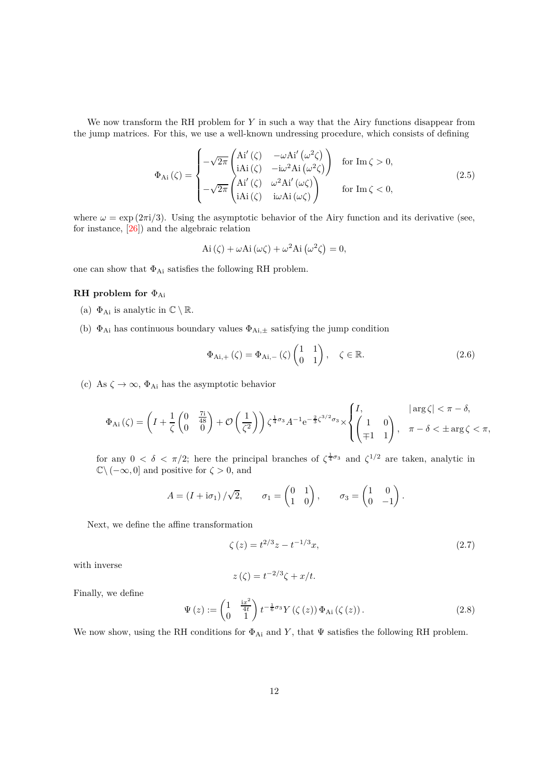We now transform the RH problem for *Y* in such a way that the Airy functions disappear from the jump matrices. For this, we use a well-known undressing procedure, which consists of defining

$$
\Phi_{Ai}(\zeta) = \begin{cases}\n-\sqrt{2\pi} \begin{pmatrix}\nAi'(\zeta) & -\omega Ai'(\omega^2 \zeta) \\
iAi(\zeta) & -i\omega^2 Ai(\omega^2 \zeta)\n\end{pmatrix} & \text{for } Im \zeta > 0, \\
-\sqrt{2\pi} \begin{pmatrix}\nAi'(\zeta) & \omega^2 Ai'(\omega \zeta) \\
iAi(\zeta) & i\omega Ai(\omega \zeta)\n\end{pmatrix} & \text{for } Im \zeta < 0,\n\end{cases}
$$
\n(2.5)

where  $\omega = \exp(2\pi i/3)$ . Using the asymptotic behavior of the Airy function and its derivative (see, for instance, [\[26\]](#page-41-12)) and the algebraic relation

$$
\mathrm{Ai}(\zeta) + \omega \mathrm{Ai}(\omega \zeta) + \omega^2 \mathrm{Ai}(\omega^2 \zeta) = 0,
$$

one can show that  $\Phi_{Ai}$  satisfies the following RH problem.

### **RH problem for** ΦAi

- (a)  $\Phi_{Ai}$  is analytic in  $\mathbb{C} \setminus \mathbb{R}$ .
- (b) ΦAi has continuous boundary values ΦAi*,*<sup>±</sup> satisfying the jump condition

$$
\Phi_{Ai,+}(\zeta) = \Phi_{Ai,-}(\zeta) \begin{pmatrix} 1 & 1 \\ 0 & 1 \end{pmatrix}, \quad \zeta \in \mathbb{R}.
$$
 (2.6)

(c) As  $\zeta \to \infty$ ,  $\Phi_{Ai}$  has the asymptotic behavior

$$
\Phi_{Ai}(\zeta) = \left(I + \frac{1}{\zeta} \begin{pmatrix} 0 & \frac{7i}{48} \\ 0 & 0 \end{pmatrix} + \mathcal{O}\left(\frac{1}{\zeta^2}\right)\right) \zeta^{\frac{1}{4}\sigma_3} A^{-1} e^{-\frac{2}{3}\zeta^{3/2} \sigma_3} \times \begin{cases} I, & |\arg \zeta| < \pi - \delta, \\ \begin{pmatrix} 1 & 0 \\ \mp 1 & 1 \end{pmatrix}, & \pi - \delta < \pm \arg \zeta < \pi, \end{cases}
$$

for any  $0 < \delta < \pi/2$ ; here the principal branches of  $\zeta^{\frac{1}{4}\sigma_3}$  and  $\zeta^{1/2}$  are taken, analytic in  $\mathbb{C}\setminus(-\infty,0]$  and positive for  $\zeta>0$ , and

$$
A = (I + i\sigma_1) / \sqrt{2}, \qquad \sigma_1 = \begin{pmatrix} 0 & 1 \\ 1 & 0 \end{pmatrix}, \qquad \sigma_3 = \begin{pmatrix} 1 & 0 \\ 0 & -1 \end{pmatrix}.
$$

Next, we define the affine transformation

<span id="page-11-0"></span>
$$
\zeta(z) = t^{2/3}z - t^{-1/3}x,\tag{2.7}
$$

with inverse

$$
z(\zeta) = t^{-2/3}\zeta + x/t.
$$

Finally, we define

<span id="page-11-1"></span>
$$
\Psi(z) := \begin{pmatrix} 1 & \frac{iz^2}{4t} \\ 0 & 1 \end{pmatrix} t^{-\frac{1}{6}\sigma_3} Y(\zeta(z)) \Phi_{Ai}(\zeta(z)). \tag{2.8}
$$

We now show, using the RH conditions for  $\Phi_{Ai}$  and *Y*, that  $\Psi$  satisfies the following RH problem.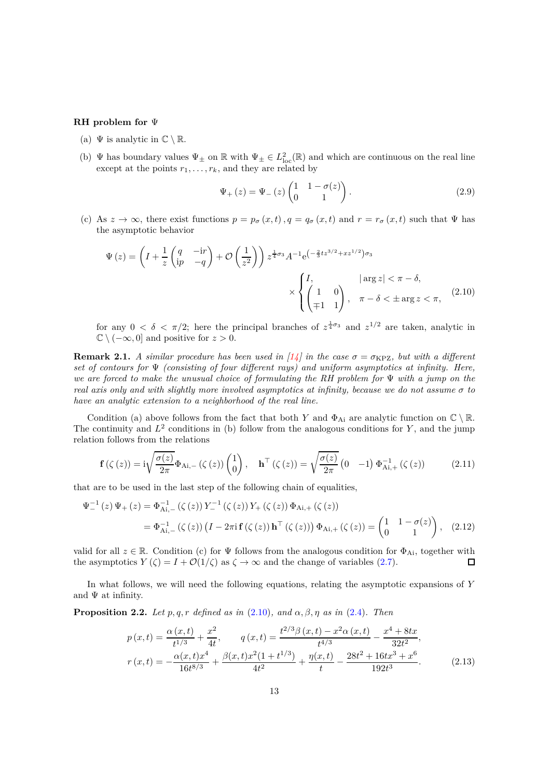#### **RH problem for** Ψ

- (a)  $\Psi$  is analytic in  $\mathbb{C} \setminus \mathbb{R}$ .
- (b)  $\Psi$  has boundary values  $\Psi_{\pm}$  on  $\mathbb{R}$  with  $\Psi_{\pm} \in L^2_{\text{loc}}(\mathbb{R})$  and which are continuous on the real line except at the points  $r_1, \ldots, r_k$ , and they are related by

<span id="page-12-4"></span><span id="page-12-0"></span>
$$
\Psi_{+}(z) = \Psi_{-}(z) \begin{pmatrix} 1 & 1 - \sigma(z) \\ 0 & 1 \end{pmatrix}.
$$
 (2.9)

(c) As  $z \to \infty$ , there exist functions  $p = p_{\sigma}(x, t)$ ,  $q = q_{\sigma}(x, t)$  and  $r = r_{\sigma}(x, t)$  such that  $\Psi$  has the asymptotic behavior

$$
\Psi(z) = \left(I + \frac{1}{z} \begin{pmatrix} q & -\mathrm{i}r \\ \mathrm{i}p & -q \end{pmatrix} + \mathcal{O}\left(\frac{1}{z^2}\right)\right) z^{\frac{1}{4}\sigma_3} A^{-1} e^{\left(-\frac{2}{3}tz^{3/2} + xz^{1/2}\right)\sigma_3}
$$
\n
$$
\times \begin{cases} I, & |\arg z| < \pi - \delta, \\ \left(\frac{1}{\mp 1} & 1\right), & \pi - \delta < \pm \arg z < \pi, \end{cases} \tag{2.10}
$$

for any  $0 < \delta < \pi/2$ ; here the principal branches of  $z^{\frac{1}{4}\sigma_3}$  and  $z^{1/2}$  are taken, analytic in  $\mathbb{C} \setminus (-\infty, 0]$  and positive for  $z > 0$ .

**Remark 2.1.** *A similar procedure has been used in* [\[14\]](#page-40-11) *in the case*  $\sigma = \sigma_{KPZ}$ *, but with a different set of contours for* Ψ *(consisting of four different rays) and uniform asymptotics at infinity. Here, we are forced to make the unusual choice of formulating the RH problem for* Ψ *with a jump on the real axis only and with slightly more involved asymptotics at infinity, because we do not assume*  $\sigma$  *to have an analytic extension to a neighborhood of the real line.*

Condition (a) above follows from the fact that both *Y* and  $\Phi_{Ai}$  are analytic function on  $\mathbb{C} \setminus \mathbb{R}$ . The continuity and  $L^2$  conditions in (b) follow from the analogous conditions for *Y*, and the jump relation follows from the relations

<span id="page-12-1"></span>
$$
\mathbf{f}\left(\zeta\left(z\right)\right) = i\sqrt{\frac{\sigma(z)}{2\pi}}\Phi_{Ai,-}\left(\zeta\left(z\right)\right)\begin{pmatrix}1\\0\end{pmatrix}, \quad \mathbf{h}^{\top}\left(\zeta\left(z\right)\right) = \sqrt{\frac{\sigma(z)}{2\pi}}\begin{pmatrix}0 & -1\end{pmatrix}\Phi_{Ai,+}^{-1}\left(\zeta\left(z\right)\right) \tag{2.11}
$$

that are to be used in the last step of the following chain of equalities,

$$
\Psi_{-}^{-1}(z)\Psi_{+}(z) = \Phi_{\mathrm{Ai},-}^{-1}(\zeta(z))Y_{-}^{-1}(\zeta(z))Y_{+}(\zeta(z))\Phi_{\mathrm{Ai},+}(\zeta(z))
$$
  
=  $\Phi_{\mathrm{Ai},-}^{-1}(\zeta(z))\left(I - 2\pi i \mathbf{f}(\zeta(z))\mathbf{h}^{\top}(\zeta(z))\right)\Phi_{\mathrm{Ai},+}(\zeta(z)) = \begin{pmatrix} 1 & 1 - \sigma(z) \\ 0 & 1 \end{pmatrix}, (2.12)$ 

valid for all  $z \in \mathbb{R}$ . Condition (c) for  $\Psi$  follows from the analogous condition for  $\Phi_{Ai}$ , together with the asymptotics  $Y(\zeta) = I + \mathcal{O}(1/\zeta)$  as  $\zeta \to \infty$  and the change of variables (2.7). the asymptotics  $Y(\zeta) = I + \mathcal{O}(1/\zeta)$  as  $\zeta \to \infty$  and the change of variables [\(2.7\)](#page-11-0).

In what follows, we will need the following equations, relating the asymptotic expansions of *Y* and  $\Psi$  at infinity.

**Proposition 2.2.** *Let*  $p, q, r$  *defined as in* [\(2.10\)](#page-12-0)*, and*  $\alpha, \beta, \eta$  *as in* [\(2.4\)](#page-10-2)*. Then* 

<span id="page-12-3"></span><span id="page-12-2"></span>
$$
p(x,t) = \frac{\alpha(x,t)}{t^{1/3}} + \frac{x^2}{4t}, \qquad q(x,t) = \frac{t^{2/3}\beta(x,t) - x^2\alpha(x,t)}{t^{4/3}} - \frac{x^4 + 8tx}{32t^2},
$$

$$
r(x,t) = -\frac{\alpha(x,t)x^4}{16t^{8/3}} + \frac{\beta(x,t)x^2(1+t^{1/3})}{4t^2} + \frac{\eta(x,t)}{t} - \frac{28t^2 + 16tx^3 + x^6}{192t^3}.
$$
(2.13)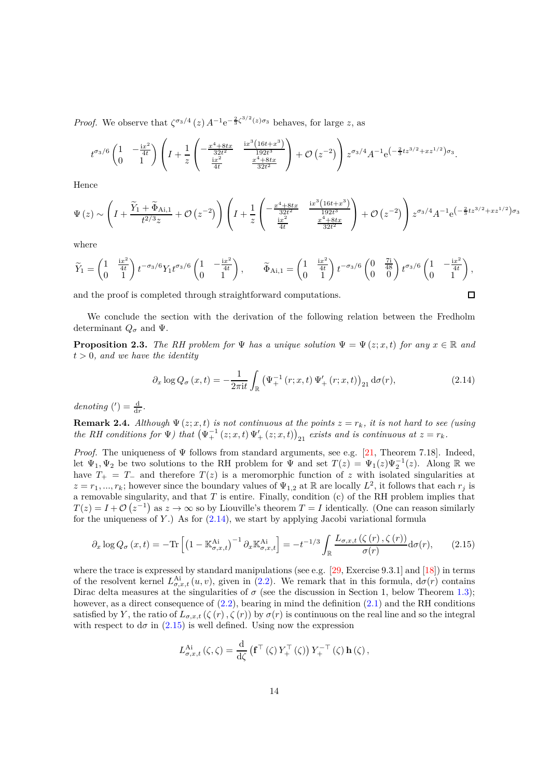*Proof.* We observe that  $\zeta^{\sigma_3/4}(z) A^{-1} e^{-\frac{2}{3}\zeta^{3/2}(z)\sigma_3}$  behaves, for large *z*, as

$$
t^{\sigma_3/6} \begin{pmatrix} 1 & -\frac{ix^2}{4t} \\ 0 & 1 \end{pmatrix} \left( I + \frac{1}{z} \begin{pmatrix} -\frac{x^4 + 8tx}{32t^2} & \frac{ix^3(16t + x^3)}{192t^3} \\ \frac{ix^2}{4t} & \frac{x^4 + 8tx}{32t^2} \end{pmatrix} + \mathcal{O}\left(z^{-2}\right) \right) z^{\sigma_3/4} A^{-1} e^{\left(-\frac{2}{3}tz^{3/2} + xz^{1/2}\right)\sigma_3}.
$$

Hence

$$
\Psi\left(z\right) \sim \left(I + \frac{\widetilde{Y}_1 + \widetilde{\Phi}_{Ai,1}}{t^{2/3}z} + \mathcal{O}\left(z^{-2}\right)\right)\left(I + \frac{1}{z}\left(-\frac{x^4 + 8tx}{\frac{32t^2}{4t}} - \frac{\frac{ix^3\left(16t + x^3\right)}{192t^3}}{\frac{x^4 + 8tx}{32t^2}}\right) + \mathcal{O}\left(z^{-2}\right)\right)z^{\sigma_3/4}A^{-1}e^{\left(-\frac{2}{3}tz^{3/2} + xz^{1/2}\right)\sigma_3}
$$

where

$$
\widetilde{Y}_1 = \begin{pmatrix} 1 & \frac{ix^2}{4t} \\ 0 & 1 \end{pmatrix} t^{-\sigma_3/6} Y_1 t^{\sigma_3/6} \begin{pmatrix} 1 & -\frac{ix^2}{4t} \\ 0 & 1 \end{pmatrix}, \qquad \widetilde{\Phi}_{Ai,1} = \begin{pmatrix} 1 & \frac{ix^2}{4t} \\ 0 & 1 \end{pmatrix} t^{-\sigma_3/6} \begin{pmatrix} 0 & \frac{7i}{48} \\ 0 & 0 \end{pmatrix} t^{\sigma_3/6} \begin{pmatrix} 1 & -\frac{ix^2}{4t} \\ 0 & 1 \end{pmatrix},
$$

and the proof is completed through straightforward computations.

We conclude the section with the derivation of the following relation between the Fredholm determinant  $Q_{\sigma}$  and  $\Psi$ .

<span id="page-13-2"></span>**Proposition 2.3.** *The RH problem for*  $\Psi$  *has a unique solution*  $\Psi = \Psi(z; x, t)$  *for any*  $x \in \mathbb{R}$  *and t >* 0*, and we have the identity*

<span id="page-13-0"></span>
$$
\partial_x \log Q_{\sigma}(x,t) = -\frac{1}{2\pi i t} \int_{\mathbb{R}} \left( \Psi_{+}^{-1}(r;x,t) \Psi_{+}'(r;x,t) \right)_{21} d\sigma(r), \tag{2.14}
$$

□

 $denoting(')=\frac{d}{dr}.$ 

**Remark 2.4.** Although  $\Psi(z; x, t)$  is not continuous at the points  $z = r_k$ , it is not hard to see (using *the RH conditions for*  $\Psi$ *) that*  $(\Psi_+^{-1}(z; x, t) \Psi_+'(z; x, t))_{21}$  *exists and is continuous at*  $z = r_k$ *.* 

*Proof.* The uniqueness of  $\Psi$  follows from standard arguments, see e.g. [\[21,](#page-41-13) Theorem 7.18]. Indeed, let  $\Psi_1, \Psi_2$  be two solutions to the RH problem for  $\Psi$  and set  $T(z) = \Psi_1(z)\Psi_2^{-1}(z)$ . Along R we have  $T_{+} = T_{-}$  and therefore  $T(z)$  is a meromorphic function of *z* with isolated singularities at  $z = r_1, ..., r_k$ ; however since the boundary values of  $\Psi_{1,2}$  at R are locally  $L^2$ , it follows that each  $r_j$  is a removable singularity, and that *T* is entire. Finally, condition (c) of the RH problem implies that  $T(z) = I + \mathcal{O}(z^{-1})$  as  $z \to \infty$  so by Liouville's theorem  $T = I$  identically. (One can reason similarly for the uniqueness of *Y* .) As for [\(2.14\)](#page-13-0), we start by applying Jacobi variational formula

<span id="page-13-1"></span>
$$
\partial_x \log Q_{\sigma}\left(x,t\right) = -\text{Tr}\left[\left(1 - \mathbb{K}^{\text{Ai}}_{\sigma,x,t}\right)^{-1} \partial_x \mathbb{K}^{\text{Ai}}_{\sigma,x,t}\right] = -t^{-1/3} \int_{\mathbb{R}} \frac{L_{\sigma,x,t}\left(\zeta\left(r\right),\zeta\left(r\right)\right)}{\sigma(r)} \mathrm{d}\sigma(r),\tag{2.15}
$$

where the trace is expressed by standard manipulations (see e.g.  $[29,$  Exercise 9.3.1] and  $[18]$ ) in terms of the resolvent kernel  $L_{\sigma,x,t}^{\text{Ai}}(u,v)$ , given in [\(2.2\)](#page-10-3). We remark that in this formula,  $d\sigma(r)$  contains Dirac delta measures at the singularities of  $\sigma$  (see the discussion in Section 1, below Theorem [1.3\)](#page-3-1); however, as a direct consequence of  $(2.2)$ , bearing in mind the definition  $(2.1)$  and the RH conditions satisfied by *Y*, the ratio of  $L_{\sigma,x,t}(\zeta(r),\zeta(r))$  by  $\sigma(r)$  is continuous on the real line and so the integral with respect to  $d\sigma$  in [\(2.15\)](#page-13-1) is well defined. Using now the expression

$$
L_{\sigma,x,t}^{\mathrm{Ai}}\left(\zeta,\zeta\right) = \frac{\mathrm{d}}{\mathrm{d}\zeta} \left(\mathbf{f}^\top\left(\zeta\right)Y_+^\top\left(\zeta\right)\right)Y_+^{-\top}\left(\zeta\right)\mathbf{h}\left(\zeta\right),
$$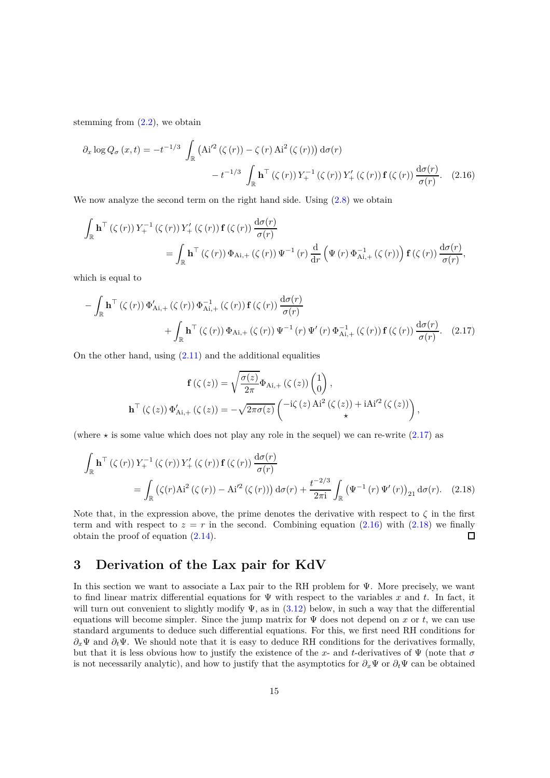stemming from  $(2.2)$ , we obtain

<span id="page-14-2"></span>
$$
\partial_x \log Q_{\sigma}(x,t) = -t^{-1/3} \int_{\mathbb{R}} \left( \mathbf{A} i'^2 \left( \zeta(r) \right) - \zeta(r) \mathbf{A} i^2 \left( \zeta(r) \right) \right) d\sigma(r)
$$

$$
- t^{-1/3} \int_{\mathbb{R}} \mathbf{h}^\top \left( \zeta(r) \right) Y_+^{-1} \left( \zeta(r) \right) Y_+' \left( \zeta(r) \right) \mathbf{f} \left( \zeta(r) \right) \frac{d\sigma(r)}{\sigma(r)}. (2.16)
$$

We now analyze the second term on the right hand side. Using  $(2.8)$  we obtain

$$
\int_{\mathbb{R}} \mathbf{h}^{\top} (\zeta(r)) Y_{+}^{-1} (\zeta(r)) Y_{+}' (\zeta(r)) \mathbf{f} (\zeta(r)) \frac{d\sigma(r)}{\sigma(r)}
$$
\n
$$
= \int_{\mathbb{R}} \mathbf{h}^{\top} (\zeta(r)) \Phi_{Ai,+} (\zeta(r)) \Psi^{-1}(r) \frac{d}{dr} (\Psi(r) \Phi_{Ai,+}^{-1} (\zeta(r)) \mathbf{f} (\zeta(r)) \frac{d\sigma(r)}{\sigma(r)},
$$

which is equal to

$$
-\int_{\mathbb{R}} \mathbf{h}^{\top} \left(\zeta(r)\right) \Phi'_{\mathrm{Ai},+} \left(\zeta(r)\right) \Phi_{\mathrm{Ai},+}^{-1} \left(\zeta(r)\right) \mathbf{f}\left(\zeta(r)\right) \frac{\mathrm{d}\sigma(r)}{\sigma(r)} + \int_{\mathbb{R}} \mathbf{h}^{\top} \left(\zeta(r)\right) \Phi_{\mathrm{Ai},+} \left(\zeta(r)\right) \Psi^{-1}(r) \Psi'(r) \Phi_{\mathrm{Ai},+}^{-1} \left(\zeta(r)\right) \mathbf{f}\left(\zeta(r)\right) \frac{\mathrm{d}\sigma(r)}{\sigma(r)}. (2.17)
$$

On the other hand, using  $(2.11)$  and the additional equalities

<span id="page-14-3"></span><span id="page-14-1"></span>
$$
\mathbf{f}\left(\zeta\left(z\right)\right) = \sqrt{\frac{\sigma(z)}{2\pi}} \Phi_{\mathrm{Ai},+}\left(\zeta\left(z\right)\right) \begin{pmatrix} 1\\0 \end{pmatrix},
$$

$$
\mathbf{h}^{\top}\left(\zeta\left(z\right)\right) \Phi'_{\mathrm{Ai},+}\left(\zeta\left(z\right)\right) = -\sqrt{2\pi\sigma(z)} \begin{pmatrix} -\mathrm{i}\zeta\left(z\right)\mathrm{Ai}^{2}\left(\zeta\left(z\right)\right) + \mathrm{i}\mathrm{Ai}'^{2}\left(\zeta\left(z\right)\right) \\ \star \end{pmatrix},
$$

(where  $\star$  is some value which does not play any role in the sequel) we can re-write [\(2.17\)](#page-14-1) as

$$
\int_{\mathbb{R}} \mathbf{h}^{\top} (\zeta(r)) Y_{+}^{-1} (\zeta(r)) Y'_{+} (\zeta(r)) \mathbf{f} (\zeta(r)) \frac{d\sigma(r)}{\sigma(r)}
$$
\n
$$
= \int_{\mathbb{R}} (\zeta(r) \mathbf{A} i^{2} (\zeta(r)) - \mathbf{A} i'^{2} (\zeta(r))) d\sigma(r) + \frac{t^{-2/3}}{2\pi i} \int_{\mathbb{R}} (\Psi^{-1}(r) \Psi'(r))_{21} d\sigma(r). \quad (2.18)
$$

Note that, in the expression above, the prime denotes the derivative with respect to  $\zeta$  in the first term and with respect to  $z = r$  in the second. Combining equation [\(2.16\)](#page-14-2) with [\(2.18\)](#page-14-3) we finally obtain the proof of equation [\(2.14\)](#page-13-0).  $\Box$ 

# <span id="page-14-0"></span>**3 Derivation of the Lax pair for KdV**

In this section we want to associate a Lax pair to the RH problem for Ψ. More precisely, we want to find linear matrix differential equations for Ψ with respect to the variables *x* and *t*. In fact, it will turn out convenient to slightly modify  $\Psi$ , as in [\(3.12\)](#page-17-0) below, in such a way that the differential equations will become simpler. Since the jump matrix for  $\Psi$  does not depend on *x* or *t*, we can use standard arguments to deduce such differential equations. For this, we first need RH conditions for *∂x*Ψ and *∂t*Ψ. We should note that it is easy to deduce RH conditions for the derivatives formally, but that it is less obvious how to justify the existence of the x- and t-derivatives of  $\Psi$  (note that  $\sigma$ is not necessarily analytic), and how to justify that the asymptotics for  $\partial_x \Psi$  or  $\partial_t \Psi$  can be obtained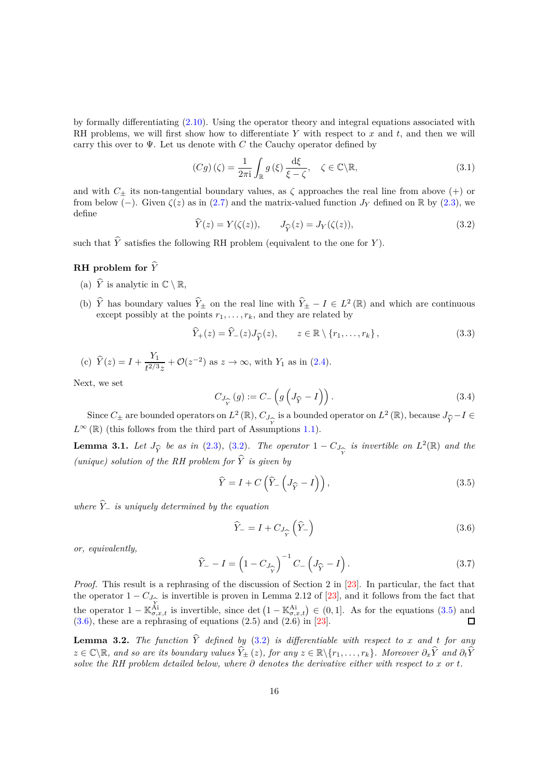by formally differentiating [\(2.10\)](#page-12-0). Using the operator theory and integral equations associated with RH problems, we will first show how to differentiate *Y* with respect to *x* and *t*, and then we will carry this over to  $\Psi$ . Let us denote with *C* the Cauchy operator defined by

$$
(Cg)(\zeta) = \frac{1}{2\pi i} \int_{\mathbb{R}} g(\xi) \frac{d\xi}{\xi - \zeta}, \quad \zeta \in \mathbb{C} \backslash \mathbb{R}, \tag{3.1}
$$

and with  $C_{\pm}$  its non-tangential boundary values, as  $\zeta$  approaches the real line from above (+) or from below (–). Given  $\zeta(z)$  as in [\(2.7\)](#page-11-0) and the matrix-valued function *J<sub>Y</sub>* defined on R by [\(2.3\)](#page-10-4), we define

<span id="page-15-0"></span>
$$
\widehat{Y}(z) = Y(\zeta(z)), \qquad J_{\widehat{Y}}(z) = J_Y(\zeta(z)), \tag{3.2}
$$

such that  $\hat{Y}$  satisfies the following RH problem (equivalent to the one for *Y*).

### **RH** problem for  $\hat{Y}$

- (a)  $\hat{Y}$  is analytic in  $\mathbb{C} \setminus \mathbb{R}$ ,
- (b)  $\hat{Y}$  has boundary values  $\hat{Y}_{\pm}$  on the real line with  $\hat{Y}_{\pm} I \in L^2(\mathbb{R})$  and which are continuous except possibly at the points  $r_1, \ldots, r_k$ , and they are related by

$$
\widehat{Y}_+(z) = \widehat{Y}_-(z)J_{\widehat{Y}}(z), \qquad z \in \mathbb{R} \setminus \{r_1, \dots, r_k\},\tag{3.3}
$$

(c) 
$$
\hat{Y}(z) = I + \frac{Y_1}{t^{2/3}z} + \mathcal{O}(z^{-2})
$$
 as  $z \to \infty$ , with  $Y_1$  as in (2.4).

Next, we set

<span id="page-15-5"></span>
$$
C_{J_{\widehat{Y}}}(g) := C_{-}\left(g\left(J_{\widehat{Y}} - I\right)\right). \tag{3.4}
$$

Since  $C_{\pm}$  are bounded operators on  $L^2(\mathbb{R})$ ,  $C_{J_{\widehat{Y}}}$  is a bounded operator on  $L^2(\mathbb{R})$ , because  $J_{\widehat{Y}}-I \in$  $L^{\infty}(\mathbb{R})$  (this follows from the third part of Assumptions [1.1\)](#page-2-0).

**Lemma 3.1.** *Let*  $J_{\widehat{Y}}$  *be as in* [\(2.3\)](#page-10-4)*,* [\(3.2\)](#page-15-0)*. The operator*  $1 - C_J$ *Y*b b*Y is invertible on*  $L^2(\mathbb{R})$  *and the (unique) solution of the RH problem for Y*b *is given by*

<span id="page-15-1"></span>
$$
\widehat{Y} = I + C\left(\widehat{Y}_-\left(J_{\widehat{Y}} - I\right)\right),\tag{3.5}
$$

*where*  $\hat{Y}_-$  *is uniquely determined by the equation* 

<span id="page-15-2"></span>
$$
\hat{Y}_{-} = I + C_{J_{\hat{Y}}}\left(\hat{Y}_{-}\right) \tag{3.6}
$$

*or, equivalently,*

<span id="page-15-3"></span>
$$
\widehat{Y}_{-} - I = \left(1 - C_{J_{\widehat{Y}}}\right)^{-1} C_{-} \left(J_{\widehat{Y}} - I\right). \tag{3.7}
$$

*Proof.* This result is a rephrasing of the discussion of Section 2 in [\[23\]](#page-41-11). In particular, the fact that the operator  $1 - C_{J_{\widehat{Y}}}$  is invertible is proven in Lemma 2.12 of [\[23\]](#page-41-11), and it follows from the fact that the operator  $1 - \mathbb{K}_{\sigma,x,t}^{\lambda_1}$  is invertible, since det  $(1 - \mathbb{K}_{\sigma,x,t}^{\lambda_1}) \in (0,1]$ . As for the equations [\(3.5\)](#page-15-1) and  $(3.6)$ , these are a rephrasing of equations  $(2.5)$  and  $(2.6)$  in [\[23\]](#page-41-11).

<span id="page-15-4"></span>**Lemma 3.2.** *The function*  $\hat{Y}$  *defined by* [\(3.2\)](#page-15-0) *is differentiable with respect to x and t for any z* ∈  $\mathbb{C}\backslash\mathbb{R}$ *, and so are its boundary values*  $\hat{Y}_+(z)$ *, for any*  $z \in \mathbb{R}\backslash\{r_1,\ldots,r_k\}$ *. Moreover*  $\partial_x\hat{Y}$  *and*  $\partial_t\hat{Y}$ *solve the RH problem detailed below, where*  $\partial$  *denotes the derivative either with respect to*  $x$  *or*  $t$ *.*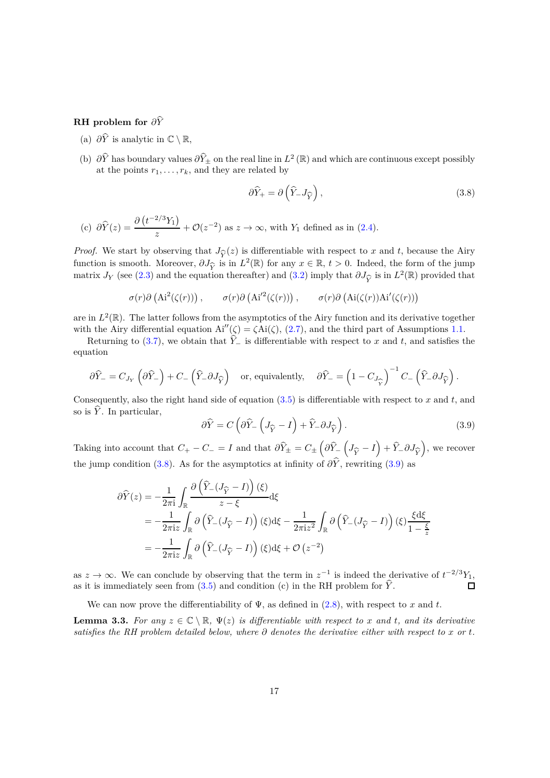## **RH** problem for  $\partial \hat{Y}$

- (a)  $\partial \hat{Y}$  is analytic in  $\mathbb{C} \setminus \mathbb{R}$ ,
- (b)  $\partial \hat{Y}$  has boundary values  $\partial \hat{Y}_{\pm}$  on the real line in  $L^2(\mathbb{R})$  and which are continuous except possibly at the points  $r_1, \ldots, r_k$ , and they are related by

<span id="page-16-0"></span>
$$
\partial \widehat{Y}_+ = \partial \left(\widehat{Y}_- J_{\widehat{Y}}\right),\tag{3.8}
$$

(c) 
$$
\partial \widehat{Y}(z) = \frac{\partial (t^{-2/3}Y_1)}{z} + \mathcal{O}(z^{-2})
$$
 as  $z \to \infty$ , with  $Y_1$  defined as in (2.4).

*Proof.* We start by observing that  $J_{\hat{\mathcal{L}}}(z)$  is differentiable with respect to *x* and *t*, because the Airy function is smooth. Moreover,  $\partial J_{\hat{Y}}$  is in  $L^2(\mathbb{R})$  for any  $x \in \mathbb{R}$ ,  $t > 0$ . Indeed, the form of the jump<br>matrix *L<sub>V</sub>* (see (2.3) and the equation thereafter) and (3.2) imply that  $\partial L_2$  is in  $L^2(\mathbb{R})$  pr matrix *J<sub>Y</sub>* (see [\(2.3\)](#page-10-4) and the equation thereafter) and [\(3.2\)](#page-15-0) imply that  $\partial J_{\hat{Y}}$  is in  $L^2(\mathbb{R})$  provided that

$$
\sigma(r)\partial\left(\mathrm{Ai}^2(\zeta(r))\right), \qquad \sigma(r)\partial\left(\mathrm{Ai}'^2(\zeta(r))\right), \qquad \sigma(r)\partial\left(\mathrm{Ai}(\zeta(r))\mathrm{Ai}'(\zeta(r))\right)
$$

are in  $L^2(\mathbb{R})$ . The latter follows from the asymptotics of the Airy function and its derivative together with the Airy differential equation  $Ai''(\zeta) = \zeta Ai(\zeta), (2.7)$  $Ai''(\zeta) = \zeta Ai(\zeta), (2.7)$ , and the third part of Assumptions [1.1.](#page-2-0)

Returning to [\(3.7\)](#page-15-3), we obtain that  $\hat{Y}_-$  is differentiable with respect to *x* and *t*, and satisfies the equation

$$
\partial \widehat{Y}_- = C_{J_Y} \left( \partial \widehat{Y}_- \right) + C_- \left( \widehat{Y}_- \partial J_{\widehat{Y}} \right) \quad \text{or, equivalently,} \quad \partial \widehat{Y}_- = \left( 1 - C_{J_{\widehat{Y}}} \right)^{-1} C_- \left( \widehat{Y}_- \partial J_{\widehat{Y}} \right).
$$

Consequently, also the right hand side of equation [\(3.5\)](#page-15-1) is differentiable with respect to *x* and *t*, and so is  $\hat{Y}$ . In particular,

<span id="page-16-1"></span>
$$
\partial \widehat{Y} = C \left( \partial \widehat{Y}_{-} \left( J_{\widehat{Y}} - I \right) + \widehat{Y}_{-} \partial J_{\widehat{Y}} \right). \tag{3.9}
$$

Taking into account that  $C_{+} - C_{-} = I$  and that  $\partial \hat{Y}_{\pm} = C_{\pm} \left( \partial \hat{Y}_{-} \left( J_{\hat{Y}} - I \right) + \hat{Y}_{-} \partial J_{\hat{Y}} \right)$ , we recover the jump condition [\(3.8\)](#page-16-0). As for the asymptotics at infinity of  $\partial \hat{Y}$ , rewriting [\(3.9\)](#page-16-1) as

$$
\partial \widehat{Y}(z) = -\frac{1}{2\pi i} \int_{\mathbb{R}} \frac{\partial (\widehat{Y}_{-}(J_{\widehat{Y}} - I))(\xi)}{z - \xi} d\xi
$$
  
=  $-\frac{1}{2\pi i z} \int_{\mathbb{R}} \partial (\widehat{Y}_{-}(J_{\widehat{Y}} - I))(\xi) d\xi - \frac{1}{2\pi i z^2} \int_{\mathbb{R}} \partial (\widehat{Y}_{-}(J_{\widehat{Y}} - I))(\xi) \frac{\xi d\xi}{1 - \frac{\xi}{z}}$   
=  $-\frac{1}{2\pi i z} \int_{\mathbb{R}} \partial (\widehat{Y}_{-}(J_{\widehat{Y}} - I))(\xi) d\xi + \mathcal{O}(z^{-2})$ 

as  $z \to \infty$ . We can conclude by observing that the term in  $z^{-1}$  is indeed the derivative of  $t^{-2/3}Y_1$ , as it is immediately seen from  $(3.5)$  and condition (c) in the RH problem for  $\hat{Y}$ .  $\Box$ 

We can now prove the differentiability of Ψ, as defined in [\(2.8\)](#page-11-1), with respect to *x* and *t*.

**Lemma 3.3.** For any  $z \in \mathbb{C} \setminus \mathbb{R}$ ,  $\Psi(z)$  is differentiable with respect to x and t, and its derivative satisfies the RH problem detailed below, where  $\partial$  denotes the derivative either with respect to  $x$  or  $t$ .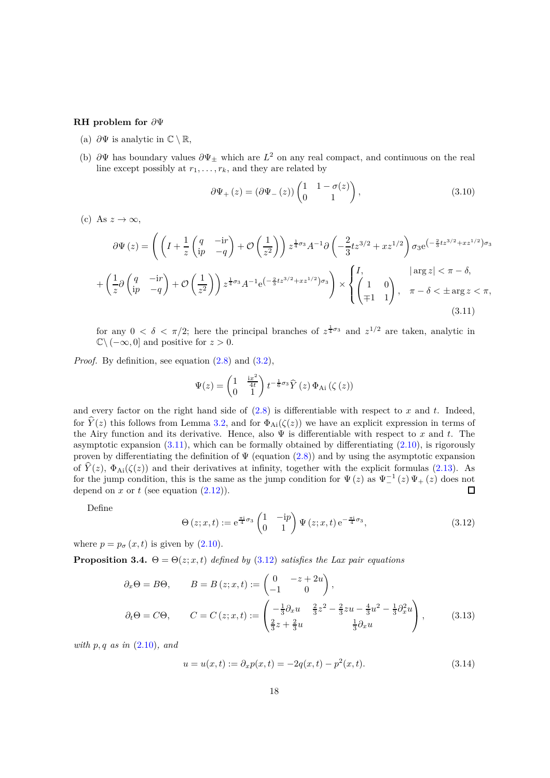#### **RH problem for** *∂*Ψ

- (a)  $\partial \Psi$  is analytic in  $\mathbb{C} \setminus \mathbb{R}$ ,
- (b) *∂*Ψ has boundary values *∂*Ψ<sup>±</sup> which are *L* <sup>2</sup> on any real compact, and continuous on the real line except possibly at  $r_1, \ldots, r_k$ , and they are related by

<span id="page-17-2"></span>
$$
\partial \Psi_{+}\left(z\right) = \left(\partial \Psi_{-}\left(z\right)\right) \begin{pmatrix} 1 & 1 - \sigma(z) \\ 0 & 1 \end{pmatrix},\tag{3.10}
$$

(c) As  $z \to \infty$ ,

$$
\partial \Psi (z) = \left( \left( I + \frac{1}{z} \begin{pmatrix} q & -\mathrm{i}r \\ \mathrm{i}p & -q \end{pmatrix} + \mathcal{O} \begin{pmatrix} \frac{1}{z^2} \end{pmatrix} \right) z^{\frac{1}{4}\sigma_3} A^{-1} \partial \left( -\frac{2}{3} t z^{3/2} + x z^{1/2} \right) \sigma_3 e^{(-\frac{2}{3} t z^{3/2} + x z^{1/2}) \sigma_3} + \left( \frac{1}{z} \partial \begin{pmatrix} q & -\mathrm{i}r \\ \mathrm{i}p & -q \end{pmatrix} + \mathcal{O} \begin{pmatrix} \frac{1}{z^2} \end{pmatrix} \right) z^{\frac{1}{4}\sigma_3} A^{-1} e^{(-\frac{2}{3} t z^{3/2} + x z^{1/2}) \sigma_3} \right) \times \begin{cases} I, & |\arg z| < \pi - \delta, \\ \left( \frac{1}{\mp 1} & 1 \right), & \pi - \delta < \pm \arg z < \pi, \end{cases}
$$
\n(3.11)

for any  $0 < \delta < \pi/2$ ; here the principal branches of  $z^{\frac{1}{4}\sigma_3}$  and  $z^{1/2}$  are taken, analytic in  $\mathbb{C}\setminus(-\infty,0]$  and positive for  $z>0$ .

*Proof.* By definition, see equation  $(2.8)$  and  $(3.2)$ ,

<span id="page-17-1"></span>
$$
\Psi(z) = \begin{pmatrix} 1 & \frac{\mathrm{i} x^2}{4t} \\ 0 & 1 \end{pmatrix} t^{-\frac{1}{6}\sigma_3} \hat{Y}(z) \Phi_{\mathrm{Ai}}(\zeta(z))
$$

and every factor on the right hand side of [\(2.8\)](#page-11-1) is differentiable with respect to *x* and *t*. Indeed, for  $\hat{Y}(z)$  this follows from Lemma [3.2,](#page-15-4) and for  $\Phi_{Ai}(\zeta(z))$  we have an explicit expression in terms of the Airy function and its derivative. Hence, also Ψ is differentiable with respect to *x* and *t*. The asymptotic expansion  $(3.11)$ , which can be formally obtained by differentiating  $(2.10)$ , is rigorously proven by differentiating the definition of  $\Psi$  (equation [\(2.8\)](#page-11-1)) and by using the asymptotic expansion of  $\hat{Y}(z)$ ,  $\Phi_{\text{Ai}}(\zeta(z))$  and their derivatives at infinity, together with the explicit formulas [\(2.13\)](#page-12-2). As for the jump condition, this is the same as the jump condition for  $\Psi(z)$  as  $\Psi_{-}^{-1}(z)\Psi_{+}(z)$  does not depend on  $x$  or  $t$  (see equation  $(2.12)$ ).

Define

<span id="page-17-0"></span>
$$
\Theta\left(z;x,t\right) := e^{\frac{\pi i}{4}\sigma_3} \begin{pmatrix} 1 & -\mathrm{i}p \\ 0 & 1 \end{pmatrix} \Psi\left(z;x,t\right) e^{-\frac{\pi i}{4}\sigma_3},\tag{3.12}
$$

where  $p = p_{\sigma}(x, t)$  is given by  $(2.10)$ .

<span id="page-17-5"></span>**Proposition 3.4.**  $\Theta = \Theta(z; x, t)$  *defined by* [\(3.12\)](#page-17-0) *satisfies the Lax pair equations* 

$$
\partial_x \Theta = B\Theta, \qquad B = B(z; x, t) := \begin{pmatrix} 0 & -z + 2u \\ -1 & 0 \end{pmatrix},
$$

$$
\partial_t \Theta = C\Theta, \qquad C = C(z; x, t) := \begin{pmatrix} -\frac{1}{3}\partial_x u & \frac{2}{3}z^2 - \frac{2}{3}zu - \frac{4}{3}u^2 - \frac{1}{3}\partial_x^2 u \\ \frac{2}{3}z + \frac{2}{3}u & \frac{1}{3}\partial_x u \end{pmatrix},
$$
(3.13)

*with p, q as in* [\(2.10\)](#page-12-0)*, and*

<span id="page-17-4"></span><span id="page-17-3"></span>
$$
u = u(x, t) := \partial_x p(x, t) = -2q(x, t) - p^2(x, t). \tag{3.14}
$$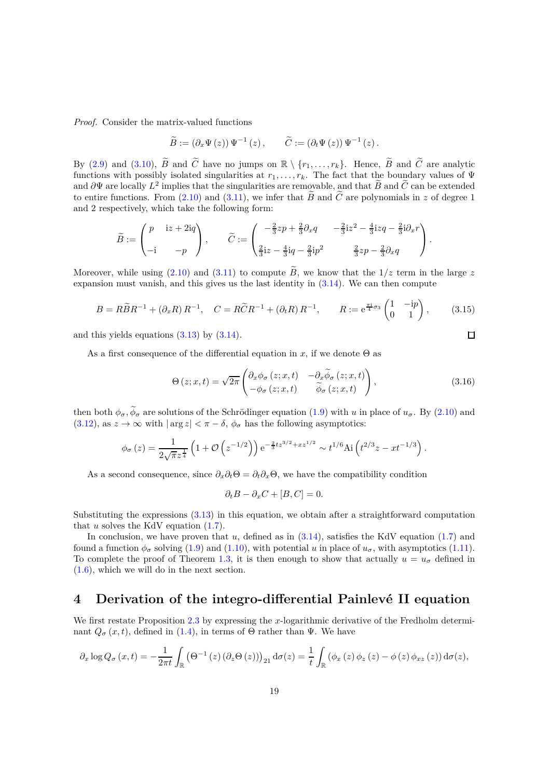*Proof.* Consider the matrix-valued functions

$$
\widetilde{B} := (\partial_x \Psi(z)) \Psi^{-1}(z), \qquad \widetilde{C} := (\partial_t \Psi(z)) \Psi^{-1}(z).
$$

By [\(2.9\)](#page-12-4) and [\(3.10\)](#page-17-2),  $\widetilde{B}$  and  $\widetilde{C}$  have no jumps on  $\mathbb{R} \setminus \{r_1, \ldots, r_k\}$ . Hence,  $\widetilde{B}$  and  $\widetilde{C}$  are analytic functions with possibly isolated singularities at  $r_1, \ldots, r_k$ . The fact that the boundary values of  $\Psi$ and  $\partial \Psi$  are locally  $L^2$  implies that the singularities are removable, and that  $\widetilde{B}$  and  $\widetilde{C}$  can be extended to entire functions. From [\(2.10\)](#page-12-0) and [\(3.11\)](#page-17-1), we infer that  $\tilde{B}$  and  $\tilde{C}$  are polynomials in z of degree 1 and 2 respectively, which take the following form:

$$
\widetilde{B} := \begin{pmatrix} p & \mathrm{i}z + 2\mathrm{i}q \\ -\mathrm{i} & -p \end{pmatrix}, \qquad \widetilde{C} := \begin{pmatrix} -\frac{2}{3}zp + \frac{2}{3}\partial_x q & -\frac{2}{3}\mathrm{i}z^2 - \frac{4}{3}\mathrm{i}zq - \frac{2}{3}\mathrm{i}\partial_x r \\ \frac{2}{3}\mathrm{i}z - \frac{4}{3}\mathrm{i}q - \frac{2}{3}\mathrm{i}p^2 & \frac{2}{3}zp - \frac{2}{3}\partial_x q \end{pmatrix}.
$$

Moreover, while using [\(2.10\)](#page-12-0) and [\(3.11\)](#page-17-1) to compute  $\widetilde{B}$ , we know that the  $1/z$  term in the large z expansion must vanish, and this gives us the last identity in [\(3.14\)](#page-17-3). We can then compute

$$
B = R\widetilde{B}R^{-1} + (\partial_x R)R^{-1}, \quad C = R\widetilde{C}R^{-1} + (\partial_t R)R^{-1}, \qquad R := e^{\frac{\pi i}{4}\sigma_3} \begin{pmatrix} 1 & -ip \\ 0 & 1 \end{pmatrix}, \tag{3.15}
$$

and this yields equations  $(3.13)$  by  $(3.14)$ .

As a first consequence of the differential equation in *x*, if we denote  $\Theta$  as

<span id="page-18-1"></span>
$$
\Theta(z;x,t) = \sqrt{2\pi} \begin{pmatrix} \partial_x \phi_\sigma(z;x,t) & -\partial_x \widetilde{\phi}_\sigma(z;x,t) \\ -\phi_\sigma(z;x,t) & \widetilde{\phi}_\sigma(z;x,t) \end{pmatrix},
$$
(3.16)

then both  $\phi_{\sigma}$ ,  $\phi_{\sigma}$  are solutions of the Schrödinger equation [\(1.9\)](#page-3-3) with *u* in place of  $u_{\sigma}$ . By [\(2.10\)](#page-12-0) and [\(3.12\)](#page-17-0), as  $z \to \infty$  with  $|\arg z| < \pi - \delta$ ,  $\phi_{\sigma}$  has the following asymptotics:

$$
\phi_{\sigma}(z) = \frac{1}{2\sqrt{\pi}z^{\frac{1}{4}}}\left(1+\mathcal{O}\left(z^{-1/2}\right)\right)e^{-\frac{2}{3}tz^{3/2}+xz^{1/2}} \sim t^{1/6}\text{Ai}\left(t^{2/3}z - xt^{-1/3}\right).
$$

As a second consequence, since  $\partial_x \partial_t \Theta = \partial_t \partial_x \Theta$ , we have the compatibility condition

$$
\partial_t B - \partial_x C + [B, C] = 0.
$$

Substituting the expressions [\(3.13\)](#page-17-4) in this equation, we obtain after a straightforward computation that  $u$  solves the KdV equation  $(1.7)$ .

In conclusion, we have proven that *u*, defined as in  $(3.14)$ , satisfies the KdV equation [\(1.7\)](#page-3-6) and found a function  $\phi_{\sigma}$  solving [\(1.9\)](#page-3-3) and [\(1.10\)](#page-3-4), with potential *u* in place of  $u_{\sigma}$ , with asymptotics [\(1.11\)](#page-3-8). To complete the proof of Theorem [1.3,](#page-3-1) it is then enough to show that actually  $u = u_{\sigma}$  defined in [\(1.6\)](#page-3-2), which we will do in the next section.

### <span id="page-18-0"></span>**4** Derivation of the integro-differential Painlevé II equation

We first restate Proposition [2.3](#page-13-2) by expressing the *x*-logarithmic derivative of the Fredholm determinant  $Q_{\sigma}(x,t)$ , defined in [\(1.4\)](#page-1-2), in terms of  $\Theta$  rather than  $\Psi$ . We have

$$
\partial_x \log Q_{\sigma}(x,t) = -\frac{1}{2\pi t} \int_{\mathbb{R}} \left( \Theta^{-1}\left(z\right) \left( \partial_z \Theta\left(z\right) \right) \right)_{21} d\sigma(z) = \frac{1}{t} \int_{\mathbb{R}} \left( \phi_x\left(z\right) \phi_z\left(z\right) - \phi\left(z\right) \phi_{xz}\left(z\right) \right) d\sigma(z),
$$

 $\Box$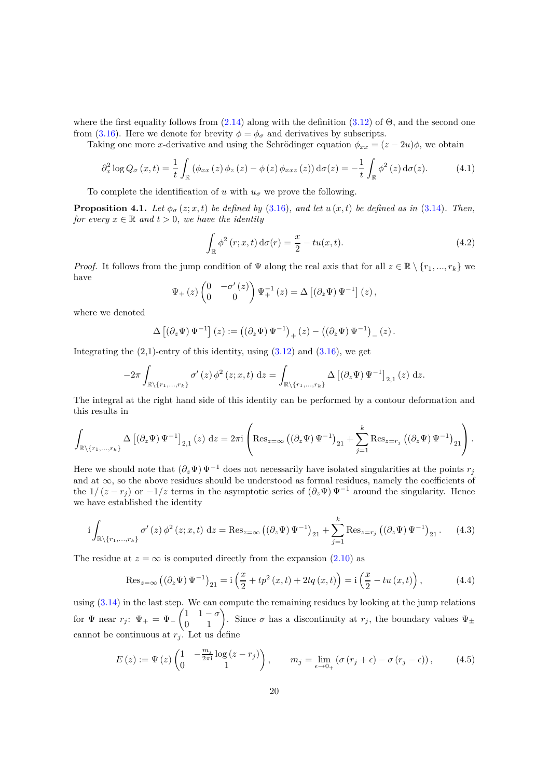where the first equality follows from  $(2.14)$  along with the definition  $(3.12)$  of  $\Theta$ , and the second one from [\(3.16\)](#page-18-1). Here we denote for brevity  $\phi = \phi_{\sigma}$  and derivatives by subscripts.

Taking one more *x*-derivative and using the Schrödinger equation  $\phi_{xx} = (z - 2u)\phi$ , we obtain

<span id="page-19-3"></span>
$$
\partial_x^2 \log Q_{\sigma}(x,t) = \frac{1}{t} \int_{\mathbb{R}} \left( \phi_{xx}(z) \phi_z(z) - \phi(z) \phi_{xxz}(z) \right) d\sigma(z) = -\frac{1}{t} \int_{\mathbb{R}} \phi^2(z) d\sigma(z). \tag{4.1}
$$

To complete the identification of *u* with  $u_{\sigma}$  we prove the following.

<span id="page-19-5"></span>**Proposition 4.1.** *Let*  $\phi_{\sigma}(z; x, t)$  *be defined by* [\(3.16\)](#page-18-1)*, and let*  $u(x, t)$  *be defined as in* [\(3.14\)](#page-17-3)*. Then, for every*  $x \in \mathbb{R}$  *and*  $t > 0$ *, we have the identity* 

<span id="page-19-2"></span>
$$
\int_{\mathbb{R}} \phi^2(r; x, t) d\sigma(r) = \frac{x}{2} - tu(x, t).
$$
\n(4.2)

*Proof.* It follows from the jump condition of  $\Psi$  along the real axis that for all  $z \in \mathbb{R} \setminus \{r_1, ..., r_k\}$  we have

$$
\Psi_{+}\left(z\right)\begin{pmatrix}0 & -\sigma^{\prime}\left(z\right) \\ 0 & 0\end{pmatrix}\Psi_{+}^{-1}\left(z\right) = \Delta\left[\left(\partial_{z}\Psi\right)\Psi^{-1}\right]\left(z\right),\,
$$

where we denoted

$$
\Delta \left[ \left( \partial_z \Psi \right) \Psi^{-1} \right] (z) := \left( \left( \partial_z \Psi \right) \Psi^{-1} \right)_+ (z) - \left( \left( \partial_z \Psi \right) \Psi^{-1} \right)_- (z) \, .
$$

Integrating the  $(2,1)$ -entry of this identity, using  $(3.12)$  and  $(3.16)$ , we get

$$
-2\pi \int_{\mathbb{R}\backslash\{r_1,\ldots,r_k\}} \sigma'(z) \, \phi^2(z;x,t) \, dz = \int_{\mathbb{R}\backslash\{r_1,\ldots,r_k\}} \Delta \left[ \left( \partial_z \Psi \right) \Psi^{-1} \right]_{2,1}(z) \, dz.
$$

The integral at the right hand side of this identity can be performed by a contour deformation and this results in

$$
\int_{\mathbb{R}\backslash\{r_1,\ldots,r_k\}}\Delta\left[\left(\partial_z\Psi\right)\Psi^{-1}\right]_{2,1}(z)\,\mathrm{d} z=2\pi\mathrm{i}\left(\mathrm{Res}_{z=\infty}\left(\left(\partial_z\Psi\right)\Psi^{-1}\right)_{21}+\sum_{j=1}^k\mathrm{Res}_{z=r_j}\left(\left(\partial_z\Psi\right)\Psi^{-1}\right)_{21}\right).
$$

Here we should note that  $(\partial_z \Psi) \Psi^{-1}$  does not necessarily have isolated singularities at the points  $r_j$ and at  $\infty$ , so the above residues should be understood as formal residues, namely the coefficients of the  $1/(z - r_i)$  or  $-1/z$  terms in the asymptotic series of  $(\partial_z \Psi) \Psi^{-1}$  around the singularity. Hence we have established the identity

<span id="page-19-1"></span>
$$
i\int_{\mathbb{R}\setminus\{r_1,\ldots,r_k\}} \sigma'(z)\,\phi^2(z;x,t)\,\mathrm{d}z = \operatorname{Res}_{z=\infty} \left( \left(\partial_z\Psi\right)\Psi^{-1} \right)_{21} + \sum_{j=1}^k \operatorname{Res}_{z=r_j} \left( \left(\partial_z\Psi\right)\Psi^{-1} \right)_{21}.\tag{4.3}
$$

The residue at  $z = \infty$  is computed directly from the expansion [\(2.10\)](#page-12-0) as

<span id="page-19-0"></span>
$$
\operatorname{Res}_{z=\infty} \left( \left( \partial_z \Psi \right) \Psi^{-1} \right)_{21} = \operatorname{i} \left( \frac{x}{2} + tp^2 \left( x, t \right) + 2tq \left( x, t \right) \right) = \operatorname{i} \left( \frac{x}{2} - tu \left( x, t \right) \right),\tag{4.4}
$$

using  $(3.14)$  in the last step. We can compute the remaining residues by looking at the jump relations for  $\Psi$  near  $r_j$ :  $\Psi_+ = \Psi_ \begin{pmatrix} 1 & 1 - \sigma \\ 0 & 1 \end{pmatrix}$ . Since  $\sigma$  has a discontinuity at  $r_j$ , the boundary values  $\Psi_{\pm}$ cannot be continuous at  $r_j$ . Let us define

<span id="page-19-4"></span>
$$
E(z) := \Psi(z) \begin{pmatrix} 1 & -\frac{m_j}{2\pi i} \log(z - r_j) \\ 0 & 1 \end{pmatrix}, \qquad m_j = \lim_{\epsilon \to 0_+} \left( \sigma\left( r_j + \epsilon \right) - \sigma\left( r_j - \epsilon \right) \right), \tag{4.5}
$$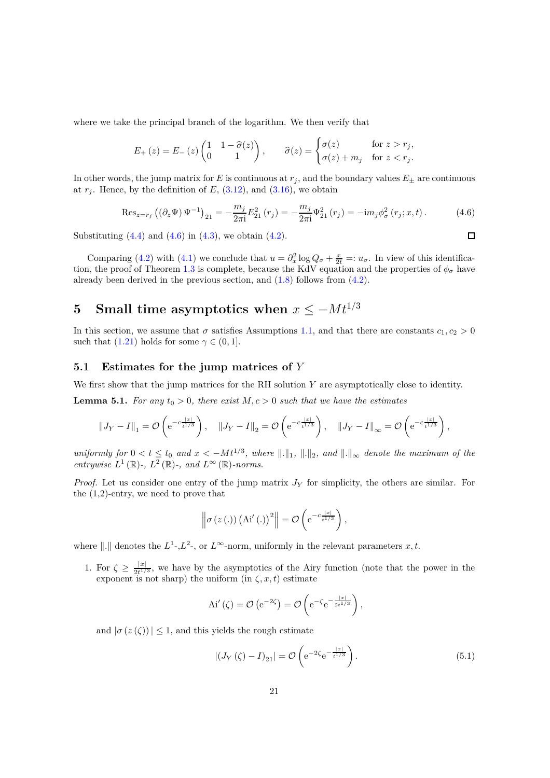where we take the principal branch of the logarithm. We then verify that

$$
E_{+}(z) = E_{-}(z) \begin{pmatrix} 1 & 1 - \hat{\sigma}(z) \\ 0 & 1 \end{pmatrix}, \qquad \hat{\sigma}(z) = \begin{cases} \sigma(z) & \text{for } z > r_{j}, \\ \sigma(z) + m_{j} & \text{for } z < r_{j}. \end{cases}
$$

In other words, the jump matrix for *E* is continuous at  $r_j$ , and the boundary values  $E_{\pm}$  are continuous at  $r_j$ . Hence, by the definition of  $E$ ,  $(3.12)$ , and  $(3.16)$ , we obtain

<span id="page-20-2"></span>
$$
\text{Res}_{z=r_j} \left( (\partial_z \Psi) \Psi^{-1} \right)_{21} = -\frac{m_j}{2\pi i} E_{21}^2 \left( r_j \right) = -\frac{m_j}{2\pi i} \Psi_{21}^2 \left( r_j \right) = -\text{i} m_j \phi_\sigma^2 \left( r_j; x, t \right). \tag{4.6}
$$

 $\Box$ 

Substituting  $(4.4)$  and  $(4.6)$  in  $(4.3)$ , we obtain  $(4.2)$ .

Comparing [\(4.2\)](#page-19-2) with [\(4.1\)](#page-19-3) we conclude that  $u = \partial_x^2 \log Q_\sigma + \frac{x}{2t} =: u_\sigma$ . In view of this identifica-tion, the proof of Theorem [1.3](#page-3-1) is complete, because the KdV equation and the properties of  $\phi_{\sigma}$  have already been derived in the previous section, and  $(1.8)$  follows from  $(4.2)$ .

# <span id="page-20-0"></span>**5** Small time asymptotics when  $x \leq -Mt^{1/3}$

In this section, we assume that  $\sigma$  satisfies Assumptions [1.1,](#page-2-0) and that there are constants  $c_1, c_2 > 0$ such that  $(1.21)$  holds for some  $\gamma \in (0, 1]$ .

### <span id="page-20-1"></span>**5.1 Estimates for the jump matrices of** *Y*

We first show that the jump matrices for the RH solution *Y* are asymptotically close to identity.

<span id="page-20-4"></span>**Lemma 5.1.** For any  $t_0 > 0$ , there exist  $M, c > 0$  such that we have the estimates

$$
||J_Y - I||_1 = \mathcal{O}\left(e^{-c\frac{|x|}{t^{1/3}}}\right), \quad ||J_Y - I||_2 = \mathcal{O}\left(e^{-c\frac{|x|}{t^{1/3}}}\right), \quad ||J_Y - I||_{\infty} = \mathcal{O}\left(e^{-c\frac{|x|}{t^{1/3}}}\right),
$$

*uniformly for*  $0 < t \leq t_0$  *and*  $x < -Mt^{1/3}$ , where  $\|.\|_1$ ,  $\|.\|_2$ , and  $\|.\|_{\infty}$  denote the maximum of the *entrywise*  $L^1(\mathbb{R})$ -,  $L^2(\mathbb{R})$ -, and  $L^{\infty}(\mathbb{R})$ -norms.

*Proof.* Let us consider one entry of the jump matrix  $J<sub>Y</sub>$  for simplicity, the others are similar. For the (1,2)-entry, we need to prove that

$$
\left\|\sigma\left(z\left(. \right)\right)\left(\mathrm{Ai}'\left(. \right)\right)^{2}\right\|=\mathcal{O}\left(\mathrm{e}^{-c\frac{\left|x\right|}{t^{1/3}}}\right),\,
$$

where  $\|\cdot\|$  denotes the  $L^1$ -, $L^2$ -, or  $L^\infty$ -norm, uniformly in the relevant parameters  $x, t$ .

1. For  $\zeta \geq \frac{|x|}{2t^{1/3}}$ , we have by the asymptotics of the Airy function (note that the power in the exponent is not sharp) the uniform  $(in \zeta, x, t)$  estimate

$$
\mathrm{Ai}'\left(\zeta\right) = \mathcal{O}\left(\mathrm{e}^{-2\zeta}\right) = \mathcal{O}\left(\mathrm{e}^{-\zeta}\mathrm{e}^{-\frac{|x|}{2t^{1/3}}}\right),\,
$$

and  $|\sigma(z(\zeta))| \leq 1$ , and this yields the rough estimate

<span id="page-20-3"></span>
$$
\left| \left( J_Y \left( \zeta \right) - I \right)_{21} \right| = \mathcal{O} \left( e^{-2\zeta} e^{-\frac{|x|}{t^{1/3}}} \right). \tag{5.1}
$$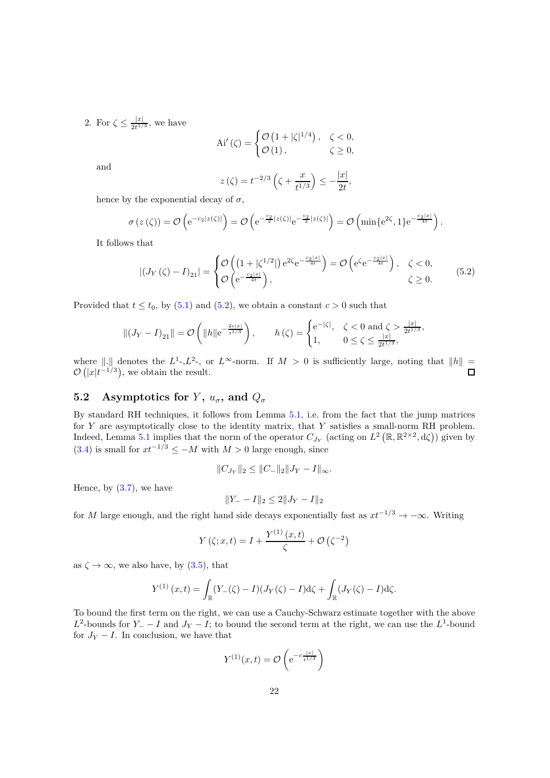2. For  $\zeta \leq \frac{|x|}{2t^{1/3}}$ , we have

$$
\mathrm{Ai}'\left(\zeta\right) = \begin{cases} \mathcal{O}\left(1 + |\zeta|^{1/4}\right), & \zeta < 0, \\ \mathcal{O}\left(1\right), & \zeta \geq 0, \end{cases}
$$

and

$$
z(\zeta) = t^{-2/3} \left( \zeta + \frac{x}{t^{1/3}} \right) \le -\frac{|x|}{2t},
$$

hence by the exponential decay of  $\sigma$ ,

$$
\sigma(z(\zeta)) = \mathcal{O}\left(e^{-c_2|z(\zeta)|}\right) = \mathcal{O}\left(e^{-\frac{c_2}{2}|z(\zeta)|}e^{-\frac{c_2}{2}|z(\zeta)|}\right) = \mathcal{O}\left(\min\{e^{2\zeta},1\}e^{-\frac{c_2|x|}{4t}}\right).
$$

It follows that

<span id="page-21-1"></span>
$$
\left| \left( J_Y \left( \zeta \right) - I \right)_{21} \right| = \begin{cases} \mathcal{O} \left( \left( 1 + |\zeta^{1/2}| \right) e^{2\zeta} e^{-\frac{c_2 |x|}{4t}} \right) = \mathcal{O} \left( e^{\zeta} e^{-\frac{c_2 |x|}{4t}} \right), & \zeta < 0, \\ \mathcal{O} \left( e^{-\frac{c_2 |x|}{4t}} \right), & \zeta \ge 0. \end{cases} \tag{5.2}
$$

Provided that  $t \le t_0$ , by [\(5.1\)](#page-20-3) and [\(5.2\)](#page-21-1), we obtain a constant  $c > 0$  such that

$$
\|(J_Y - I)_{21}\| = \mathcal{O}\left(\|h\|e^{-\frac{2c|x|}{t^{1/3}}}\right), \qquad h(\zeta) = \begin{cases} e^{-|\zeta|}, & \zeta < 0 \text{ and } \zeta > \frac{|x|}{2t^{1/3}},\\ 1, & 0 \le \zeta \le \frac{|x|}{2t^{1/3}}, \end{cases}
$$

where  $\|\cdot\|$  denotes the  $L^1$ -, $L^2$ -, or  $L^\infty$ -norm. If  $M > 0$  is sufficiently large, noting that  $\|h\| =$  $\mathcal{O}\left(|x|t^{-1/3}\right)$ , we obtain the result.

### <span id="page-21-0"></span>**5.2** Asymptotics for *Y*,  $u_{\sigma}$ , and  $Q_{\sigma}$

By standard RH techniques, it follows from Lemma [5.1,](#page-20-4) i.e. from the fact that the jump matrices for *Y* are asymptotically close to the identity matrix, that *Y* satisfies a small-norm RH problem. Indeed, Lemma [5.1](#page-20-4) implies that the norm of the operator  $C_{J_Y}$  (acting on  $L^2(\mathbb{R}, \mathbb{R}^{2 \times 2}, d\zeta)$ ) given by  $(3.4)$  is small for  $xt^{-1/3} \leq -M$  with  $M > 0$  large enough, since

$$
||C_{J_Y}||_2 \leq ||C_-||_2||J_Y - I||_{\infty}.
$$

Hence, by  $(3.7)$ , we have

$$
||Y_- - I||_2 \le 2||J_Y - I||_2
$$

for *<sup>M</sup>* large enough, and the right hand side decays exponentially fast as *xt*−1*/*<sup>3</sup> → −∞. Writing

$$
Y(\zeta; x, t) = I + \frac{Y^{(1)}(x, t)}{\zeta} + \mathcal{O}(\zeta^{-2})
$$

as  $\zeta \to \infty$ , we also have, by [\(3.5\)](#page-15-1), that

$$
Y^{(1)}(x,t) = \int_{\mathbb{R}} (Y_{-}(\zeta) - I)(J_{Y}(\zeta) - I) d\zeta + \int_{\mathbb{R}} (J_{Y}(\zeta) - I) d\zeta.
$$

To bound the first term on the right, we can use a Cauchy-Schwarz estimate together with the above  $L^2$ -bounds for *Y*<sub>−</sub> − *I* and *J*<sub>*Y*</sub> − *I*; to bound the second term at the right, we can use the  $L^1$ -bound for  $J_Y - I$ . In conclusion, we have that

$$
Y^{(1)}(x,t) = \mathcal{O}\left(\mathrm{e}^{-c\frac{|x|}{t^{1/3}}}\right)
$$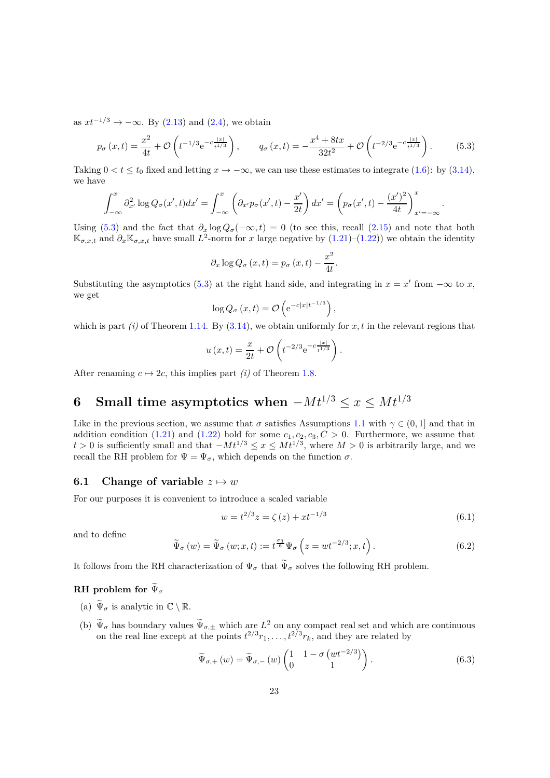as  $xt^{-1/3} \rightarrow -\infty$ . By [\(2.13\)](#page-12-2) and [\(2.4\)](#page-10-2), we obtain

<span id="page-22-2"></span>
$$
p_{\sigma}(x,t) = \frac{x^2}{4t} + \mathcal{O}\left(t^{-1/3}e^{-c\frac{|x|}{t^{1/3}}}\right), \qquad q_{\sigma}(x,t) = -\frac{x^4 + 8tx}{32t^2} + \mathcal{O}\left(t^{-2/3}e^{-c\frac{|x|}{t^{1/3}}}\right). \tag{5.3}
$$

Taking  $0 < t < t_0$  fixed and letting  $x \to -\infty$ , we can use these estimates to integrate [\(1.6\)](#page-3-2): by [\(3.14\)](#page-17-3), we have

$$
\int_{-\infty}^{x} \partial_{x'}^2 \log Q_{\sigma}(x',t) dx' = \int_{-\infty}^{x} \left( \partial_{x'} p_{\sigma}(x',t) - \frac{x'}{2t} \right) dx' = \left( p_{\sigma}(x',t) - \frac{(x')^2}{4t} \right)_{x' = -\infty}^{x}
$$

Using [\(5.3\)](#page-22-2) and the fact that  $\partial_x \log Q_\sigma(-\infty, t) = 0$  (to see this, recall [\(2.15\)](#page-13-1) and note that both  $\mathbb{K}_{\sigma,x,t}$  and  $\partial_x \mathbb{K}_{\sigma,x,t}$  have small  $L^2$ -norm for *x* large negative by [\(1.21\)](#page-6-2)–[\(1.22\)](#page-6-3)) we obtain the identity

$$
\partial_x \log Q_{\sigma}(x,t) = p_{\sigma}(x,t) - \frac{x^2}{4t}.
$$

Substituting the asymptotics [\(5.3\)](#page-22-2) at the right hand side, and integrating in  $x = x'$  from  $-\infty$  to *x*, we get

$$
\log Q_{\sigma}\left(x,t\right) = \mathcal{O}\left(e^{-c|x|t^{-1/3}}\right),\,
$$

which is part *(i)* of Theorem [1.14.](#page-8-0) By  $(3.14)$ , we obtain uniformly for x, t in the relevant regions that

$$
u(x,t) = \frac{x}{2t} + \mathcal{O}\left(t^{-2/3} e^{-c \frac{|x|}{t^{1/3}}}\right)
$$

After renaming  $c \mapsto 2c$ , this implies part *(i)* of Theorem [1.8.](#page-6-1)

# <span id="page-22-0"></span>**6** Small time asymptotics when  $-Mt^{1/3} \leq x \leq Mt^{1/3}$

Like in the previous section, we assume that  $\sigma$  satisfies Assumptions [1.1](#page-2-0) with  $\gamma \in (0,1]$  and that in addition condition [\(1.21\)](#page-6-2) and [\(1.22\)](#page-6-3) hold for some  $c_1, c_2, c_3, C > 0$ . Furthermore, we assume that *t* > 0 is sufficiently small and that  $-Mt^{1/3}$  ≤  $x$  ≤  $Mt^{1/3}$ , where  $M > 0$  is arbitrarily large, and we recall the RH problem for  $\Psi = \Psi_{\sigma}$ , which depends on the function  $\sigma$ .

### <span id="page-22-1"></span>**6.1** Change of variable  $z \mapsto w$

For our purposes it is convenient to introduce a scaled variable

$$
w = t^{2/3}z = \zeta(z) + xt^{-1/3}
$$
\n(6.1)

*.*

*.*

and to define

<span id="page-22-3"></span>
$$
\widetilde{\Psi}_{\sigma}(w) = \widetilde{\Psi}_{\sigma}(w; x, t) := t^{\frac{\sigma_3}{6}} \Psi_{\sigma}\left(z = wt^{-2/3}; x, t\right).
$$
\n(6.2)

It follows from the RH characterization of  $\Psi_{\sigma}$  that  $\widetilde{\Psi}_{\sigma}$  solves the following RH problem.

### **RH** problem for  $\widetilde{\Psi}_{\sigma}$

- (a)  $\widetilde{\Psi}_{\sigma}$  is analytic in  $\mathbb{C}\setminus\mathbb{R}$ .
- (b)  $\Psi_{\sigma}$  has boundary values  $\Psi_{\sigma,\pm}$  which are  $L^2$  on any compact real set and which are continuous on the real line except at the points  $t^{2/3}r_1, \ldots, t^{2/3}r_k$ , and they are related by

$$
\widetilde{\Psi}_{\sigma,+}(w) = \widetilde{\Psi}_{\sigma,-}(w) \begin{pmatrix} 1 & 1 - \sigma \left( wt^{-2/3} \right) \\ 0 & 1 \end{pmatrix}.
$$
\n(6.3)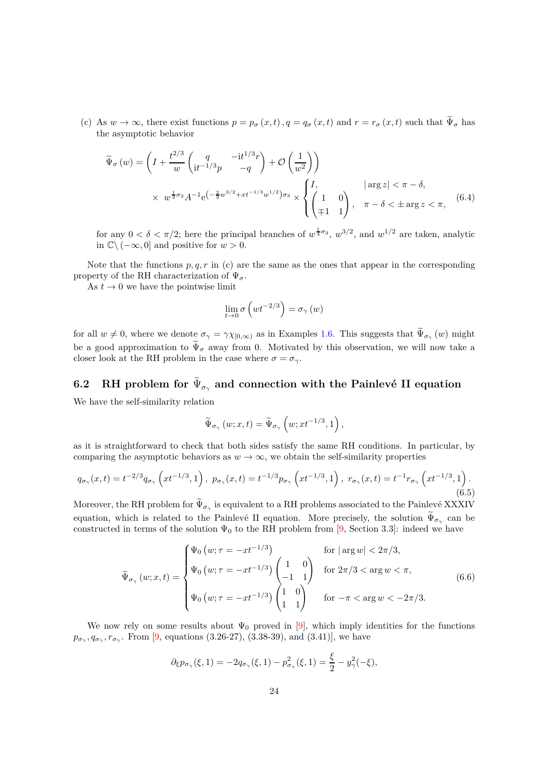(c) As  $w \to \infty$ , there exist functions  $p = p_{\sigma}(x, t)$ ,  $q = q_{\sigma}(x, t)$  and  $r = r_{\sigma}(x, t)$  such that  $\widetilde{\Psi}_{\sigma}$  has the asymptotic behavior

$$
\widetilde{\Psi}_{\sigma}(w) = \left(I + \frac{t^{2/3}}{w} \begin{pmatrix} q & -it^{1/3}r \\ it^{-1/3}p & -q \end{pmatrix} + \mathcal{O}\left(\frac{1}{w^2}\right)\right)
$$
\n
$$
\times w^{\frac{1}{4}\sigma_3} A^{-1} e^{-\frac{2}{3}w^{3/2} + xt^{-1/3}w^{1/2}} \sigma_3 \times \begin{cases} I, & |\arg z| < \pi - \delta, \\ \begin{pmatrix} 1 & 0 \\ \mp 1 & 1 \end{pmatrix}, & \pi - \delta < \pm \arg z < \pi, \end{cases} (6.4)
$$

for any  $0 < \delta < \pi/2$ ; here the principal branches of  $w^{\frac{1}{4}\sigma_3}$ ,  $w^{3/2}$ , and  $w^{1/2}$  are taken, analytic in <sup>C</sup>\ (−∞*,* 0] and positive for *w >* 0.

Note that the functions  $p, q, r$  in (c) are the same as the ones that appear in the corresponding property of the RH characterization of  $\Psi_{\sigma}$ .

As  $t \to 0$  we have the pointwise limit

<span id="page-23-3"></span>
$$
\lim_{t\rightarrow 0}\sigma\left(wt^{-2/3}\right)=\sigma_{\gamma}\left(w\right)
$$

for all  $w \neq 0$ , where we denote  $\sigma_{\gamma} = \gamma \chi_{[0,\infty)}$  as in Examples [1.6.](#page-4-3) This suggests that  $\Psi_{\sigma_{\gamma}}(w)$  might be a good approximation to  $\tilde{\Psi}_{\sigma}$  away from 0. Motivated by this observation, we will now take a closer look at the RH problem in the case where  $\sigma = \sigma_{\gamma}$ .

# <span id="page-23-0"></span>6.2 RH problem for  $\Psi_{\sigma_{\gamma}}$  and connection with the Painlevé II equation

We have the self-similarity relation

$$
\widetilde{\Psi}_{\sigma_{\gamma}}\left(w;x,t\right)=\widetilde{\Psi}_{\sigma_{\gamma}}\left(w;xt^{-1/3},1\right),
$$

as it is straightforward to check that both sides satisfy the same RH conditions. In particular, by comparing the asymptotic behaviors as  $w \to \infty$ , we obtain the self-similarity properties

<span id="page-23-1"></span>
$$
q_{\sigma_{\gamma}}(x,t) = t^{-2/3} q_{\sigma_{\gamma}} \left( x t^{-1/3}, 1 \right), \ p_{\sigma_{\gamma}}(x,t) = t^{-1/3} p_{\sigma_{\gamma}} \left( x t^{-1/3}, 1 \right), \ r_{\sigma_{\gamma}}(x,t) = t^{-1} r_{\sigma_{\gamma}} \left( x t^{-1/3}, 1 \right). \tag{6.5}
$$

Moreover, the RH problem for  $\Psi_{\sigma_{\gamma}}$  is equivalent to a RH problems associated to the Painlevé XXXIV equation, which is related to the Painlevé II equation. More precisely, the solution  $\Psi_{\sigma_{\gamma}}$  can be constructed in terms of the solution  $\Psi_0$  to the RH problem from [\[9,](#page-40-14) Section 3.3]: indeed we have

<span id="page-23-2"></span>
$$
\widetilde{\Psi}_{\sigma_{\gamma}}(w;x,t) = \begin{cases} \Psi_0(w;\tau = -xt^{-1/3}) & \text{for } |\arg w| < 2\pi/3, \\ \Psi_0(w;\tau = -xt^{-1/3}) \begin{pmatrix} 1 & 0 \\ -1 & 1 \end{pmatrix} & \text{for } 2\pi/3 < \arg w < \pi, \\ \Psi_0(w;\tau = -xt^{-1/3}) \begin{pmatrix} 1 & 0 \\ 1 & 1 \end{pmatrix} & \text{for } -\pi < \arg w < -2\pi/3. \end{cases}
$$
(6.6)

We now rely on some results about  $\Psi_0$  proved in [\[9\]](#page-40-14), which imply identities for the functions  $p_{\sigma_{\gamma}}, q_{\sigma_{\gamma}}, r_{\sigma_{\gamma}}$ . From [\[9,](#page-40-14) equations (3.26-27), (3.38-39), and (3.41)], we have

$$
\partial_{\xi} p_{\sigma_{\gamma}}(\xi,1) = -2q_{\sigma_{\gamma}}(\xi,1) - p_{\sigma_{\gamma}}^2(\xi,1) = \frac{\xi}{2} - y_{\gamma}^2(-\xi),
$$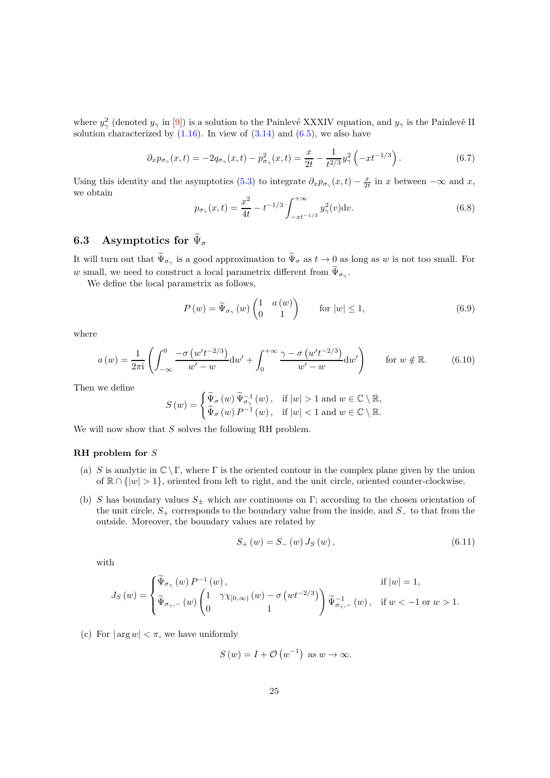where  $y^2_\gamma$  (denoted  $y_\gamma$  in [\[9\]](#page-40-14)) is a solution to the Painlevé XXXIV equation, and  $y_\gamma$  is the Painlevé II solution characterized by  $(1.16)$ . In view of  $(3.14)$  and  $(6.5)$ , we also have

<span id="page-24-3"></span>
$$
\partial_x p_{\sigma_\gamma}(x,t) = -2q_{\sigma_\gamma}(x,t) - p_{\sigma_\gamma}^2(x,t) = \frac{x}{2t} - \frac{1}{t^{2/3}} y_\gamma^2 \left(-xt^{-1/3}\right). \tag{6.7}
$$

Using this identity and the asymptotics [\(5.3\)](#page-22-2) to integrate  $\partial_x p_{\sigma_\gamma}(x,t) - \frac{x}{2t}$  in *x* between  $-\infty$  and *x*, we obtain

<span id="page-24-2"></span>
$$
p_{\sigma_{\gamma}}(x,t) = \frac{x^2}{4t} - t^{-1/3} \int_{-xt^{-1/3}}^{+\infty} y_{\gamma}^2(v) \mathrm{d}v.
$$
 (6.8)

# <span id="page-24-0"></span> $6.3$  Asymptotics for  $\Psi_\sigma$

It will turn out that  $\Psi_{\sigma_\gamma}$  is a good approximation to  $\Psi_\sigma$  as  $t\to 0$  as long as w is not too small. For *w* small, we need to construct a local parametrix different from  $\Psi_{\sigma_\gamma}$ .

We define the local parametrix as follows,

<span id="page-24-4"></span>
$$
P(w) = \tilde{\Psi}_{\sigma_{\gamma}}(w) \begin{pmatrix} 1 & a(w) \\ 0 & 1 \end{pmatrix} \quad \text{for } |w| \le 1,
$$
 (6.9)

where

<span id="page-24-1"></span>
$$
a(w) = \frac{1}{2\pi i} \left( \int_{-\infty}^{0} \frac{-\sigma (w' t^{-2/3})}{w' - w} dw' + \int_{0}^{+\infty} \frac{\gamma - \sigma (w' t^{-2/3})}{w' - w} dw' \right) \quad \text{for } w \notin \mathbb{R}.
$$
 (6.10)

Then we define

$$
S(w) = \begin{cases} \widetilde{\Psi}_{\sigma}(w) \, \widetilde{\Psi}_{\sigma_{\gamma}}^{-1}(w) \, , & \text{if } |w| > 1 \text{ and } w \in \mathbb{C} \setminus \mathbb{R}, \\ \widetilde{\Psi}_{\sigma}(w) \, P^{-1}(w) \, , & \text{if } |w| < 1 \text{ and } w \in \mathbb{C} \setminus \mathbb{R}. \end{cases}
$$

We will now show that *S* solves the following RH problem.

#### **RH problem for** *S*

- (a) *S* is analytic in  $\mathbb{C} \setminus \Gamma$ , where  $\Gamma$  is the oriented contour in the complex plane given by the union of  $\mathbb{R} \cap \{|w| > 1\}$ , oriented from left to right, and the unit circle, oriented counter-clockwise.
- (b) *S* has boundary values *S*<sup>±</sup> which are continuous on Γ; according to the chosen orientation of the unit circle, *S*<sup>+</sup> corresponds to the boundary value from the inside, and *S*<sup>−</sup> to that from the outside. Moreover, the boundary values are related by

$$
S_{+}(w) = S_{-}(w) J_{S}(w), \qquad (6.11)
$$

with

$$
J_S(w) = \begin{cases} \widetilde{\Psi}_{\sigma_{\gamma}}\left(w\right)P^{-1}\left(w\right), & \text{if } |w| = 1, \\ \widetilde{\Psi}_{\sigma_{\gamma},-}\left(w\right)\begin{pmatrix} 1 & \gamma\chi_{[0,\infty)}\left(w\right)-\sigma\left(wt^{-2/3}\right) \\ 0 & 1 \end{pmatrix}\widetilde{\Psi}_{\sigma_{\gamma},-}^{-1}\left(w\right), & \text{if } w < -1 \text{ or } w > 1. \end{cases}
$$

(c) For  $|\arg w| < \pi$ , we have uniformly

$$
S(w) = I + \mathcal{O}(w^{-1}) \text{ as } w \to \infty.
$$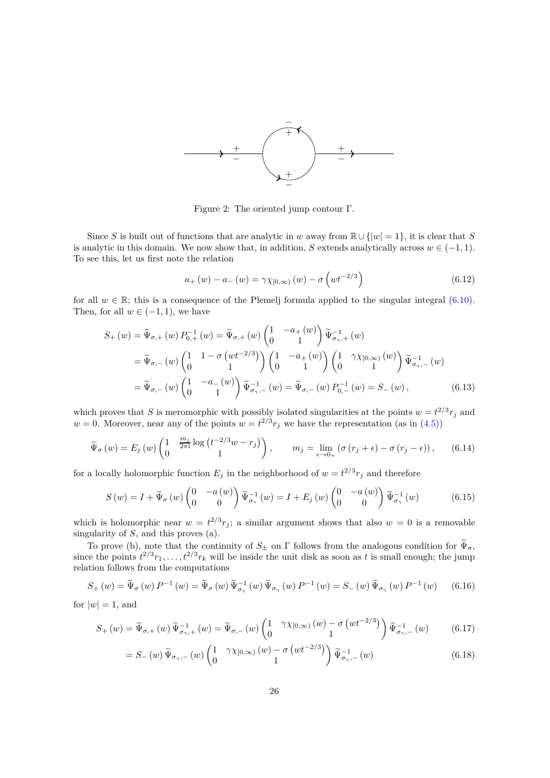

<span id="page-25-0"></span>Figure 2: The oriented jump contour Γ.

Since *S* is built out of functions that are analytic in *w* away from  $\mathbb{R} \cup \{|w| = 1\}$ , it is clear that *S* is analytic in this domain. We now show that, in addition, *S* extends analytically across  $w \in (-1, 1)$ . To see this, let us first note the relation

$$
a_{+}(w) - a_{-}(w) = \gamma \chi_{[0,\infty)}(w) - \sigma \left(wt^{-2/3}\right)
$$
\n(6.12)

for all  $w \in \mathbb{R}$ ; this is a consequence of the Plemelj formula applied to the singular integral [\(6.10\)](#page-24-1). Then, for all  $w \in (-1, 1)$ , we have

$$
S_{+}(w) = \tilde{\Psi}_{\sigma,+}(w) P_{0,+}^{-1}(w) = \tilde{\Psi}_{\sigma,+}(w) \begin{pmatrix} 1 & -a_{+}(w) \\ 0 & 1 \end{pmatrix} \tilde{\Psi}_{\sigma_{\gamma},+}^{-1}(w)
$$
  
\n
$$
= \tilde{\Psi}_{\sigma,-}(w) \begin{pmatrix} 1 & 1 - \sigma (wt^{-2/3}) \\ 0 & 1 \end{pmatrix} \begin{pmatrix} 1 & -a_{+}(w) \\ 0 & 1 \end{pmatrix} \begin{pmatrix} 1 & \gamma \chi_{[0,\infty)}(w) \\ 0 & 1 \end{pmatrix} \tilde{\Psi}_{\sigma_{\gamma},-}^{-1}(w)
$$
  
\n
$$
= \tilde{\Psi}_{\sigma,-}(w) \begin{pmatrix} 1 & -a_{-}(w) \\ 0 & 1 \end{pmatrix} \tilde{\Psi}_{\sigma_{\gamma},-}^{-1}(w) = \tilde{\Psi}_{\sigma,-}(w) P_{0,-}^{-1}(w) = S_{-}(w), \qquad (6.13)
$$

which proves that *S* is meromorphic with possibly isolated singularities at the points  $w = t^{2/3}r_j$  and  $w = 0$ . Moreover, near any of the points  $w = t^{2/3} r_j$  we have the representation (as in [\(4.5\)](#page-19-4))

$$
\widetilde{\Psi}_{\sigma}(w) = E_j(w) \begin{pmatrix} 1 & \frac{m_j}{2\pi i} \log \left( t^{-2/3} w - r_j \right) \\ 0 & 1 \end{pmatrix}, \qquad m_j = \lim_{\epsilon \to 0_+} \left( \sigma \left( r_j + \epsilon \right) - \sigma \left( r_j - \epsilon \right) \right), \tag{6.14}
$$

for a locally holomorphic function  $E_j$  in the neighborhood of  $w = t^{2/3}r_j$  and therefore

$$
S(w) = I + \widetilde{\Psi}_{\sigma}(w) \begin{pmatrix} 0 & -a(w) \\ 0 & 0 \end{pmatrix} \widetilde{\Psi}_{\sigma_{\gamma}}^{-1}(w) = I + E_j(w) \begin{pmatrix} 0 & -a(w) \\ 0 & 0 \end{pmatrix} \widetilde{\Psi}_{\sigma_{\gamma}}^{-1}(w) \tag{6.15}
$$

which is holomorphic near  $w = t^{2/3}r_j$ ; a similar argument shows that also  $w = 0$  is a removable singularity of *S*, and this proves (a).

To prove (b), note that the continuity of  $S_{\pm}$  on  $\Gamma$  follows from the analogous condition for  $\Psi_{\sigma}$ , since the points  $t^{2/3}r_1, \ldots, t^{2/3}r_k$  will be inside the unit disk as soon as t is small enough; the jump relation follows from the computations

$$
S_{+}(w) = \widetilde{\Psi}_{\sigma}(w) P^{-1}(w) = \widetilde{\Psi}_{\sigma}(w) \widetilde{\Psi}_{\sigma_{\gamma}}^{-1}(w) \widetilde{\Psi}_{\sigma_{\gamma}}(w) P^{-1}(w) = S_{-}(w) \widetilde{\Psi}_{\sigma_{\gamma}}(w) P^{-1}(w) \qquad (6.16)
$$

for  $|w|=1$ , and

$$
S_{+}(w) = \widetilde{\Psi}_{\sigma,+}(w) \widetilde{\Psi}_{\sigma,+}^{-1}(w) = \widetilde{\Psi}_{\sigma,-}(w) \begin{pmatrix} 1 & \gamma \chi_{[0,\infty)}(w) - \sigma \left( wt^{-2/3} \right) \\ 0 & 1 \end{pmatrix} \widetilde{\Psi}_{\sigma,-}^{-1}(w) \tag{6.17}
$$

$$
= S_{-}(w) \widetilde{\Psi}_{\sigma_{\gamma},-}(w) \begin{pmatrix} 1 & \gamma \chi_{[0,\infty)}(w) - \sigma \left( wt^{-2/3} \right) \\ 0 & 1 \end{pmatrix} \widetilde{\Psi}_{\sigma_{\gamma},-}^{-1}(w) \tag{6.18}
$$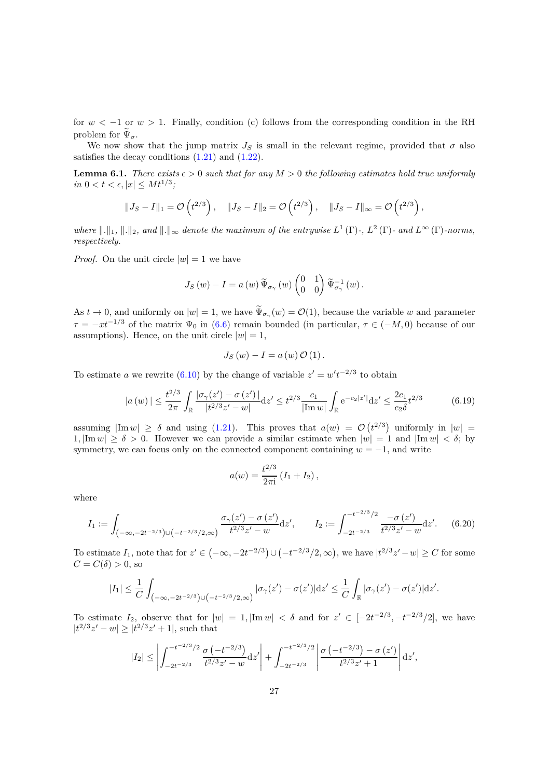for  $w < -1$  or  $w > 1$ . Finally, condition (c) follows from the corresponding condition in the RH problem for  $\Psi_{\sigma}$ .

We now show that the jump matrix  $J<sub>S</sub>$  is small in the relevant regime, provided that  $\sigma$  also satisfies the decay conditions  $(1.21)$  and  $(1.22)$ .

<span id="page-26-0"></span>**Lemma 6.1.** *There exists*  $\epsilon > 0$  *such that for any*  $M > 0$  *the following estimates hold true uniformly*  $in \ 0 < t < \epsilon, |x| \leq M t^{1/3};$ 

$$
||J_S - I||_1 = \mathcal{O}\left(t^{2/3}\right), \quad ||J_S - I||_2 = \mathcal{O}\left(t^{2/3}\right), \quad ||J_S - I||_{\infty} = \mathcal{O}\left(t^{2/3}\right),
$$

*where*  $\|\cdot\|_1$ ,  $\|\cdot\|_2$ , and  $\|\cdot\|_{\infty}$  denote the maximum of the entrywise  $L^1(\Gamma)$ -,  $L^2(\Gamma)$ - and  $L^{\infty}(\Gamma)$ -norms, *respectively.*

*Proof.* On the unit circle  $|w|=1$  we have

$$
J_{S}\left(w\right)-I=a\left(w\right)\widetilde{\Psi}_{\sigma_{\gamma}}\left(w\right)\begin{pmatrix}0&1\\0&0\end{pmatrix}\widetilde{\Psi}_{\sigma_{\gamma}}^{-1}\left(w\right).
$$

As  $t \to 0$ , and uniformly on  $|w| = 1$ , we have  $\Psi_{\sigma_\gamma}(w) = \mathcal{O}(1)$ , because the variable *w* and parameter  $\tau = -xt^{-1/3}$  of the matrix  $\Psi_0$  in [\(6.6\)](#page-23-2) remain bounded (in particular,  $\tau \in (-M, 0)$ ) because of our assumptions). Hence, on the unit circle  $|w|=1$ ,

$$
J_{S}\left(w\right)-I=a\left(w\right)\mathcal{O}\left(1\right).
$$

To estimate *a* we rewrite  $(6.10)$  by the change of variable  $z' = w't^{-2/3}$  to obtain

<span id="page-26-1"></span>
$$
|a(w)| \le \frac{t^{2/3}}{2\pi} \int_{\mathbb{R}} \frac{|\sigma_{\gamma}(z') - \sigma(z')|}{|t^{2/3}z' - w|} dz' \le t^{2/3} \frac{c_1}{|\text{Im } w|} \int_{\mathbb{R}} e^{-c_2|z'|} dz' \le \frac{2c_1}{c_2 \delta} t^{2/3}
$$
(6.19)

assuming  $|\text{Im } w| \ge \delta$  and using [\(1.21\)](#page-6-2). This proves that  $a(w) = \mathcal{O}(t^{2/3})$  uniformly in  $|w| =$ 1,  $|\text{Im } w| \ge \delta > 0$ . However we can provide a similar estimate when  $|w| = 1$  and  $|\text{Im } w| < \delta$ ; by symmetry, we can focus only on the connected component containing  $w = -1$ , and write

$$
a(w) = \frac{t^{2/3}}{2\pi i} (I_1 + I_2),
$$

where

<span id="page-26-2"></span>
$$
I_1 := \int_{\left(-\infty, -2t^{-2/3}\right) \cup \left(-t^{-2/3}/2, \infty\right)} \frac{\sigma_\gamma(z') - \sigma(z')}{t^{2/3} z' - w} dz', \qquad I_2 := \int_{-2t^{-2/3}}^{-t^{-2/3}/2} \frac{-\sigma(z')}{t^{2/3} z' - w} dz'. \tag{6.20}
$$

To estimate  $I_1$ , note that for  $z' \in (-\infty, -2t^{-2/3}) \cup (-t^{-2/3}/2, \infty)$ , we have  $|t^{2/3}z' - w| \ge C$  for some  $C = C(\delta) > 0$ , so

$$
|I_1| \leq \frac{1}{C} \int_{\left(-\infty, -2t^{-2/3}\right) \cup \left(-t^{-2/3}/2, \infty\right)} |\sigma_\gamma(z') - \sigma(z')| \mathrm{d} z' \leq \frac{1}{C} \int_{\mathbb{R}} |\sigma_\gamma(z') - \sigma(z')| \mathrm{d} z'.
$$

To estimate  $I_2$ , observe that for  $|w| = 1$ ,  $|\text{Im } w| < \delta$  and for  $z' \in [-2t^{-2/3}, -t^{-2/3}/2]$ , we have  $|t^{2/3}z' - w| \ge |t^{2/3}z' + 1|$ , such that

$$
|I_2| \leq \left| \int_{-2t^{-2/3}}^{-t^{-2/3}/2} \frac{\sigma(-t^{-2/3})}{t^{2/3}z' - w} dz' \right| + \int_{-2t^{-2/3}}^{-t^{-2/3}/2} \left| \frac{\sigma(-t^{-2/3}) - \sigma(z')}{t^{2/3}z' + 1} \right| dz',
$$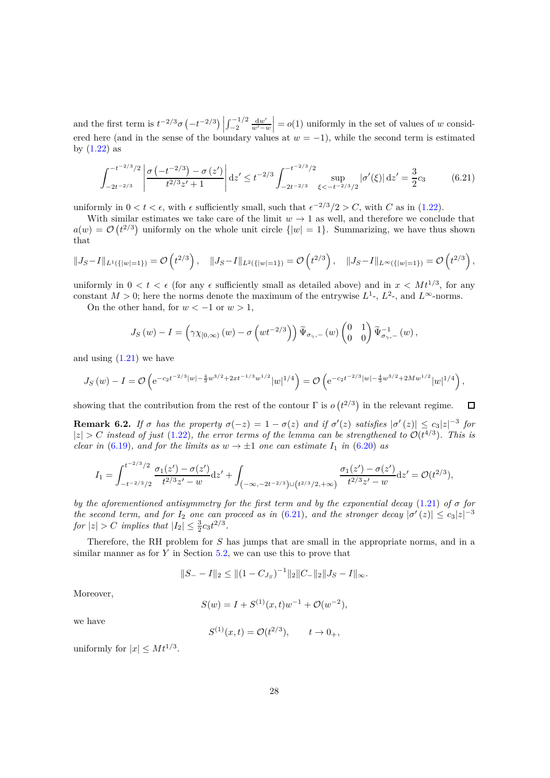and the first term is  $t^{-2/3}\sigma(-t^{-2/3})$  $\int_{-2}^{-1/2} \frac{dw'}{w'-w'}$ *w*′−*w*  $= o(1)$  uniformly in the set of values of *w* considered here (and in the sense of the boundary values at  $w = -1$ ), while the second term is estimated by  $(1.22)$  as

<span id="page-27-1"></span>
$$
\int_{-2t^{-2/3}}^{-t^{-2/3}/2} \left| \frac{\sigma \left( -t^{-2/3} \right) - \sigma \left( z' \right)}{t^{2/3} z' + 1} \right| dz' \leq t^{-2/3} \int_{-2t^{-2/3}}^{-t^{-2/3}/2} \sup_{\xi < -t^{-2/3}/2} |\sigma'(\xi)| dz' = \frac{3}{2} c_3 \tag{6.21}
$$

uniformly in  $0 < t < \epsilon$ , with  $\epsilon$  sufficiently small, such that  $\epsilon^{-2/3}/2 > C$ , with *C* as in [\(1.22\)](#page-6-3).

With similar estimates we take care of the limit  $w \to 1$  as well, and therefore we conclude that  $a(w) = \mathcal{O}(t^{2/3})$  uniformly on the whole unit circle  $\{|w| = 1\}$ . Summarizing, we have thus shown that

$$
||J_S - I||_{L^1(\{|w|=1\})} = \mathcal{O}\left(t^{2/3}\right), \quad ||J_S - I||_{L^2(\{|w|=1\})} = \mathcal{O}\left(t^{2/3}\right), \quad ||J_S - I||_{L^\infty(\{|w|=1\})} = \mathcal{O}\left(t^{2/3}\right),
$$

uniformly in  $0 < t < \epsilon$  (for any  $\epsilon$  sufficiently small as detailed above) and in  $x < Mt^{1/3}$ , for any constant  $M > 0$ ; here the norms denote the maximum of the entrywise  $L^1$ -,  $L^2$ -, and  $L^{\infty}$ -norms.

On the other hand, for  $w < -1$  or  $w > 1$ ,

$$
J_S(w) - I = \left(\gamma \chi_{[0,\infty)}(w) - \sigma\left(wt^{-2/3}\right)\right) \widetilde{\Psi}_{\sigma_\gamma,-}(w) \begin{pmatrix} 0 & 1 \\ 0 & 0 \end{pmatrix} \widetilde{\Psi}_{\sigma_\gamma,-}^{-1}(w),
$$

and using  $(1.21)$  we have

$$
J_S(w) - I = \mathcal{O}\left(e^{-c_2 t^{-2/3}|w| - \frac{4}{3}w^{3/2} + 2xt^{-1/3}w^{1/2}}|w|^{1/4}\right) = \mathcal{O}\left(e^{-c_2 t^{-2/3}|w| - \frac{4}{3}w^{3/2} + 2Mw^{1/2}}|w|^{1/4}\right),
$$

showing that the contribution from the rest of the contour  $\Gamma$  is  $o(t^{2/3})$  in the relevant regime. П

<span id="page-27-0"></span>**Remark 6.2.** *If*  $\sigma$  *has the property*  $\sigma(-z) = 1 - \sigma(z)$  *and if*  $\sigma'(z)$  *satisfies*  $|\sigma'(z)| \leq c_3 |z|^{-3}$  *for*  $|z| > C$  *instead of just* [\(1.22\)](#page-6-3)*, the error terms of the lemma can be strengthened to*  $\mathcal{O}(t^{4/3})$ *. This is clear in* [\(6.19\)](#page-26-1)*, and for the limits as*  $w \to \pm 1$  *one can estimate*  $I_1$  *in* [\(6.20\)](#page-26-2) *as* 

$$
I_1 = \int_{-t^{-2/3}/2}^{t^{-2/3}/2} \frac{\sigma_1(z') - \sigma(z')}{t^{2/3}z' - w} dz' + \int_{(-\infty, -2t^{-2/3}) \cup (t^{2/3}/2, +\infty)} \frac{\sigma_1(z') - \sigma(z')}{t^{2/3}z' - w} dz' = \mathcal{O}(t^{2/3}),
$$

*by the aforementioned antisymmetry for the first term and by the exponential decay* [\(1.21\)](#page-6-2) *of σ for the second term, and for*  $I_2$  *one can proceed as in* [\(6.21\)](#page-27-1)*, and the stronger decay*  $|\sigma'(z)| \leq c_3 |z|^{-3}$ *for*  $|z| > C$  *implies that*  $|I_2| \leq \frac{3}{2}c_3t^{2/3}$ *.* 

Therefore, the RH problem for *S* has jumps that are small in the appropriate norms, and in a similar manner as for *Y* in Section [5.2,](#page-21-0) we can use this to prove that

$$
||S_{-} - I||_2 \le ||(1 - C_{J_S})^{-1}||_2 ||C_{-}||_2 ||J_S - I||_{\infty}.
$$

Moreover,

$$
S(w) = I + S^{(1)}(x, t)w^{-1} + \mathcal{O}(w^{-2}),
$$

we have

$$
S^{(1)}(x,t) = \mathcal{O}(t^{2/3}), \qquad t \to 0_+,
$$

uniformly for  $|x| \leq Mt^{1/3}$ .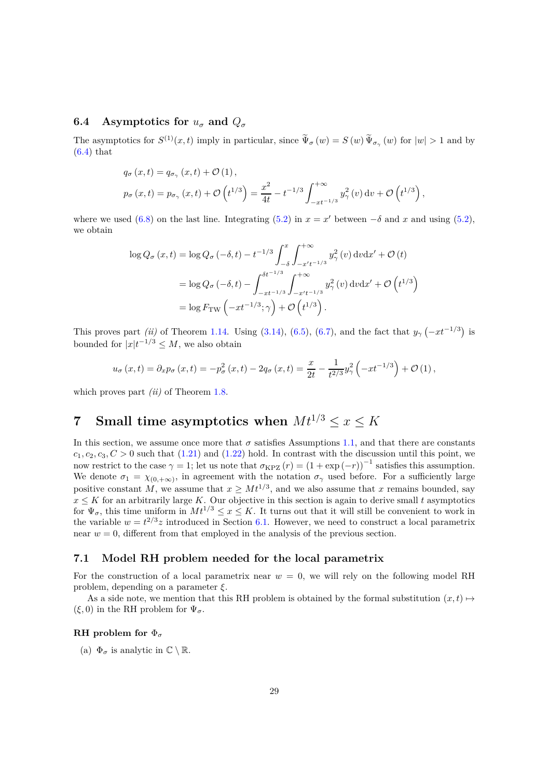### <span id="page-28-0"></span>**6.4** Asymptotics for  $u_{\sigma}$  and  $Q_{\sigma}$

The asymptotics for  $S^{(1)}(x,t)$  imply in particular, since  $\tilde{\Psi}_{\sigma}(w) = S(w)\tilde{\Psi}_{\sigma_{\gamma}}(w)$  for  $|w| > 1$  and by  $(6.4)$  that

$$
q_{\sigma}(x,t) = q_{\sigma_{\gamma}}(x,t) + \mathcal{O}(1),
$$
  
\n
$$
p_{\sigma}(x,t) = p_{\sigma_{\gamma}}(x,t) + \mathcal{O}(t^{1/3}) = \frac{x^2}{4t} - t^{-1/3} \int_{-xt^{-1/3}}^{+\infty} y_{\gamma}^2(v) dv + \mathcal{O}(t^{1/3})
$$

*,*

where we used [\(6.8\)](#page-24-2) on the last line. Integrating [\(5.2\)](#page-22-2) in  $x = x'$  between  $-\delta$  and  $x$  and using (5.2), we obtain

$$
\log Q_{\sigma}(x,t) = \log Q_{\sigma}(-\delta, t) - t^{-1/3} \int_{-\delta}^{x} \int_{-x't^{-1/3}}^{+\infty} y_{\gamma}^{2}(v) dv dx' + \mathcal{O}(t)
$$
  
=  $\log Q_{\sigma}(-\delta, t) - \int_{-xt^{-1/3}}^{\delta t^{-1/3}} \int_{-x't^{-1/3}}^{+\infty} y_{\gamma}^{2}(v) dv dx' + \mathcal{O}(t^{1/3})$   
=  $\log F_{\text{TW}}(-xt^{-1/3}; \gamma) + \mathcal{O}(t^{1/3}).$ 

This proves part *(ii)* of Theorem [1.14.](#page-8-0) Using [\(3.14\)](#page-17-3), [\(6.5\)](#page-23-1), [\(6.7\)](#page-24-3), and the fact that  $y_\gamma(-xt^{-1/3})$  is bounded for  $|x|t^{-1/3} \leq M$ , we also obtain

$$
u_{\sigma}(x,t) = \partial_x p_{\sigma}(x,t) = -p_{\sigma}^2(x,t) - 2q_{\sigma}(x,t) = \frac{x}{2t} - \frac{1}{t^{2/3}}y_{\gamma}^2(-xt^{-1/3}) + \mathcal{O}(1),
$$

which proves part *(ii)* of Theorem [1.8.](#page-6-1)

# <span id="page-28-1"></span>**7** Small time asymptotics when  $Mt^{1/3} \leq x \leq K$

In this section, we assume once more that  $\sigma$  satisfies Assumptions [1.1,](#page-2-0) and that there are constants  $c_1, c_2, c_3, C > 0$  such that [\(1.21\)](#page-6-2) and [\(1.22\)](#page-6-3) hold. In contrast with the discussion until this point, we now restrict to the case  $\gamma = 1$ ; let us note that  $\sigma_{KPZ}(r) = (1 + \exp(-r))^{-1}$  satisfies this assumption. We denote  $\sigma_1 = \chi_{(0, +\infty)}$ , in agreement with the notation  $\sigma_\gamma$  used before. For a sufficiently large positive constant *M*, we assume that  $x \geq Mt^{1/3}$ , and we also assume that *x* remains bounded, say  $x \leq K$  for an arbitrarily large *K*. Our objective in this section is again to derive small *t* asymptotics for  $\Psi_{\sigma}$ , this time uniform in  $Mt^{1/3} \leq x \leq K$ . It turns out that it will still be convenient to work in the variable  $w = t^{2/3}z$  introduced in Section [6.1.](#page-22-1) However, we need to construct a local parametrix near  $w = 0$ , different from that employed in the analysis of the previous section.

#### <span id="page-28-2"></span>**7.1 Model RH problem needed for the local parametrix**

For the construction of a local parametrix near  $w = 0$ , we will rely on the following model RH problem, depending on a parameter *ξ*.

As a side note, we mention that this RH problem is obtained by the formal substitution  $(x, t) \mapsto$  $(\xi, 0)$  in the RH problem for  $\Psi_{\sigma}$ .

### **RH problem for** Φ*<sup>σ</sup>*

(a)  $\Phi_{\sigma}$  is analytic in  $\mathbb{C} \setminus \mathbb{R}$ .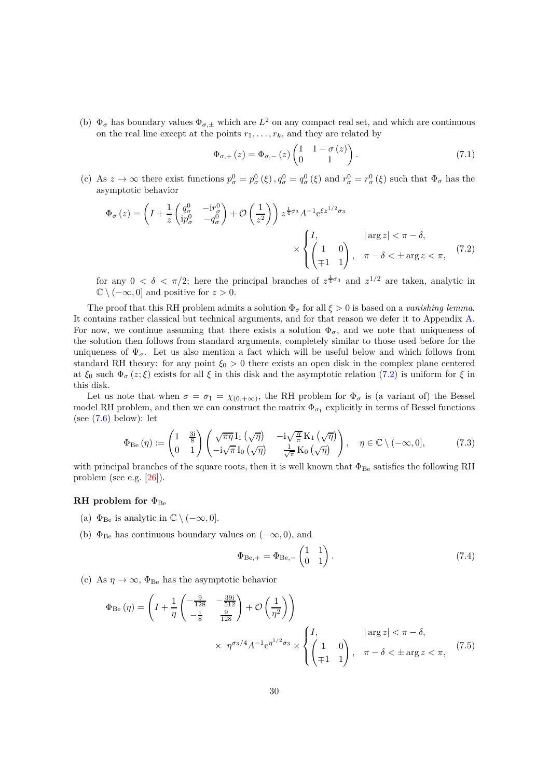(b)  $\Phi_{\sigma}$  has boundary values  $\Phi_{\sigma,\pm}$  which are  $L^2$  on any compact real set, and which are continuous on the real line except at the points  $r_1, \ldots, r_k$ , and they are related by

<span id="page-29-0"></span>
$$
\Phi_{\sigma,+}(z) = \Phi_{\sigma,-}(z) \begin{pmatrix} 1 & 1 - \sigma(z) \\ 0 & 1 \end{pmatrix}.
$$
\n(7.1)

(c) As  $z \to \infty$  there exist functions  $p^0_\sigma = p^0_\sigma(\xi), q^0_\sigma = q^0_\sigma(\xi)$  and  $r^0_\sigma = r^0_\sigma(\xi)$  such that  $\Phi_\sigma$  has the asymptotic behavior

$$
\Phi_{\sigma}(z) = \left(I + \frac{1}{z} \begin{pmatrix} q_{\sigma}^{0} & -\mathrm{i}r_{\sigma}^{0} \\ \mathrm{i}p_{\sigma}^{0} & -q_{\sigma}^{0} \end{pmatrix} + \mathcal{O}\left(\frac{1}{z^{2}}\right)\right) z^{\frac{1}{4}\sigma_{3}} A^{-1} e^{\xi z^{1/2}\sigma_{3}} \times \begin{cases} I, & |\arg z| < \pi - \delta, \\ \begin{pmatrix} 1 & 0 \\ \mp 1 & 1 \end{pmatrix}, & \pi - \delta < \pm \arg z < \pi, \end{cases} (7.2)
$$

for any  $0 < \delta < \pi/2$ ; here the principal branches of  $z^{\frac{1}{4}\sigma_3}$  and  $z^{1/2}$  are taken, analytic in  $\mathbb{C} \setminus (-\infty, 0]$  and positive for  $z > 0$ .

The proof that this RH problem admits a solution  $\Phi_{\sigma}$  for all  $\xi > 0$  is based on a *vanishing lemma*. It contains rather classical but technical arguments, and for that reason we defer it to Appendix [A.](#page-38-0) For now, we continue assuming that there exists a solution  $\Phi_{\sigma}$ , and we note that uniqueness of the solution then follows from standard arguments, completely similar to those used before for the uniqueness of  $\Psi_{\sigma}$ . Let us also mention a fact which will be useful below and which follows from standard RH theory: for any point  $\xi_0 > 0$  there exists an open disk in the complex plane centered at  $\xi_0$  such  $\Phi_\sigma(z;\xi)$  exists for all  $\xi$  in this disk and the asymptotic relation [\(7.2\)](#page-29-0) is uniform for  $\xi$  in this disk.

Let us note that when  $\sigma = \sigma_1 = \chi_{(0, +\infty)}$ , the RH problem for  $\Phi_{\sigma}$  is (a variant of) the Bessel model RH problem, and then we can construct the matrix  $\Phi_{\sigma_1}$  explicitly in terms of Bessel functions (see  $(7.6)$  below): let

<span id="page-29-1"></span>
$$
\Phi_{\text{Be}}(\eta) := \begin{pmatrix} 1 & \frac{3i}{8} \\ 0 & 1 \end{pmatrix} \begin{pmatrix} \sqrt{\pi \eta} \, I_1(\sqrt{\eta}) & -i\sqrt{\frac{\eta}{\pi}} \, K_1(\sqrt{\eta}) \\ -i\sqrt{\pi} \, I_0(\sqrt{\eta}) & \frac{1}{\sqrt{\pi}} \, K_0(\sqrt{\eta}) \end{pmatrix}, \quad \eta \in \mathbb{C} \setminus (-\infty, 0], \tag{7.3}
$$

with principal branches of the square roots, then it is well known that  $\Phi_{\text{Be}}$  satisfies the following RH problem (see e.g. [\[26\]](#page-41-12)).

### **RH** problem for  $\Phi_{\text{Be}}$

- (a)  $\Phi_{\text{Be}}$  is analytic in  $\mathbb{C} \setminus (-\infty, 0]$ .
- (b)  $\Phi_{\text{Be}}$  has continuous boundary values on  $(-\infty, 0)$ , and

<span id="page-29-2"></span>
$$
\Phi_{\text{Be},+} = \Phi_{\text{Be},-} \begin{pmatrix} 1 & 1 \\ 0 & 1 \end{pmatrix} . \tag{7.4}
$$

(c) As  $\eta \to \infty$ ,  $\Phi_{\text{Be}}$  has the asymptotic behavior

$$
\Phi_{\text{Be}}(\eta) = \left( I + \frac{1}{\eta} \begin{pmatrix} -\frac{9}{128} & -\frac{39i}{512} \\ -\frac{i}{8} & \frac{9}{128} \end{pmatrix} + \mathcal{O}\left(\frac{1}{\eta^2}\right) \right) \times \eta^{\sigma_3/4} A^{-1} e^{\eta^{1/2} \sigma_3} \times \begin{cases} I, & |\arg z| < \pi - \delta, \\ \begin{pmatrix} 1 & 0 \\ \mp 1 & 1 \end{pmatrix}, & \pi - \delta < \pm \arg z < \pi, \end{cases} (7.5)
$$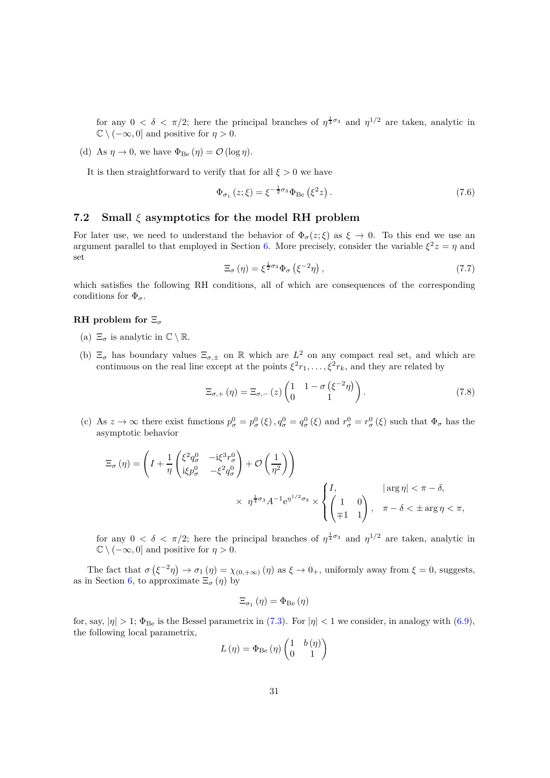for any  $0 < \delta < \pi/2$ ; here the principal branches of  $\eta^{\frac{1}{4}\sigma_3}$  and  $\eta^{1/2}$  are taken, analytic in  $\mathbb{C} \setminus (-\infty, 0]$  and positive for  $\eta > 0$ .

(d) As  $\eta \to 0$ , we have  $\Phi_{\text{Be}}(\eta) = \mathcal{O}(\log \eta)$ .

It is then straightforward to verify that for all  $\xi > 0$  we have

<span id="page-30-1"></span>
$$
\Phi_{\sigma_1}(z;\xi) = \xi^{-\frac{1}{2}\sigma_3} \Phi_{\text{Be}}(\xi^2 z) \,. \tag{7.6}
$$

### <span id="page-30-0"></span>**7.2 Small** *ξ* **asymptotics for the model RH problem**

For later use, we need to understand the behavior of  $\Phi_{\sigma}(z;\xi)$  as  $\xi \to 0$ . To this end we use an argument parallel to that employed in Section [6.](#page-22-0) More precisely, consider the variable  $\xi^2 z = \eta$  and set

<span id="page-30-2"></span>
$$
\Xi_{\sigma}(\eta) = \xi^{\frac{1}{2}\sigma_3} \Phi_{\sigma}(\xi^{-2}\eta), \qquad (7.7)
$$

which satisfies the following RH conditions, all of which are consequences of the corresponding conditions for  $\Phi_{\sigma}$ .

### **RH problem for** Ξ*<sup>σ</sup>*

- (a)  $\Xi_{\sigma}$  is analytic in  $\mathbb{C}\setminus\mathbb{R}$ .
- (b)  $\Xi_{\sigma}$  has boundary values  $\Xi_{\sigma,\pm}$  on R which are  $L^2$  on any compact real set, and which are continuous on the real line except at the points  $\xi^2 r_1, \ldots, \xi^2 r_k$ , and they are related by

$$
\Xi_{\sigma,+}(\eta) = \Xi_{\sigma,-}(z) \begin{pmatrix} 1 & 1 - \sigma \left( \xi^{-2} \eta \right) \\ 0 & 1 \end{pmatrix}.
$$
 (7.8)

(c) As  $z \to \infty$  there exist functions  $p^0_\sigma = p^0_\sigma(\xi), q^0_\sigma = q^0_\sigma(\xi)$  and  $r^0_\sigma = r^0_\sigma(\xi)$  such that  $\Phi_\sigma$  has the asymptotic behavior

$$
\Xi_{\sigma}(\eta) = \left( I + \frac{1}{\eta} \begin{pmatrix} \xi^2 q_{\sigma}^0 & -i\xi^3 r_{\sigma}^0 \\ i\xi p_{\sigma}^0 & -\xi^2 q_{\sigma}^0 \end{pmatrix} + \mathcal{O}\left(\frac{1}{\eta^2}\right) \right) \times \eta^{\frac{1}{4}\sigma_3} A^{-1} e^{\eta^{1/2} \sigma_3} \times \begin{cases} I, & |\arg \eta| < \pi - \delta, \\ \begin{pmatrix} 1 & 0 \\ \mp 1 & 1 \end{pmatrix}, & \pi - \delta < \pm \arg \eta < \pi, \end{cases}
$$

for any  $0 < \delta < \pi/2$ ; here the principal branches of  $\eta^{\frac{1}{4}\sigma_3}$  and  $\eta^{1/2}$  are taken, analytic in  $\mathbb{C} \setminus (-\infty, 0]$  and positive for  $\eta > 0$ .

The fact that  $\sigma(\xi^{-2}\eta) \to \sigma_1(\eta) = \chi_{(0, +\infty)}(\eta)$  as  $\xi \to 0_+$ , uniformly away from  $\xi = 0$ , suggests, as in Section [6,](#page-22-0) to approximate  $\Xi_{\sigma}(\eta)$  by

$$
\Xi_{\sigma_{1}}\left( \eta\right) =\Phi_{\mathrm{Be}}\left( \eta\right)
$$

for, say,  $|\eta| > 1$ ;  $\Phi_{\text{Be}}$  is the Bessel parametrix in [\(7.3\)](#page-29-1). For  $|\eta| < 1$  we consider, in analogy with [\(6.9\)](#page-24-4), the following local parametrix,

$$
L(\eta) = \Phi_{\text{Be}}(\eta) \begin{pmatrix} 1 & b(\eta) \\ 0 & 1 \end{pmatrix}
$$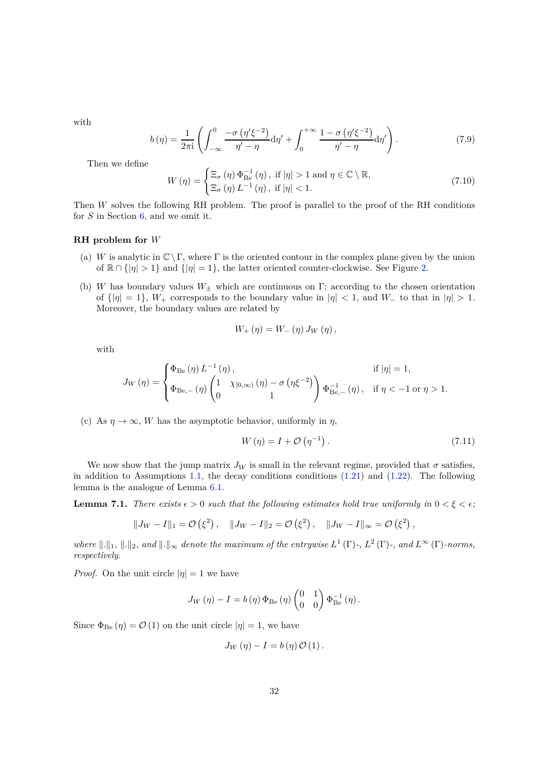with

<span id="page-31-0"></span>
$$
b(\eta) = \frac{1}{2\pi i} \left( \int_{-\infty}^{0} \frac{-\sigma \left( \eta' \xi^{-2} \right)}{\eta' - \eta} d\eta' + \int_{0}^{+\infty} \frac{1 - \sigma \left( \eta' \xi^{-2} \right)}{\eta' - \eta} d\eta' \right). \tag{7.9}
$$

Then we define

<span id="page-31-1"></span>
$$
W(\eta) = \begin{cases} \Xi_{\sigma}(\eta) \, \Phi_{\text{Be}}^{-1}(\eta), \text{ if } |\eta| > 1 \text{ and } \eta \in \mathbb{C} \setminus \mathbb{R}, \\ \Xi_{\sigma}(\eta) \, L^{-1}(\eta), \text{ if } |\eta| < 1. \end{cases}
$$
\n
$$
(7.10)
$$

Then *W* solves the following RH problem. The proof is parallel to the proof of the RH conditions for *S* in Section [6,](#page-22-0) and we omit it.

#### **RH problem for** *W*

- (a) *W* is analytic in  $\mathbb{C}\setminus\Gamma$ , where  $\Gamma$  is the oriented contour in the complex plane given by the union of  $\mathbb{R} \cap \{|\eta| > 1\}$  and  $\{|\eta| = 1\}$ , the latter oriented counter-clockwise. See Figure [2.](#page-25-0)
- (b) *W* has boundary values *W*<sup>±</sup> which are continuous on Γ; according to the chosen orientation of  $\{|\eta| = 1\}$ ,  $W_+$  corresponds to the boundary value in  $|\eta| < 1$ , and  $W_-$  to that in  $|\eta| > 1$ . Moreover, the boundary values are related by

$$
W_{+}(\eta) = W_{-}(\eta) J_W(\eta) ,
$$

with

$$
J_W(\eta) = \begin{cases} \Phi_{\text{Be}}(\eta) L^{-1}(\eta), & \text{if } |\eta| = 1, \\ \Phi_{\text{Be},-}(\eta) \begin{pmatrix} 1 & \chi_{[0,\infty)}(\eta) - \sigma(\eta \xi^{-2}) \\ 0 & 1 \end{pmatrix} \Phi_{\text{Be},-}^{-1}(\eta), & \text{if } \eta < -1 \text{ or } \eta > 1. \end{cases}
$$

(c) As  $\eta \to \infty$ , *W* has the asymptotic behavior, uniformly in  $\eta$ ,

$$
W(\eta) = I + \mathcal{O}(\eta^{-1}). \tag{7.11}
$$

We now show that the jump matrix  $J_W$  is small in the relevant regime, provided that  $\sigma$  satisfies, in addition to Assumptions [1.1,](#page-2-0) the decay conditions conditions  $(1.21)$  and  $(1.22)$ . The following lemma is the analogue of Lemma [6.1.](#page-26-0)

**Lemma 7.1.** *There exists*  $\epsilon > 0$  *such that the following estimates hold true uniformly in*  $0 < \xi < \epsilon$ ;

$$
||J_W - I||_1 = \mathcal{O}(\xi^2), \quad ||J_W - I||_2 = \mathcal{O}(\xi^2), \quad ||J_W - I||_{\infty} = \mathcal{O}(\xi^2),
$$

*where*  $\|\cdot\|_1$ ,  $\|\cdot\|_2$ , and  $\|\cdot\|_{\infty}$  denote the maximum of the entrywise  $L^1(\Gamma)$ -,  $L^2(\Gamma)$ -, and  $L^{\infty}(\Gamma)$ -norms, *respectively.*

*Proof.* On the unit circle  $|\eta| = 1$  we have

$$
J_W\left(\eta\right) - I = b\left(\eta\right)\Phi_{\text{Be}}\left(\eta\right)\begin{pmatrix} 0 & 1 \\ 0 & 0 \end{pmatrix}\Phi_{\text{Be}}^{-1}\left(\eta\right).
$$

Since  $\Phi_{\text{Be}}(\eta) = \mathcal{O}(1)$  on the unit circle  $|\eta| = 1$ , we have

$$
J_W(\eta) - I = b(\eta) \mathcal{O}(1).
$$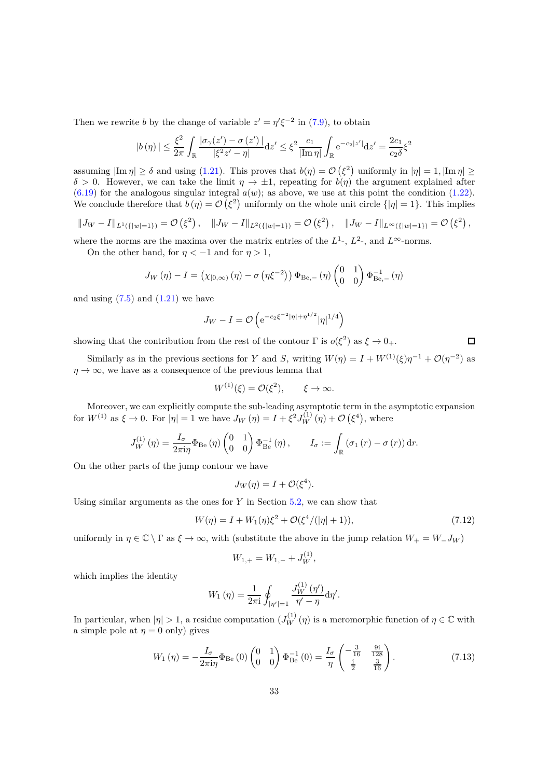Then we rewrite *b* by the change of variable  $z' = \eta' \xi^{-2}$  in [\(7.9\)](#page-31-0), to obtain

$$
|b(\eta)| \leq \frac{\xi^2}{2\pi} \int_{\mathbb{R}} \frac{|\sigma_{\gamma}(z') - \sigma(z')|}{|\xi^2 z' - \eta|} dz' \leq \xi^2 \frac{c_1}{|\text{Im}\,\eta|} \int_{\mathbb{R}} e^{-c_2|z'|} dz' = \frac{2c_1}{c_2\delta} \xi^2
$$

assuming  $|\text{Im }\eta| \ge \delta$  and using [\(1.21\)](#page-6-2). This proves that  $b(\eta) = \mathcal{O}(\xi^2)$  uniformly in  $|\eta| = 1$ ,  $|\text{Im }\eta| \ge$  $\delta > 0$ . However, we can take the limit  $\eta \to \pm 1$ , repeating for  $b(\eta)$  the argument explained after  $(6.19)$  for the analogous singular integral  $a(w)$ ; as above, we use at this point the condition  $(1.22)$ . We conclude therefore that  $b(\eta) = \mathcal{O}(\xi^2)$  uniformly on the whole unit circle  $\{|\eta| = 1\}$ . This implies

$$
||J_W - I||_{L^1({|w|=1})} = \mathcal{O}(\xi^2), \quad ||J_W - I||_{L^2({|w|=1})} = \mathcal{O}(\xi^2), \quad ||J_W - I||_{L^\infty({|w|=1})} = \mathcal{O}(\xi^2),
$$

where the norms are the maxima over the matrix entries of the  $L^1$ -,  $L^2$ -, and  $L^{\infty}$ -norms.

On the other hand, for  $\eta < -1$  and for  $\eta > 1$ ,

$$
J_W(\eta) - I = (\chi_{[0,\infty)}(\eta) - \sigma(\eta \xi^{-2})) \Phi_{\text{Be},-}(\eta) \begin{pmatrix} 0 & 1 \\ 0 & 0 \end{pmatrix} \Phi_{\text{Be},-}^{-1}(\eta)
$$

and using  $(7.5)$  and  $(1.21)$  we have

$$
J_W - I = \mathcal{O}\left(e^{-c_2\xi^{-2}|\eta| + \eta^{1/2}}|\eta|^{1/4}\right)
$$

showing that the contribution from the rest of the contour  $\Gamma$  is  $o(\xi^2)$  as  $\xi \to 0_+$ .

Similarly as in the previous sections for *Y* and *S*, writing  $W(\eta) = I + W^{(1)}(\xi)\eta^{-1} + \mathcal{O}(\eta^{-2})$  as  $\eta \to \infty$ , we have as a consequence of the previous lemma that

$$
W^{(1)}(\xi) = \mathcal{O}(\xi^2), \qquad \xi \to \infty.
$$

Moreover, we can explicitly compute the sub-leading asymptotic term in the asymptotic expansion for  $W^{(1)}$  as  $\xi \to 0$ . For  $|\eta| = 1$  we have  $J_W(\eta) = I + \xi^2 J_W^{(1)}(\eta) + \mathcal{O}(\xi^4)$ , where

$$
J_W^{(1)}(\eta) = \frac{I_\sigma}{2\pi i\eta} \Phi_{\text{Be}}(\eta) \begin{pmatrix} 0 & 1 \\ 0 & 0 \end{pmatrix} \Phi_{\text{Be}}^{-1}(\eta), \qquad I_\sigma := \int_{\mathbb{R}} \left(\sigma_1(r) - \sigma(r)\right) dr.
$$

On the other parts of the jump contour we have

$$
J_W(\eta) = I + \mathcal{O}(\xi^4).
$$

Using similar arguments as the ones for *Y* in Section [5.2,](#page-21-0) we can show that

$$
W(\eta) = I + W_1(\eta)\xi^2 + \mathcal{O}(\xi^4/(|\eta|+1)),\tag{7.12}
$$

*.*

uniformly in  $\eta \in \mathbb{C} \setminus \Gamma$  as  $\xi \to \infty$ , with (substitute the above in the jump relation  $W_+ = W_- J_W$ )

$$
W_{1,+} = W_{1,-} + J_W^{(1)},
$$

which implies the identity

$$
W_1(\eta) = \frac{1}{2\pi i} \oint_{|\eta'|=1} \frac{J_W^{(1)}(\eta')}{\eta'-\eta} d\eta'
$$

In particular, when  $|\eta| > 1$ , a residue computation  $(J_W^{(1)}(\eta))$  is a meromorphic function of  $\eta \in \mathbb{C}$  with a simple pole at  $\eta = 0$  only) gives

$$
W_1(\eta) = -\frac{I_\sigma}{2\pi i\eta} \Phi_{\text{Be}}(0) \begin{pmatrix} 0 & 1\\ 0 & 0 \end{pmatrix} \Phi_{\text{Be}}^{-1}(0) = \frac{I_\sigma}{\eta} \begin{pmatrix} -\frac{3}{16} & \frac{9i}{128} \\ \frac{i}{2} & \frac{3}{16} \end{pmatrix} . \tag{7.13}
$$

 $\Box$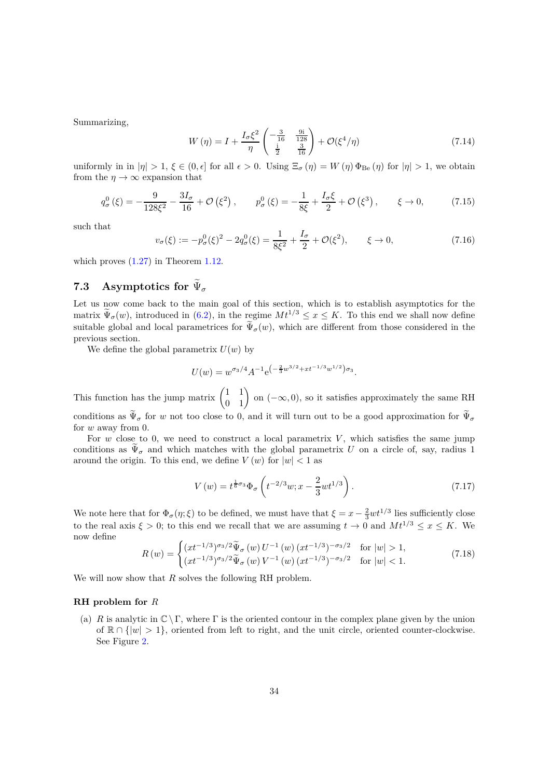Summarizing,

<span id="page-33-1"></span>
$$
W(\eta) = I + \frac{I_{\sigma} \xi^2}{\eta} \begin{pmatrix} -\frac{3}{16} & \frac{9i}{128} \\ \frac{i}{2} & \frac{3}{16} \end{pmatrix} + \mathcal{O}(\xi^4/\eta) \tag{7.14}
$$

uniformly in in  $|\eta| > 1$ ,  $\xi \in (0, \epsilon]$  for all  $\epsilon > 0$ . Using  $\Xi_{\sigma}(\eta) = W(\eta) \Phi_{\text{Be}}(\eta)$  for  $|\eta| > 1$ , we obtain from the  $\eta \rightarrow \infty$  expansion that

<span id="page-33-2"></span>
$$
q_{\sigma}^{0}(\xi) = -\frac{9}{128\xi^{2}} - \frac{3I_{\sigma}}{16} + \mathcal{O}(\xi^{2}), \qquad p_{\sigma}^{0}(\xi) = -\frac{1}{8\xi} + \frac{I_{\sigma}\xi}{2} + \mathcal{O}(\xi^{3}), \qquad \xi \to 0,
$$
 (7.15)

such that

<span id="page-33-3"></span>
$$
v_{\sigma}(\xi) := -p_{\sigma}^{0}(\xi)^{2} - 2q_{\sigma}^{0}(\xi) = \frac{1}{8\xi^{2}} + \frac{I_{\sigma}}{2} + \mathcal{O}(\xi^{2}), \qquad \xi \to 0,
$$
\n(7.16)

which proves  $(1.27)$  in Theorem [1.12.](#page-7-0)

# <span id="page-33-0"></span>**7.3** Asymptotics for  $\Psi_{\sigma}$

Let us now come back to the main goal of this section, which is to establish asymptotics for the matrix  $\widetilde{\Psi}_{\sigma}(w)$ , introduced in [\(6.2\)](#page-22-3), in the regime  $Mt^{1/3} \leq x \leq K$ . To this end we shall now define suitable global and local parametrices for  $\tilde{\Psi}_{\sigma}(w)$ , which are different from those considered in the previous section.

We define the global parametrix  $U(w)$  by

$$
U(w) = w^{\sigma_3/4} A^{-1} e^{-\frac{2}{3}w^{3/2} + xt^{-1/3}w^{1/2}} \sigma_3.
$$

This function has the jump matrix  $\begin{pmatrix} 1 & 1 \\ 0 & 1 \end{pmatrix}$  on  $(-\infty, 0)$ , so it satisfies approximately the same RH conditions as  $\tilde{\Psi}_{\sigma}$  for *w* not too close to 0, and it will turn out to be a good approximation for  $\tilde{\Psi}_{\sigma}$ for *w* away from 0.

For  $w$  close to 0, we need to construct a local parametrix  $V$ , which satisfies the same jump conditions as  $\widetilde{\Psi}_{\sigma}$  and which matches with the global parametrix *U* on a circle of, say, radius 1 around the origin. To this end, we define  $V(w)$  for  $|w| < 1$  as

$$
V(w) = t^{\frac{1}{6}\sigma_3} \Phi_\sigma \left( t^{-2/3} w; x - \frac{2}{3} w t^{1/3} \right). \tag{7.17}
$$

We note here that for  $\Phi_{\sigma}(\eta;\xi)$  to be defined, we must have that  $\xi = x - \frac{2}{3}wt^{1/3}$  lies sufficiently close to the real axis  $\xi > 0$ ; to this end we recall that we are assuming  $t \to 0$  and  $Mt^{1/3} \le x \le K$ . We now define

$$
R(w) = \begin{cases} (xt^{-1/3})^{\sigma_3/2} \tilde{\Psi}_{\sigma}(w) U^{-1}(w) (xt^{-1/3})^{-\sigma_3/2} & \text{for } |w| > 1, \\ (xt^{-1/3})^{\sigma_3/2} \tilde{\Psi}_{\sigma}(w) V^{-1}(w) (xt^{-1/3})^{-\sigma_3/2} & \text{for } |w| < 1. \end{cases}
$$
(7.18)

We will now show that *R* solves the following RH problem.

### **RH problem for** *R*

(a) *R* is analytic in  $\mathbb{C} \setminus \Gamma$ , where  $\Gamma$  is the oriented contour in the complex plane given by the union of  $\mathbb{R} \cap \{|w| > 1\}$ , oriented from left to right, and the unit circle, oriented counter-clockwise. See Figure [2.](#page-25-0)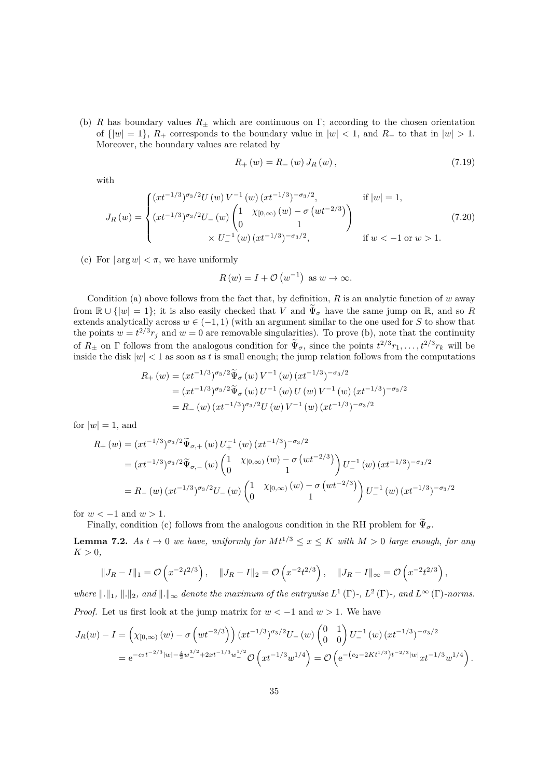(b) *R* has boundary values  $R_{\pm}$  which are continuous on Γ; according to the chosen orientation of  $\{|w| = 1\}$ ,  $R_+$  corresponds to the boundary value in  $|w| < 1$ , and  $R_-$  to that in  $|w| > 1$ . Moreover, the boundary values are related by

$$
R_{+}(w) = R_{-}(w) J_{R}(w), \qquad (7.19)
$$

with

$$
J_R(w) = \begin{cases} (xt^{-1/3})^{\sigma_3/2} U(w) V^{-1}(w) (xt^{-1/3})^{-\sigma_3/2}, & \text{if } |w| = 1, \\ (xt^{-1/3})^{\sigma_3/2} U_{-}(w) \begin{pmatrix} 1 & \chi_{[0,\infty)}(w) - \sigma(wt^{-2/3}) \\ 0 & 1 \end{pmatrix} & \text{if } w < -1 \text{ or } w > 1. \end{cases}
$$
(7.20)

(c) For  $|\arg w| < \pi$ , we have uniformly

$$
R(w) = I + \mathcal{O}(w^{-1}) \text{ as } w \to \infty.
$$

Condition (a) above follows from the fact that, by definition,  $R$  is an analytic function of  $w$  away from  $\mathbb{R} \cup \{|w|=1\}$ ; it is also easily checked that *V* and  $\widetilde{\Psi}_{\sigma}$  have the same jump on  $\mathbb{R}$ , and so *R* extends analytically across  $w \in (-1, 1)$  (with an argument similar to the one used for *S* to show that the points  $w = t^{2/3} r_j$  and  $w = 0$  are removable singularities). To prove (b), note that the continuity of  $R_{\pm}$  on  $\Gamma$  follows from the analogous condition for  $\Psi_{\sigma}$ , since the points  $t^{2/3}r_1, \ldots, t^{2/3}r_k$  will be inside the disk  $|w| < 1$  as soon as t is small enough; the jump relation follows from the computations

$$
R_{+}(w) = (xt^{-1/3})^{\sigma_{3}/2} \widetilde{\Psi}_{\sigma}(w) V^{-1}(w) (xt^{-1/3})^{-\sigma_{3}/2}
$$
  
=  $(xt^{-1/3})^{\sigma_{3}/2} \widetilde{\Psi}_{\sigma}(w) U^{-1}(w) U(w) V^{-1}(w) (xt^{-1/3})^{-\sigma_{3}/2}$   
=  $R_{-}(w) (xt^{-1/3})^{\sigma_{3}/2} U(w) V^{-1}(w) (xt^{-1/3})^{-\sigma_{3}/2}$ 

for  $|w|=1$ , and

$$
R_{+}(w) = (xt^{-1/3})^{\sigma_{3}/2} \widetilde{\Psi}_{\sigma,+}(w) U_{+}^{-1}(w) (xt^{-1/3})^{-\sigma_{3}/2}
$$
  
\n
$$
= (xt^{-1/3})^{\sigma_{3}/2} \widetilde{\Psi}_{\sigma,-}(w) \begin{pmatrix} 1 & \chi_{[0,\infty)}(w) - \sigma (wt^{-2/3}) \\ 0 & 1 \end{pmatrix} U_{-}^{-1}(w) (xt^{-1/3})^{-\sigma_{3}/2}
$$
  
\n
$$
= R_{-}(w) (xt^{-1/3})^{\sigma_{3}/2} U_{-}(w) \begin{pmatrix} 1 & \chi_{[0,\infty)}(w) - \sigma (wt^{-2/3}) \\ 0 & 1 \end{pmatrix} U_{-}^{-1}(w) (xt^{-1/3})^{-\sigma_{3}/2}
$$

for  $w < -1$  and  $w > 1$ .

Finally, condition (c) follows from the analogous condition in the RH problem for  $\tilde{\Psi}_{\sigma}$ .

<span id="page-34-0"></span>**Lemma 7.2.** *As*  $t \to 0$  *we have, uniformly for*  $Mt^{1/3} \leq x \leq K$  *with*  $M > 0$  *large enough, for any*  $K > 0$ ,

$$
||J_R - I||_1 = \mathcal{O}\left(x^{-2}t^{2/3}\right), \quad ||J_R - I||_2 = \mathcal{O}\left(x^{-2}t^{2/3}\right), \quad ||J_R - I||_{\infty} = \mathcal{O}\left(x^{-2}t^{2/3}\right),
$$

*where*  $\|\cdot\|_1$ ,  $\|\cdot\|_2$ , and  $\|\cdot\|_{\infty}$  denote the maximum of the entrywise  $L^1(\Gamma)$ -,  $L^2(\Gamma)$ -, and  $L^{\infty}(\Gamma)$ -norms. *Proof.* Let us first look at the jump matrix for  $w < -1$  and  $w > 1$ . We have

$$
J_R(w) - I = \left(\chi_{[0,\infty)}(w) - \sigma\left(wt^{-2/3}\right)\right) (xt^{-1/3})^{\sigma_3/2} U_{-}(w) \begin{pmatrix} 0 & 1 \\ 0 & 0 \end{pmatrix} U_{-}^{-1}(w) (xt^{-1/3})^{-\sigma_3/2}
$$
  
=  $e^{-c_2t^{-2/3}|w| - \frac{4}{3}w_{-}^{3/2} + 2xt^{-1/3}w_{-}^{1/2} \mathcal{O}\left(xt^{-1/3}w^{1/4}\right) = \mathcal{O}\left(e^{-\left(c_2 - 2Kt^{1/3}\right)t^{-2/3}|w|}xt^{-1/3}w^{1/4}\right).$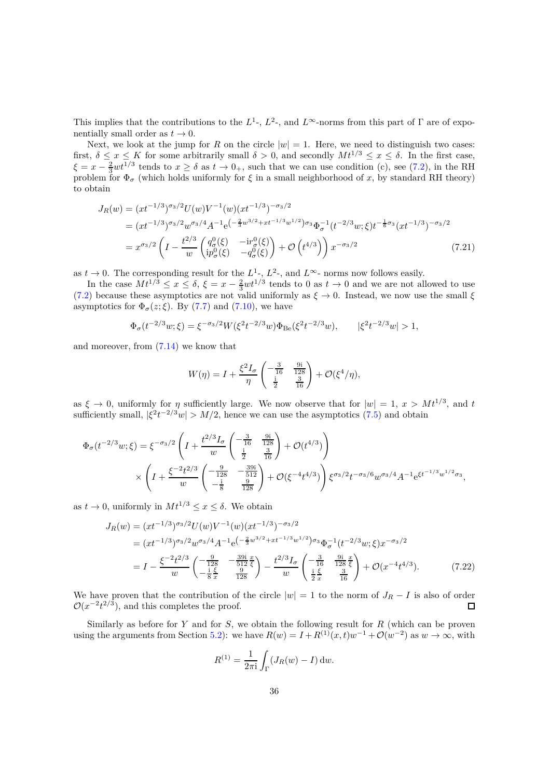This implies that the contributions to the  $L^1$ -,  $L^2$ -, and  $L^{\infty}$ -norms from this part of  $\Gamma$  are of exponentially small order as  $t \to 0$ .

Next, we look at the jump for *R* on the circle  $|w| = 1$ . Here, we need to distinguish two cases: first,  $\delta \leq x \leq K$  for some arbitrarily small  $\delta > 0$ , and secondly  $Mt^{1/3} \leq x \leq \delta$ . In the first case,  $\xi = x - \frac{2}{3}wt^{1/3}$  tends to  $x \ge \delta$  as  $t \to 0_+$ , such that we can use condition (c), see [\(7.2\)](#page-29-0), in the RH problem for  $\Phi_{\sigma}$  (which holds uniformly for  $\xi$  in a small neighborhood of *x*, by standard RH theory) to obtain

$$
J_R(w) = (xt^{-1/3})^{\sigma_3/2} U(w) V^{-1}(w) (xt^{-1/3})^{-\sigma_3/2}
$$
  
=  $(xt^{-1/3})^{\sigma_3/2} w^{\sigma_3/4} A^{-1} e^{-\frac{2}{3}w^{3/2} + xt^{-1/3}w^{1/2}} \sigma_3 \Phi_{\sigma}^{-1} (t^{-2/3}w; \xi) t^{-\frac{1}{6}\sigma_3} (xt^{-1/3})^{-\sigma_3/2}$   
=  $x^{\sigma_3/2} \left(I - \frac{t^{2/3}}{w} \begin{pmatrix} q^0_{\sigma}(\xi) & -ir^0_{\sigma}(\xi) \\ ip^0_{\sigma}(\xi) & -q^0_{\sigma}(\xi) \end{pmatrix} + \mathcal{O} \begin{pmatrix} t^{4/3} \\ t^{4/3} \end{pmatrix} \right) x^{-\sigma_3/2}$  (7.21)

as  $t \to 0$ . The corresponding result for the  $L^1$ ,  $L^2$ -, and  $L^\infty$ - norms now follows easily.

In the case  $Mt^{1/3} \le x \le \delta$ ,  $\xi = x - \frac{2}{3}wt^{1/3}$  tends to 0 as  $t \to 0$  and we are not allowed to use [\(7.2\)](#page-29-0) because these asymptotics are not valid uniformly as  $\xi \to 0$ . Instead, we now use the small  $\xi$ asymptotics for  $\Phi_{\sigma}(z;\xi)$ . By [\(7.7\)](#page-30-2) and [\(7.10\)](#page-31-1), we have

$$
\Phi_{\sigma}(t^{-2/3}w;\xi) = \xi^{-\sigma_3/2}W(\xi^2 t^{-2/3}w)\Phi_{\text{Be}}(\xi^2 t^{-2/3}w), \qquad |\xi^2 t^{-2/3}w| > 1,
$$

and moreover, from [\(7.14\)](#page-33-1) we know that

<span id="page-35-0"></span>
$$
W(\eta) = I + \frac{\xi^2 I_{\sigma}}{\eta} \begin{pmatrix} -\frac{3}{16} & \frac{9i}{128} \\ \frac{i}{2} & \frac{3}{16} \end{pmatrix} + \mathcal{O}(\xi^4/\eta),
$$

as  $\xi \to 0$ , uniformly for  $\eta$  sufficiently large. We now observe that for  $|w| = 1$ ,  $x > Mt^{1/3}$ , and *t* sufficiently small,  $|\xi^2 t^{-2/3} w| > M/2$ , hence we can use the asymptotics [\(7.5\)](#page-29-2) and obtain

$$
\Phi_{\sigma}(t^{-2/3}w;\xi) = \xi^{-\sigma_3/2} \left( I + \frac{t^{2/3} I_{\sigma}}{w} \left( -\frac{3}{16} - \frac{9i}{128} \right) + \mathcal{O}(t^{4/3}) \right) \times \left( I + \frac{\xi^{-2} t^{2/3}}{w} \left( -\frac{9}{128} - \frac{39i}{512} \right) + \mathcal{O}(\xi^{-4} t^{4/3}) \right) \xi^{\sigma_3/2} t^{-\sigma_3/6} w^{\sigma_3/4} A^{-1} e^{\xi t^{-1/3} w^{1/2} \sigma_3},
$$

as  $t \to 0$ , uniformly in  $Mt^{1/3} \leq x \leq \delta$ . We obtain

$$
J_R(w) = (xt^{-1/3})^{\sigma_3/2} U(w) V^{-1}(w) (xt^{-1/3})^{-\sigma_3/2}
$$
  
=  $(xt^{-1/3})^{\sigma_3/2} w^{\sigma_3/4} A^{-1} e^{-\frac{2}{3}w^{3/2} + xt^{-1/3}w^{1/2}} \sigma_3 \Phi_{\sigma}^{-1} (t^{-2/3}w; \xi) x^{-\sigma_3/2}$   
=  $I - \frac{\xi^{-2} t^{2/3}}{w} \left( -\frac{\frac{9}{3}}{\frac{128}{8}} - \frac{\frac{391}{512} \xi}{\frac{9}{128}} \right) - \frac{t^{2/3} I_{\sigma}}{w} \left( -\frac{\frac{3}{3}}{\frac{1}{2} \frac{\xi}{x}} - \frac{\frac{91}{312} \xi}{\frac{16}{8}} \right) + \mathcal{O}(x^{-4} t^{4/3}).$  (7.22)

We have proven that the contribution of the circle  $|w| = 1$  to the norm of  $J_R - I$  is also of order  $\mathcal{O}(x^{-2}t^{2/3})$ , and this completes the proof.  $\mathcal{O}(x^{-2}t^{2/3})$ , and this completes the proof.

Similarly as before for *Y* and for *S*, we obtain the following result for *R* (which can be proven using the arguments from Section [5.2\)](#page-21-0): we have  $R(w) = I + R^{(1)}(x, t)w^{-1} + \mathcal{O}(w^{-2})$  as  $w \to \infty$ , with

<span id="page-35-1"></span>
$$
R^{(1)} = \frac{1}{2\pi i} \int_{\Gamma} (J_R(w) - I) \, dw.
$$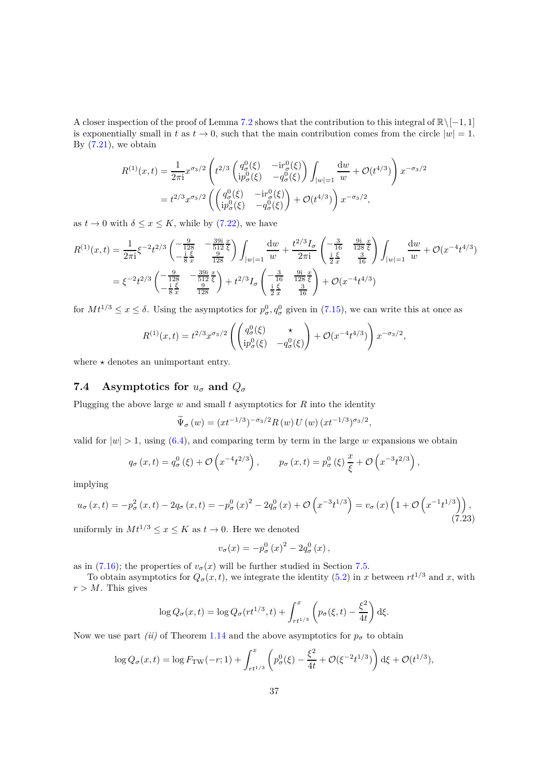A closer inspection of the proof of Lemma [7.2](#page-34-0) shows that the contribution to this integral of <sup>R</sup>\[−1*,* 1] is exponentially small in *t* as  $t \to 0$ , such that the main contribution comes from the circle  $|w| = 1$ . By  $(7.21)$ , we obtain

$$
R^{(1)}(x,t) = \frac{1}{2\pi i} x^{\sigma_3/2} \left( t^{2/3} \begin{pmatrix} q_\sigma^0(\xi) & -i r_\sigma^0(\xi) \\ i p_\sigma^0(\xi) & -q_\sigma^0(\xi) \end{pmatrix} \int_{|w|=1} \frac{dw}{w} + \mathcal{O}(t^{4/3}) \right) x^{-\sigma_3/2}
$$
  
=  $t^{2/3} x^{\sigma_3/2} \left( \begin{pmatrix} q_\sigma^0(\xi) & -i r_\sigma^0(\xi) \\ i p_\sigma^0(\xi) & -q_\sigma^0(\xi) \end{pmatrix} + \mathcal{O}(t^{4/3}) \right) x^{-\sigma_3/2},$ 

as  $t \to 0$  with  $\delta \leq x \leq K$ , while by [\(7.22\)](#page-35-1), we have

$$
R^{(1)}(x,t) = \frac{1}{2\pi i} \xi^{-2} t^{2/3} \begin{pmatrix} -\frac{9}{128} & -\frac{39i}{512} \frac{x}{\xi} \\ -\frac{i}{8} \frac{\xi}{x} & \frac{9}{128} \end{pmatrix} \int_{|w|=1} \frac{dw}{w} + \frac{t^{2/3} I_{\sigma}}{2\pi i} \begin{pmatrix} -\frac{3}{16} & \frac{9i}{128} \frac{x}{\xi} \\ \frac{i}{2} \frac{\xi}{x} & \frac{3}{16} \end{pmatrix} \int_{|w|=1} \frac{dw}{w} + \mathcal{O}(x^{-4} t^{4/3})
$$
  
=  $\xi^{-2} t^{2/3} \begin{pmatrix} -\frac{9}{128} & -\frac{39i}{512} \frac{x}{\xi} \\ -\frac{i}{8} \frac{\xi}{x} & \frac{9}{128} \end{pmatrix} + t^{2/3} I_{\sigma} \begin{pmatrix} -\frac{3}{16} & \frac{9i}{128} \frac{x}{\xi} \\ \frac{i}{2} \frac{\xi}{x} & \frac{3}{16} \end{pmatrix} + \mathcal{O}(x^{-4} t^{4/3})$ 

for  $Mt^{1/3} \le x \le \delta$ . Using the asymptotics for  $p^0_\sigma, q^0_\sigma$  given in [\(7.15\)](#page-33-2), we can write this at once as

$$
R^{(1)}(x,t) = t^{2/3} x^{\sigma_3/2} \left( \begin{pmatrix} q^0_{\sigma}(\xi) & \star \\ ip^0_{\sigma}(\xi) & -q^0_{\sigma}(\xi) \end{pmatrix} + \mathcal{O}(x^{-4} t^{4/3}) \right) x^{-\sigma_3/2},
$$

where  $\star$  denotes an unimportant entry.

## <span id="page-36-0"></span>**7.4** Asymptotics for  $u_{\sigma}$  and  $Q_{\sigma}$

Plugging the above large  $w$  and small  $t$  asymptotics for  $R$  into the identity

$$
\widetilde{\Psi}_{\sigma}(w) = (xt^{-1/3})^{-\sigma_3/2} R(w) U(w) (xt^{-1/3})^{\sigma_3/2},
$$

valid for  $|w| > 1$ , using [\(6.4\)](#page-23-3), and comparing term by term in the large *w* expansions we obtain

$$
q_{\sigma}(x,t) = q_{\sigma}^{0}(\xi) + \mathcal{O}\left(x^{-4}t^{2/3}\right), \qquad p_{\sigma}(x,t) = p_{\sigma}^{0}(\xi)\frac{x}{\xi} + \mathcal{O}\left(x^{-3}t^{2/3}\right),
$$

implying

$$
u_{\sigma}(x,t) = -p_{\sigma}^{2}(x,t) - 2q_{\sigma}(x,t) = -p_{\sigma}^{0}(x)^{2} - 2q_{\sigma}^{0}(x) + \mathcal{O}\left(x^{-3}t^{1/3}\right) = v_{\sigma}(x)\left(1 + \mathcal{O}\left(x^{-1}t^{1/3}\right)\right),\tag{7.23}
$$

uniformly in  $Mt^{1/3} \le x \le K$  as  $t \to 0$ . Here we denoted

$$
v_{\sigma}(x) = -p_{\sigma}^{0}(x)^{2} - 2q_{\sigma}^{0}(x),
$$

as in [\(7.16\)](#page-33-3); the properties of  $v_{\sigma}(x)$  will be further studied in Section [7.5.](#page-37-0)

To obtain asymptotics for  $Q_{\sigma}(x, t)$ , we integrate the identity [\(5.2\)](#page-22-2) in *x* between  $rt^{1/3}$  and *x*, with  $r > M$ . This gives

$$
\log Q_{\sigma}(x,t) = \log Q_{\sigma}(rt^{1/3},t) + \int_{rt^{1/3}}^{x} \left( p_{\sigma}(\xi,t) - \frac{\xi^{2}}{4t} \right) d\xi.
$$

Now we use part *(ii)* of Theorem [1.14](#page-8-0) and the above asymptotics for  $p_{\sigma}$  to obtain

$$
\log Q_{\sigma}(x,t) = \log F_{\rm TW}(-r;1) + \int_{rt^{1/3}}^x \left( p_{\sigma}^0(\xi) - \frac{\xi^2}{4t} + \mathcal{O}(\xi^{-2}t^{1/3}) \right) d\xi + \mathcal{O}(t^{1/3}),
$$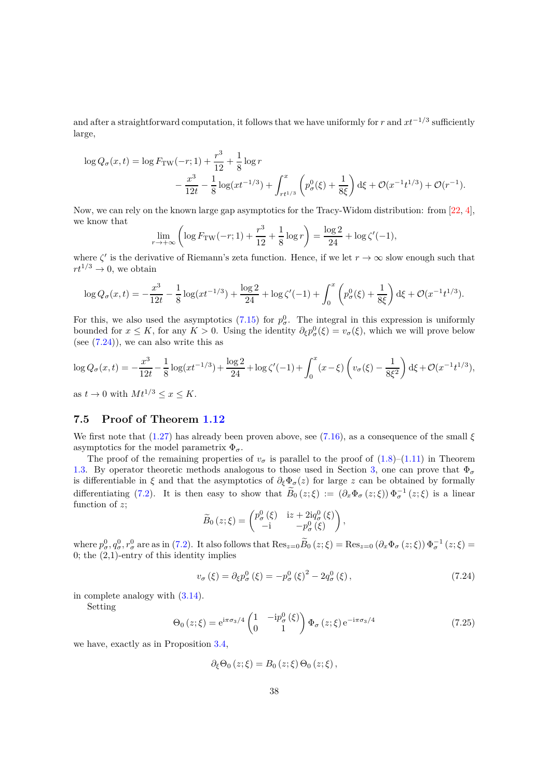and after a straightforward computation, it follows that we have uniformly for *r* and *xt*−1*/*<sup>3</sup> sufficiently large,

$$
\log Q_{\sigma}(x,t) = \log F_{\rm TW}(-r;1) + \frac{r^3}{12} + \frac{1}{8} \log r
$$
  

$$
- \frac{x^3}{12t} - \frac{1}{8} \log(xt^{-1/3}) + \int_{rt^{1/3}}^x \left( p_{\sigma}^0(\xi) + \frac{1}{8\xi} \right) d\xi + \mathcal{O}(x^{-1}t^{1/3}) + \mathcal{O}(r^{-1}).
$$

Now, we can rely on the known large gap asymptotics for the Tracy-Widom distribution: from [\[22,](#page-41-15) [4\]](#page-40-15), we know that

$$
\lim_{r \to +\infty} \left( \log F_{\rm TW}(-r; 1) + \frac{r^3}{12} + \frac{1}{8} \log r \right) = \frac{\log 2}{24} + \log \zeta'(-1),
$$

where  $\zeta'$  is the derivative of Riemann's zeta function. Hence, if we let  $r \to \infty$  slow enough such that  $rt^{1/3} \rightarrow 0$ , we obtain

$$
\log Q_{\sigma}(x,t) = -\frac{x^3}{12t} - \frac{1}{8}\log(xt^{-1/3}) + \frac{\log 2}{24} + \log \zeta'(-1) + \int_0^x \left(p_\sigma^0(\xi) + \frac{1}{8\xi}\right) d\xi + \mathcal{O}(x^{-1}t^{1/3}).
$$

For this, we also used the asymptotics  $(7.15)$  for  $p^0_\sigma$ . The integral in this expression is uniformly bounded for  $x \leq K$ , for any  $K > 0$ . Using the identity  $\partial_{\xi} p_{\sigma}^{0}(\xi) = v_{\sigma}(\xi)$ , which we will prove below (see  $(7.24)$ ), we can also write this as

$$
\log Q_{\sigma}(x,t) = -\frac{x^3}{12t} - \frac{1}{8}\log(xt^{-1/3}) + \frac{\log 2}{24} + \log\zeta'(-1) + \int_0^x (x-\xi)\left(v_{\sigma}(\xi) - \frac{1}{8\xi^2}\right) d\xi + \mathcal{O}(x^{-1}t^{1/3}),
$$

as  $t \to 0$  with  $Mt^{1/3} \leq x \leq K$ .

### <span id="page-37-0"></span>**7.5 Proof of Theorem [1.12](#page-7-0)**

We first note that [\(1.27\)](#page-7-4) has already been proven above, see [\(7.16\)](#page-33-3), as a consequence of the small  $\xi$ asymptotics for the model parametrix  $\Phi_{\sigma}$ .

The proof of the remaining properties of  $v_{\sigma}$  is parallel to the proof of [\(1.8\)](#page-3-0)–[\(1.11\)](#page-3-8) in Theorem [1.3.](#page-3-1) By operator theoretic methods analogous to those used in Section [3,](#page-14-0) one can prove that  $\Phi_{\sigma}$ is differentiable in  $\xi$  and that the asymptotics of  $\partial_{\xi} \Phi_{\sigma}(z)$  for large *z* can be obtained by formally differentiating [\(7.2\)](#page-29-0). It is then easy to show that  $B_0(z;\xi) := (\partial_x \Phi_\sigma(z;\xi)) \Phi_\sigma^{-1}(z;\xi)$  is a linear function of *z*;

$$
\widetilde{B}_0(z;\xi) = \begin{pmatrix} p_\sigma^0(\xi) & i z + 2i q_\sigma^0(\xi) \\ -i & -p_\sigma^0(\xi) \end{pmatrix},
$$

where  $p^0_{\sigma}$ ,  $q^0_{\sigma}$ ,  $r^0_{\sigma}$  are as in [\(7.2\)](#page-29-0). It also follows that  $\text{Res}_{z=0}\widetilde{B}_0(z;\xi) = \text{Res}_{z=0}(\partial_x\Phi_{\sigma}(z;\xi))\Phi_{\sigma}^{-1}(z;\xi) =$ 0; the  $(2,1)$ -entry of this identity implies

<span id="page-37-1"></span>
$$
v_{\sigma}(\xi) = \partial_{\xi} p_{\sigma}^{0}(\xi) = -p_{\sigma}^{0}(\xi)^{2} - 2q_{\sigma}^{0}(\xi),
$$
\n(7.24)

in complete analogy with [\(3.14\)](#page-17-3).

Setting

<span id="page-37-2"></span>
$$
\Theta_0(z;\xi) = e^{i\pi\sigma_3/4} \begin{pmatrix} 1 & -ip_\sigma^0(\xi) \\ 0 & 1 \end{pmatrix} \Phi_\sigma(z;\xi) e^{-i\pi\sigma_3/4}
$$
(7.25)

we have, exactly as in Proposition [3.4,](#page-17-5)

$$
\partial_{\xi} \Theta_0(z;\xi) = B_0(z;\xi) \Theta_0(z;\xi),
$$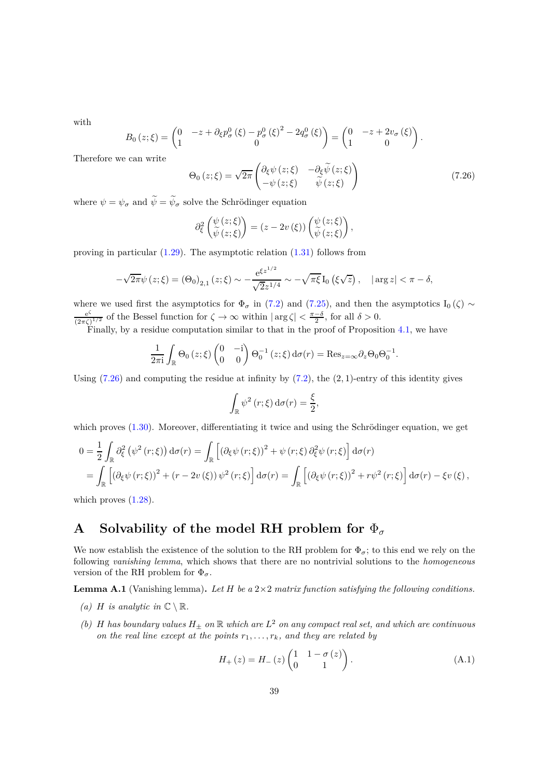with

$$
B_0(z;\xi) = \begin{pmatrix} 0 & -z + \partial_{\xi} p_{\sigma}^0(\xi) - p_{\sigma}^0(\xi)^2 - 2q_{\sigma}^0(\xi) \\ 1 & 0 \end{pmatrix} = \begin{pmatrix} 0 & -z + 2v_{\sigma}(\xi) \\ 1 & 0 \end{pmatrix}
$$

Therefore we can write

<span id="page-38-1"></span>
$$
\Theta_0(z;\xi) = \sqrt{2\pi} \begin{pmatrix} \partial_{\xi} \psi(z;\xi) & -\partial_{\xi} \widetilde{\psi}(z;\xi) \\ -\psi(z;\xi) & \widetilde{\psi}(z;\xi) \end{pmatrix}
$$
(7.26)

*.*

where  $\psi = \psi_{\sigma}$  and  $\widetilde{\psi} = \widetilde{\psi}_{\sigma}$  solve the Schrödinger equation

$$
\partial_{\xi}^{2}\left(\frac{\psi(z;\xi)}{\widetilde{\psi}(z;\xi)}\right)=(z-2v(\xi))\left(\frac{\psi(z;\xi)}{\widetilde{\psi}(z;\xi)}\right),
$$

proving in particular  $(1.29)$ . The asymptotic relation  $(1.31)$  follows from

$$
-\sqrt{2\pi}\psi(z;\xi) = (\Theta_0)_{2,1}(z;\xi) \sim -\frac{e^{\xi z^{1/2}}}{\sqrt{2}z^{1/4}} \sim -\sqrt{\pi\xi} I_0(\xi\sqrt{z}), \quad |\arg z| < \pi - \delta,
$$

where we used first the asymptotics for  $\Phi_{\sigma}$  in [\(7.2\)](#page-29-0) and [\(7.25\)](#page-37-2), and then the asymptotics I<sub>0</sub>( $\zeta$ ) ∼ e *ζ*  $\frac{e^{\zeta}}{(2\pi\zeta)^{1/2}}$  of the Bessel function for  $\zeta \to \infty$  within  $|\arg \zeta| < \frac{\pi-\delta}{2}$ , for all  $\delta > 0$ .

Finally, by a residue computation similar to that in the proof of Proposition  $4.1$ , we have

$$
\frac{1}{2\pi i} \int_{\mathbb{R}} \Theta_0(z;\xi) \begin{pmatrix} 0 & -i \\ 0 & 0 \end{pmatrix} \Theta_0^{-1}(z;\xi) d\sigma(r) = \text{Res}_{z=\infty} \partial_z \Theta_0 \Theta_0^{-1}.
$$

Using [\(7.26\)](#page-38-1) and computing the residue at infinity by [\(7.2\)](#page-29-0), the (2*,* 1)-entry of this identity gives

$$
\int_{\mathbb{R}} \psi^2(r;\xi) d\sigma(r) = \frac{\xi}{2},
$$

which proves  $(1.30)$ . Moreover, differentiating it twice and using the Schrödinger equation, we get

$$
0 = \frac{1}{2} \int_{\mathbb{R}} \partial_{\xi}^{2} (\psi^{2}(r;\xi)) d\sigma(r) = \int_{\mathbb{R}} \left[ (\partial_{\xi} \psi(r;\xi))^{2} + \psi(r;\xi) \partial_{\xi}^{2} \psi(r;\xi) \right] d\sigma(r)
$$
  
= 
$$
\int_{\mathbb{R}} \left[ (\partial_{\xi} \psi(r;\xi))^{2} + (r - 2v(\xi)) \psi^{2}(r;\xi) \right] d\sigma(r) = \int_{\mathbb{R}} \left[ (\partial_{\xi} \psi(r;\xi))^{2} + r \psi^{2}(r;\xi) \right] d\sigma(r) - \xi v(\xi),
$$

which proves  $(1.28)$ .

# <span id="page-38-0"></span>**A** Solvability of the model RH problem for  $\Phi_{\sigma}$

We now establish the existence of the solution to the RH problem for  $\Phi_{\sigma}$ ; to this end we rely on the following *vanishing lemma*, which shows that there are no nontrivial solutions to the *homogeneous* version of the RH problem for  $\Phi_{\sigma}$ .

<span id="page-38-3"></span>**Lemma A.1** (Vanishing lemma)**.** *Let H be a* 2×2 *matrix function satisfying the following conditions.*

- *(a) H is analytic in*  $\mathbb{C} \setminus \mathbb{R}$ *.*
- *(b) H has boundary values*  $H_{\pm}$  *on*  $\mathbb{R}$  *which are*  $L^2$  *on any compact real set, and which are continuous on the real line except at the points*  $r_1, \ldots, r_k$ *, and they are related by*

<span id="page-38-2"></span>
$$
H_{+}(z) = H_{-}(z) \begin{pmatrix} 1 & 1 - \sigma(z) \\ 0 & 1 \end{pmatrix}.
$$
 (A.1)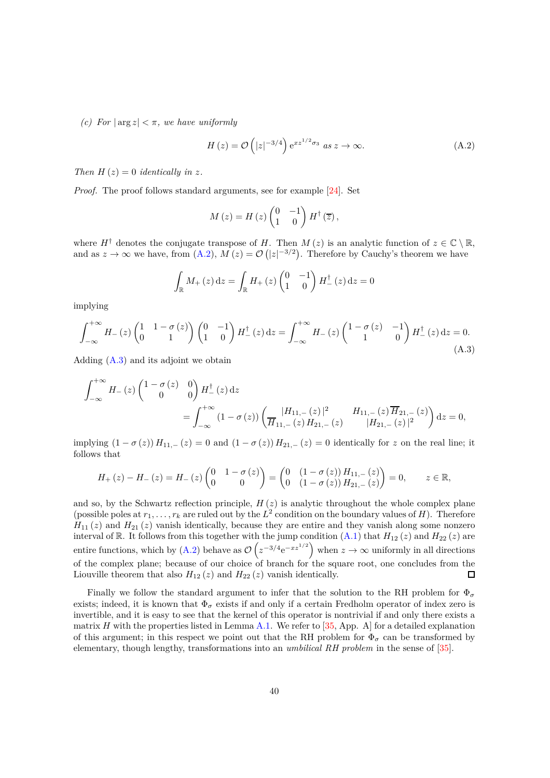*(c)* For  $|\arg z| < \pi$ , we have uniformly

<span id="page-39-0"></span>
$$
H(z) = \mathcal{O}\left(|z|^{-3/4}\right) e^{xz^{1/2}\sigma_3} \text{ as } z \to \infty.
$$
 (A.2)

*Then*  $H(z) = 0$  *identically in z.* 

*Proof.* The proof follows standard arguments, see for example [\[24\]](#page-41-16). Set

$$
M(z) = H(z) \begin{pmatrix} 0 & -1 \\ 1 & 0 \end{pmatrix} H^{\dagger}(\overline{z}),
$$

where  $H^{\dagger}$  denotes the conjugate transpose of *H*. Then  $M(z)$  is an analytic function of  $z \in \mathbb{C} \setminus \mathbb{R}$ , and as  $z \to \infty$  we have, from [\(A.2\)](#page-39-0),  $M(z) = \mathcal{O}(|z|^{-3/2})$ . Therefore by Cauchy's theorem we have

$$
\int_{\mathbb{R}} M_{+}(z) dz = \int_{\mathbb{R}} H_{+}(z) \begin{pmatrix} 0 & -1 \\ 1 & 0 \end{pmatrix} H_{-}^{\dagger}(z) dz = 0
$$

implying

<span id="page-39-1"></span>
$$
\int_{-\infty}^{+\infty} H_{-}(z) \begin{pmatrix} 1 & 1 - \sigma(z) \\ 0 & 1 \end{pmatrix} \begin{pmatrix} 0 & -1 \\ 1 & 0 \end{pmatrix} H_{-}^{\dagger}(z) dz = \int_{-\infty}^{+\infty} H_{-}(z) \begin{pmatrix} 1 - \sigma(z) & -1 \\ 1 & 0 \end{pmatrix} H_{-}^{\dagger}(z) dz = 0.
$$
\n(A.3)

Adding  $(A.3)$  and its adjoint we obtain

$$
\int_{-\infty}^{+\infty} H_{-}(z) \begin{pmatrix} 1 - \sigma(z) & 0 \\ 0 & 0 \end{pmatrix} H_{-}^{\dagger}(z) dz
$$
  
= 
$$
\int_{-\infty}^{+\infty} (1 - \sigma(z)) \begin{pmatrix} |H_{11,-}(z)|^{2} & H_{11,-}(z) \overline{H}_{21,-}(z) \\ \overline{H}_{11,-}(z) H_{21,-}(z) & |H_{21,-}(z)|^{2} \end{pmatrix} dz = 0,
$$

implying  $(1 - \sigma(z)) H_{11,-}(z) = 0$  and  $(1 - \sigma(z)) H_{21,-}(z) = 0$  identically for *z* on the real line; it follows that

$$
H_{+}(z) - H_{-}(z) = H_{-}(z) \begin{pmatrix} 0 & 1 - \sigma(z) \\ 0 & 0 \end{pmatrix} = \begin{pmatrix} 0 & (1 - \sigma(z)) H_{11,-}(z) \\ 0 & (1 - \sigma(z)) H_{21,-}(z) \end{pmatrix} = 0, \quad z \in \mathbb{R},
$$

and so, by the Schwartz reflection principle,  $H(z)$  is analytic throughout the whole complex plane (possible poles at  $r_1, \ldots, r_k$  are ruled out by the  $L^2$  condition on the boundary values of *H*). Therefore  $H_{11}(z)$  and  $H_{21}(z)$  vanish identically, because they are entire and they vanish along some nonzero interval of R. It follows from this together with the jump condition  $(A.1)$  that  $H_{12}(z)$  and  $H_{22}(z)$  are entire functions, which by [\(A.2\)](#page-39-0) behave as  $\mathcal{O}\left(z^{-3/4}e^{-xz^{1/2}}\right)$  when  $z \to \infty$  uniformly in all directions of the complex plane; because of our choice of branch for the square root, one concludes from the Liouville theorem that also  $H_{12}(z)$  and  $H_{22}(z)$  vanish identically.  $\square$ 

Finally we follow the standard argument to infer that the solution to the RH problem for  $\Phi_{\sigma}$ exists; indeed, it is known that  $\Phi_{\sigma}$  exists if and only if a certain Fredholm operator of index zero is invertible, and it is easy to see that the kernel of this operator is nontrivial if and only there exists a matrix *H* with the properties listed in Lemma [A.1.](#page-38-3) We refer to  $[35, App. A]$  for a detailed explanation of this argument; in this respect we point out that the RH problem for  $\Phi_{\sigma}$  can be transformed by elementary, though lengthy, transformations into an *umbilical RH problem* in the sense of [\[35\]](#page-42-17).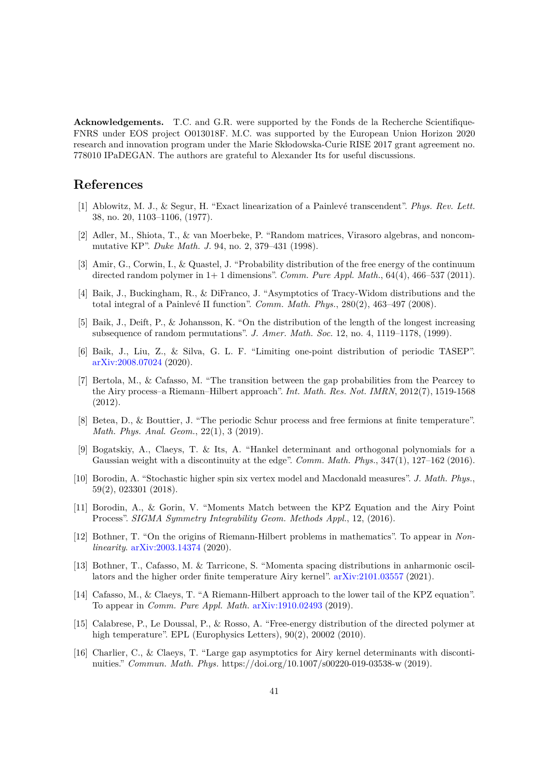**Acknowledgements.** T.C. and G.R. were supported by the Fonds de la Recherche Scientifique-FNRS under EOS project O013018F. M.C. was supported by the European Union Horizon 2020 research and innovation program under the Marie Sk bodowska-Curie RISE 2017 grant agreement no. 778010 IPaDEGAN. The authors are grateful to Alexander Its for useful discussions.

# <span id="page-40-3"></span>**References**

- <span id="page-40-10"></span>[1] Ablowitz, M. J., & Segur, H. "Exact linearization of a Painlev´e transcendent". *Phys. Rev. Lett.* 38, no. 20, 1103–1106, (1977).
- [2] Adler, M., Shiota, T., & van Moerbeke, P. "Random matrices, Virasoro algebras, and noncommutative KP". *Duke Math. J.* 94, no. 2, 379–431 (1998).
- <span id="page-40-0"></span>[3] Amir, G., Corwin, I., & Quastel, J. "Probability distribution of the free energy of the continuum directed random polymer in 1+ 1 dimensions". *Comm. Pure Appl. Math.*, 64(4), 466–537 (2011).
- <span id="page-40-15"></span>[4] Baik, J., Buckingham, R., & DiFranco, J. "Asymptotics of Tracy-Widom distributions and the total integral of a Painlevé II function". *Comm. Math. Phys.*,  $280(2)$ ,  $463-497$  (2008).
- <span id="page-40-2"></span>[5] Baik, J., Deift, P., & Johansson, K. "On the distribution of the length of the longest increasing subsequence of random permutations". *J. Amer. Math. Soc.* 12, no. 4, 1119–1178, (1999).
- <span id="page-40-9"></span>[6] Baik, J., Liu, Z., & Silva, G. L. F. "Limiting one-point distribution of periodic TASEP". [arXiv:2008.07024](http://arxiv.org/abs/2008.07024) (2020).
- <span id="page-40-12"></span>[7] Bertola, M., & Cafasso, M. "The transition between the gap probabilities from the Pearcey to the Airy process–a Riemann–Hilbert approach". *Int. Math. Res. Not. IMRN*, 2012(7), 1519-1568 (2012).
- <span id="page-40-7"></span>[8] Betea, D., & Bouttier, J. "The periodic Schur process and free fermions at finite temperature". *Math. Phys. Anal. Geom.*, 22(1), 3 (2019).
- <span id="page-40-14"></span>[9] Bogatskiy, A., Claeys, T. & Its, A. "Hankel determinant and orthogonal polynomials for a Gaussian weight with a discontinuity at the edge". *Comm. Math. Phys.*, 347(1), 127–162 (2016).
- <span id="page-40-8"></span>[10] Borodin, A. "Stochastic higher spin six vertex model and Macdonald measures". *J. Math. Phys.*, 59(2), 023301 (2018).
- <span id="page-40-5"></span>[11] Borodin, A., & Gorin, V. "Moments Match between the KPZ Equation and the Airy Point Process". *SIGMA Symmetry Integrability Geom. Methods Appl.*, 12, (2016).
- <span id="page-40-13"></span>[12] Bothner, T. "On the origins of Riemann-Hilbert problems in mathematics". To appear in *Nonlinearity*. [arXiv:2003.14374](http://arxiv.org/abs/2003.14374) (2020).
- <span id="page-40-1"></span>[13] Bothner, T., Cafasso, M. & Tarricone, S. "Momenta spacing distributions in anharmonic oscillators and the higher order finite temperature Airy kernel". [arXiv:2101.03557](http://arxiv.org/abs/2101.03557) (2021).
- <span id="page-40-11"></span>[14] Cafasso, M., & Claeys, T. "A Riemann-Hilbert approach to the lower tail of the KPZ equation". To appear in *Comm. Pure Appl. Math.* [arXiv:1910.02493](http://arxiv.org/abs/1910.02493) (2019).
- <span id="page-40-6"></span>[15] Calabrese, P., Le Doussal, P., & Rosso, A. "Free-energy distribution of the directed polymer at high temperature". EPL (Europhysics Letters),  $90(2)$ ,  $20002$  (2010).
- <span id="page-40-4"></span>[16] Charlier, C., & Claeys, T. "Large gap asymptotics for Airy kernel determinants with discontinuities." *Commun. Math. Phys.* https://doi.org/10.1007/s00220-019-03538-w (2019).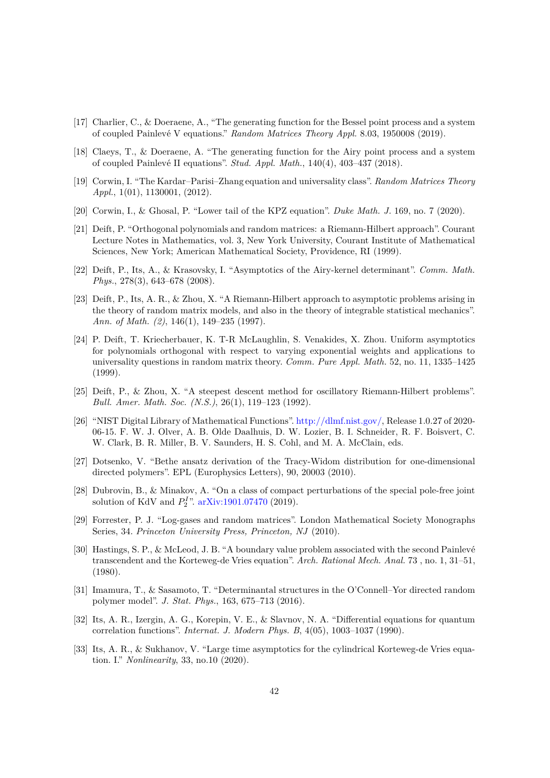- <span id="page-41-7"></span>[17] Charlier, C., & Doeraene, A., "The generating function for the Bessel point process and a system of coupled Painlev´e V equations." *Random Matrices Theory Appl.* 8.03, 1950008 (2019).
- <span id="page-41-1"></span>[18] Claeys, T., & Doeraene, A. "The generating function for the Airy point process and a system of coupled Painlev´e II equations". *Stud. Appl. Math.*, 140(4), 403–437 (2018).
- <span id="page-41-3"></span>[19] Corwin, I. "The Kardar–Parisi–Zhang equation and universality class". *Random Matrices Theory Appl.*, 1(01), 1130001, (2012).
- <span id="page-41-13"></span><span id="page-41-8"></span>[20] Corwin, I., & Ghosal, P. "Lower tail of the KPZ equation". *Duke Math. J.* 169, no. 7 (2020).
- [21] Deift, P. "Orthogonal polynomials and random matrices: a Riemann-Hilbert approach". Courant Lecture Notes in Mathematics, vol. 3, New York University, Courant Institute of Mathematical Sciences, New York; American Mathematical Society, Providence, RI (1999).
- <span id="page-41-15"></span>[22] Deift, P., Its, A., & Krasovsky, I. "Asymptotics of the Airy-kernel determinant". *Comm. Math. Phys.*, 278(3), 643–678 (2008).
- <span id="page-41-11"></span>[23] Deift, P., Its, A. R., & Zhou, X. "A Riemann-Hilbert approach to asymptotic problems arising in the theory of random matrix models, and also in the theory of integrable statistical mechanics". *Ann. of Math. (2)*, 146(1), 149–235 (1997).
- <span id="page-41-16"></span>[24] P. Deift, T. Kriecherbauer, K. T-R McLaughlin, S. Venakides, X. Zhou. Uniform asymptotics for polynomials orthogonal with respect to varying exponential weights and applications to universality questions in random matrix theory. *Comm. Pure Appl. Math.* 52, no. 11, 1335–1425 (1999).
- <span id="page-41-10"></span>[25] Deift, P., & Zhou, X. "A steepest descent method for oscillatory Riemann-Hilbert problems". *Bull. Amer. Math. Soc. (N.S.)*, 26(1), 119–123 (1992).
- <span id="page-41-12"></span>[26] "NIST Digital Library of Mathematical Functions". [http://dlmf.nist.gov/,](http://dlmf.nist.gov/) Release 1.0.27 of 2020- 06-15. F. W. J. Olver, A. B. Olde Daalhuis, D. W. Lozier, B. I. Schneider, R. F. Boisvert, C. W. Clark, B. R. Miller, B. V. Saunders, H. S. Cohl, and M. A. McClain, eds.
- <span id="page-41-2"></span>[27] Dotsenko, V. "Bethe ansatz derivation of the Tracy-Widom distribution for one-dimensional directed polymers". EPL (Europhysics Letters), 90, 20003 (2010).
- <span id="page-41-5"></span>[28] Dubrovin, B., & Minakov, A. "On a class of compact perturbations of the special pole-free joint solution of KdV and  $P_2^{\{I\}}$ <sup>2</sup>. [arXiv:1901.07470](http://arxiv.org/abs/1901.07470) (2019).
- <span id="page-41-14"></span>[29] Forrester, P. J. "Log-gases and random matrices". London Mathematical Society Monographs Series, 34. *Princeton University Press, Princeton, NJ* (2010).
- <span id="page-41-0"></span>[30] Hastings, S. P., & McLeod, J. B. "A boundary value problem associated with the second Painlevé transcendent and the Korteweg-de Vries equation". *Arch. Rational Mech. Anal.* 73 , no. 1, 31–51, (1980).
- <span id="page-41-4"></span>[31] Imamura, T., & Sasamoto, T. "Determinantal structures in the O'Connell–Yor directed random polymer model". *J. Stat. Phys.*, 163, 675–713 (2016).
- <span id="page-41-9"></span>[32] Its, A. R., Izergin, A. G., Korepin, V. E., & Slavnov, N. A. "Differential equations for quantum correlation functions". *Internat. J. Modern Phys. B*, 4(05), 1003–1037 (1990).
- <span id="page-41-6"></span>[33] Its, A. R., & Sukhanov, V. "Large time asymptotics for the cylindrical Korteweg-de Vries equation. I." *Nonlinearity*, 33, no.10 (2020).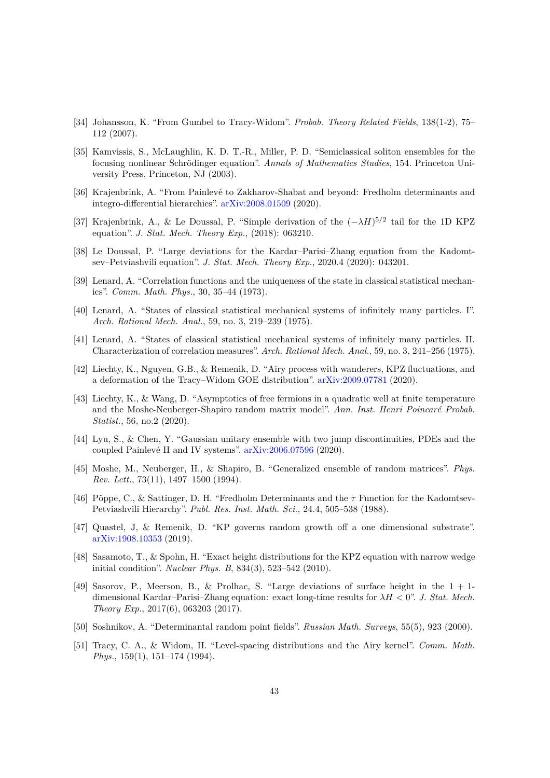- <span id="page-42-0"></span>[34] Johansson, K. "From Gumbel to Tracy-Widom". *Probab. Theory Related Fields*, 138(1-2), 75– 112 (2007).
- <span id="page-42-17"></span>[35] Kamvissis, S., McLaughlin, K. D. T.-R., Miller, P. D. "Semiclassical soliton ensembles for the focusing nonlinear Schrödinger equation". *Annals of Mathematics Studies*, 154. Princeton University Press, Princeton, NJ (2003).
- <span id="page-42-16"></span>[36] Krajenbrink, A. "From Painlevé to Zakharov-Shabat and beyond: Fredholm determinants and integro-differential hierarchies". [arXiv:2008.01509](http://arxiv.org/abs/2008.01509) (2020).
- <span id="page-42-14"></span>[37] Krajenbrink, A., & Le Doussal, P. "Simple derivation of the (−*λH*) 5*/*2 tail for the 1D KPZ equation". *J. Stat. Mech. Theory Exp.*, (2018): 063210.
- <span id="page-42-10"></span>[38] Le Doussal, P. "Large deviations for the Kardar–Parisi–Zhang equation from the Kadomtsev–Petviashvili equation". *J. Stat. Mech. Theory Exp.*, 2020.4 (2020): 043201.
- <span id="page-42-1"></span>[39] Lenard, A. "Correlation functions and the uniqueness of the state in classical statistical mechanics". *Comm. Math. Phys.*, 30, 35–44 (1973).
- <span id="page-42-2"></span>[40] Lenard, A. "States of classical statistical mechanical systems of infinitely many particles. I". *Arch. Rational Mech. Anal.*, 59, no. 3, 219–239 (1975).
- <span id="page-42-3"></span>[41] Lenard, A. "States of classical statistical mechanical systems of infinitely many particles. II. Characterization of correlation measures". *Arch. Rational Mech. Anal.*, 59, no. 3, 241–256 (1975).
- <span id="page-42-13"></span>[42] Liechty, K., Nguyen, G.B., & Remenik, D. "Airy process with wanderers, KPZ fluctuations, and a deformation of the Tracy–Widom GOE distribution". [arXiv:2009.07781](http://arxiv.org/abs/2009.07781) (2020).
- <span id="page-42-8"></span>[43] Liechty, K., & Wang, D. "Asymptotics of free fermions in a quadratic well at finite temperature and the Moshe-Neuberger-Shapiro random matrix model". Ann. Inst. Henri Poincaré Probab. *Statist.*, 56, no.2 (2020).
- <span id="page-42-6"></span>[44] Lyu, S., & Chen, Y. "Gaussian unitary ensemble with two jump discontinuities, PDEs and the coupled Painlevé II and IV systems". [arXiv:2006.07596](http://arxiv.org/abs/2006.07596) (2020).
- <span id="page-42-9"></span>[45] Moshe, M., Neuberger, H., & Shapiro, B. "Generalized ensemble of random matrices". *Phys. Rev. Lett.*, 73(11), 1497–1500 (1994).
- <span id="page-42-12"></span>[46] Pöppe, C., & Sattinger, D. H. "Fredholm Determinants and the  $\tau$  Function for the Kadomtsev-Petviashvili Hierarchy". *Publ. Res. Inst. Math. Sci.*, 24.4, 505–538 (1988).
- <span id="page-42-11"></span>[47] Quastel, J, & Remenik, D. "KP governs random growth off a one dimensional substrate". [arXiv:1908.10353](http://arxiv.org/abs/1908.10353) (2019).
- <span id="page-42-7"></span>[48] Sasamoto, T., & Spohn, H. "Exact height distributions for the KPZ equation with narrow wedge initial condition". *Nuclear Phys. B*, 834(3), 523–542 (2010).
- <span id="page-42-15"></span>[49] Sasorov, P., Meerson, B., & Prolhac, S. "Large deviations of surface height in the  $1 + 1$ dimensional Kardar–Parisi–Zhang equation: exact long-time results for *λH <* 0". *J. Stat. Mech. Theory Exp.*, 2017(6), 063203 (2017).
- <span id="page-42-5"></span><span id="page-42-4"></span>[50] Soshnikov, A. "Determinantal random point fields". *Russian Math. Surveys*, 55(5), 923 (2000).
- [51] Tracy, C. A., & Widom, H. "Level-spacing distributions and the Airy kernel". *Comm. Math. Phys.*, 159(1), 151–174 (1994).